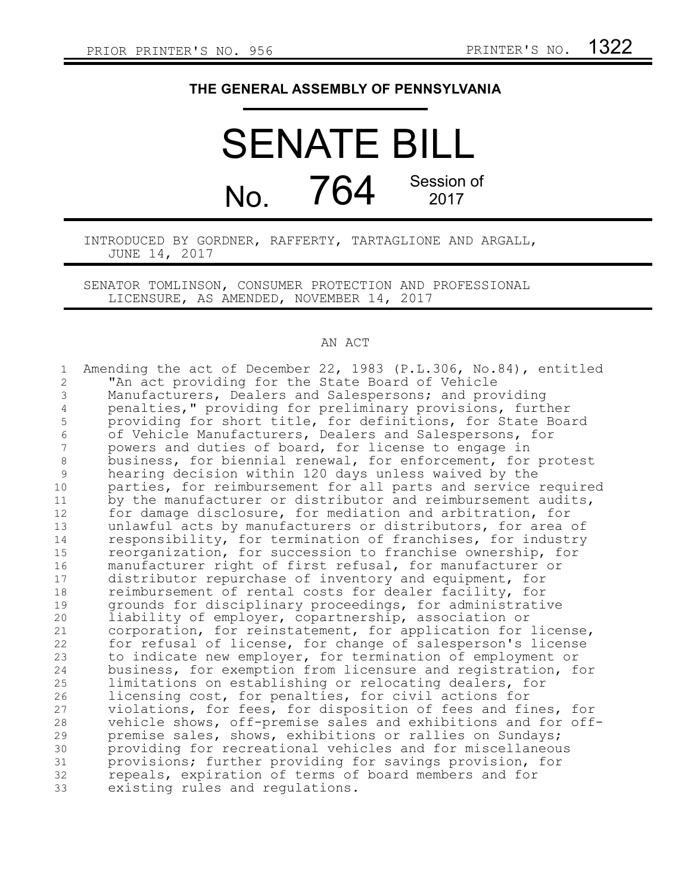## **THE GENERAL ASSEMBLY OF PENNSYLVANIA**

## SENATE BILL No. 764 Session of 2017

## INTRODUCED BY GORDNER, RAFFERTY, TARTAGLIONE AND ARGALL, JUNE 14, 2017

SENATOR TOMLINSON, CONSUMER PROTECTION AND PROFESSIONAL LICENSURE, AS AMENDED, NOVEMBER 14, 2017

## AN ACT

| $\mathbf 1$    | Amending the act of December 22, 1983 (P.L.306, No.84), entitled                                                     |
|----------------|----------------------------------------------------------------------------------------------------------------------|
| $\overline{c}$ | "An act providing for the State Board of Vehicle                                                                     |
| 3              | Manufacturers, Dealers and Salespersons; and providing                                                               |
| 4              | penalties," providing for preliminary provisions, further                                                            |
| 5              | providing for short title, for definitions, for State Board                                                          |
| 6              | of Vehicle Manufacturers, Dealers and Salespersons, for                                                              |
| 7              | powers and duties of board, for license to engage in                                                                 |
| 8              | business, for biennial renewal, for enforcement, for protest                                                         |
| $\mathcal{G}$  | hearing decision within 120 days unless waived by the                                                                |
| 10             | parties, for reimbursement for all parts and service required                                                        |
| 11             | by the manufacturer or distributor and reimbursement audits,                                                         |
| 12             | for damage disclosure, for mediation and arbitration, for                                                            |
| 13             | unlawful acts by manufacturers or distributors, for area of                                                          |
| 14             | responsibility, for termination of franchises, for industry                                                          |
| 15             | reorganization, for succession to franchise ownership, for                                                           |
| 16             | manufacturer right of first refusal, for manufacturer or                                                             |
| 17             | distributor repurchase of inventory and equipment, for                                                               |
| 18             | reimbursement of rental costs for dealer facility, for                                                               |
| 19             | grounds for disciplinary proceedings, for administrative                                                             |
| 20<br>21       | liability of employer, copartnership, association or<br>corporation, for reinstatement, for application for license, |
| 22             | for refusal of license, for change of salesperson's license                                                          |
| 23             | to indicate new employer, for termination of employment or                                                           |
| 24             | business, for exemption from licensure and registration, for                                                         |
| 25             | limitations on establishing or relocating dealers, for                                                               |
| 26             | licensing cost, for penalties, for civil actions for                                                                 |
| 27             | violations, for fees, for disposition of fees and fines, for                                                         |
| 28             | vehicle shows, off-premise sales and exhibitions and for off-                                                        |
| 29             | premise sales, shows, exhibitions or rallies on Sundays;                                                             |
| 30             | providing for recreational vehicles and for miscellaneous                                                            |
| 31             | provisions; further providing for savings provision, for                                                             |
| 32             | repeals, expiration of terms of board members and for                                                                |
| 33             | existing rules and regulations.                                                                                      |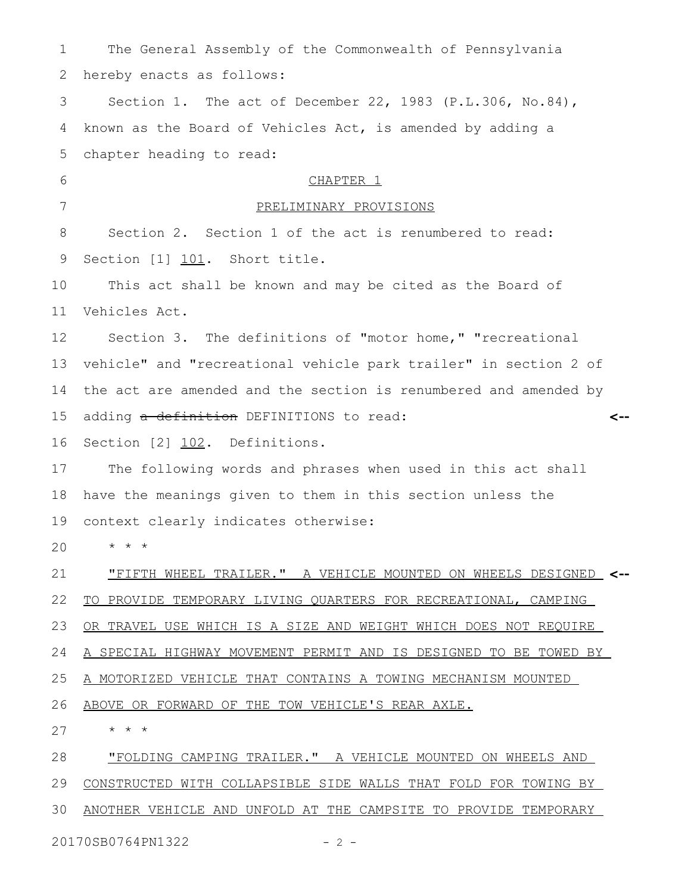| 1  | The General Assembly of the Commonwealth of Pennsylvania         |
|----|------------------------------------------------------------------|
| 2  | hereby enacts as follows:                                        |
| 3  | Section 1. The act of December 22, 1983 (P.L.306, No.84),        |
| 4  | known as the Board of Vehicles Act, is amended by adding a       |
| 5  | chapter heading to read:                                         |
| 6  | CHAPTER <sub>1</sub>                                             |
| 7  | PRELIMINARY PROVISIONS                                           |
| 8  | Section 2. Section 1 of the act is renumbered to read:           |
| 9  | Section [1] 101. Short title.                                    |
| 10 | This act shall be known and may be cited as the Board of         |
| 11 | Vehicles Act.                                                    |
| 12 | Section 3. The definitions of "motor home," "recreational        |
| 13 | vehicle" and "recreational vehicle park trailer" in section 2 of |
| 14 | the act are amended and the section is renumbered and amended by |
| 15 | adding a definition DEFINITIONS to read:<br><--                  |
| 16 | Section [2] 102. Definitions.                                    |
| 17 | The following words and phrases when used in this act shall      |
| 18 | have the meanings given to them in this section unless the       |
| 19 | context clearly indicates otherwise:                             |
| 20 |                                                                  |
| 21 | "FIFTH WHEEL TRAILER." A VEHICLE MOUNTED ON WHEELS DESIGNED <--  |
| 22 | TO PROVIDE TEMPORARY LIVING QUARTERS FOR RECREATIONAL, CAMPING   |
| 23 | OR TRAVEL USE WHICH IS A SIZE AND WEIGHT WHICH DOES NOT REOUIRE  |
| 24 | A SPECIAL HIGHWAY MOVEMENT PERMIT AND IS DESIGNED TO BE TOWED BY |
| 25 | A MOTORIZED VEHICLE THAT CONTAINS A TOWING MECHANISM MOUNTED     |
| 26 | ABOVE OR FORWARD OF THE TOW VEHICLE'S REAR AXLE.                 |
| 27 | * * *                                                            |
| 28 | "FOLDING CAMPING TRAILER." A VEHICLE MOUNTED ON WHEELS AND       |
| 29 | CONSTRUCTED WITH COLLAPSIBLE SIDE WALLS THAT FOLD FOR TOWING BY  |
| 30 | ANOTHER VEHICLE AND UNFOLD AT THE CAMPSITE TO PROVIDE TEMPORARY  |

20170SB0764PN1322 - 2 -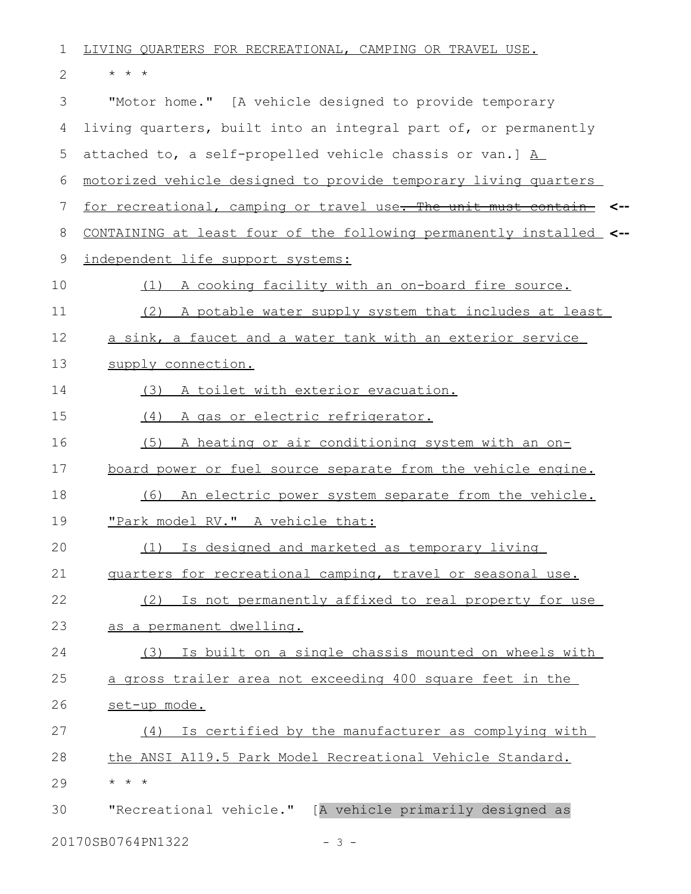| 1  | LIVING QUARTERS FOR RECREATIONAL, CAMPING OR TRAVEL USE.               |
|----|------------------------------------------------------------------------|
| 2  | $\star$ $\star$ $\star$                                                |
| 3  | "Motor home." [A vehicle designed to provide temporary                 |
| 4  | living quarters, built into an integral part of, or permanently        |
| 5  | attached to, a self-propelled vehicle chassis or van.] $\underline{A}$ |
| 6  | motorized vehicle designed to provide temporary living quarters        |
| 7  | for recreational, camping or travel use. The unit must contain         |
| 8  | CONTAINING at least four of the following permanently installed <--    |
| 9  | independent life support systems:                                      |
| 10 | A cooking facility with an on-board fire source.<br>(1)                |
| 11 | (2) A potable water supply system that includes at least               |
| 12 | a sink, a faucet and a water tank with an exterior service             |
| 13 | supply connection.                                                     |
| 14 | (3) A toilet with exterior evacuation.                                 |
| 15 | A gas or electric refrigerator.<br>(4)                                 |
| 16 | A heating or air conditioning system with an on-<br>(5)                |
| 17 | board power or fuel source separate from the vehicle engine.           |
| 18 | An electric power system separate from the vehicle.<br>(6)             |
| 19 | "Park model RV." A vehicle that:                                       |
| 20 | (1) Is designed and marketed as temporary living                       |
| 21 | quarters for recreational camping, travel or seasonal use.             |
| 22 | (2) Is not permanently affixed to real property for use                |
| 23 | as a permanent dwelling.                                               |
| 24 | Is built on a single chassis mounted on wheels with<br>(3)             |
| 25 | a gross trailer area not exceeding 400 square feet in the              |
| 26 | set-up mode.                                                           |
| 27 | Is certified by the manufacturer as complying with<br>(4)              |
| 28 | the ANSI A119.5 Park Model Recreational Vehicle Standard.              |
| 29 | $\star$ $\star$ $\star$                                                |
| 30 | "Recreational vehicle." [A vehicle primarily designed as               |
|    | 20170SB0764PN1322<br>$-3 -$                                            |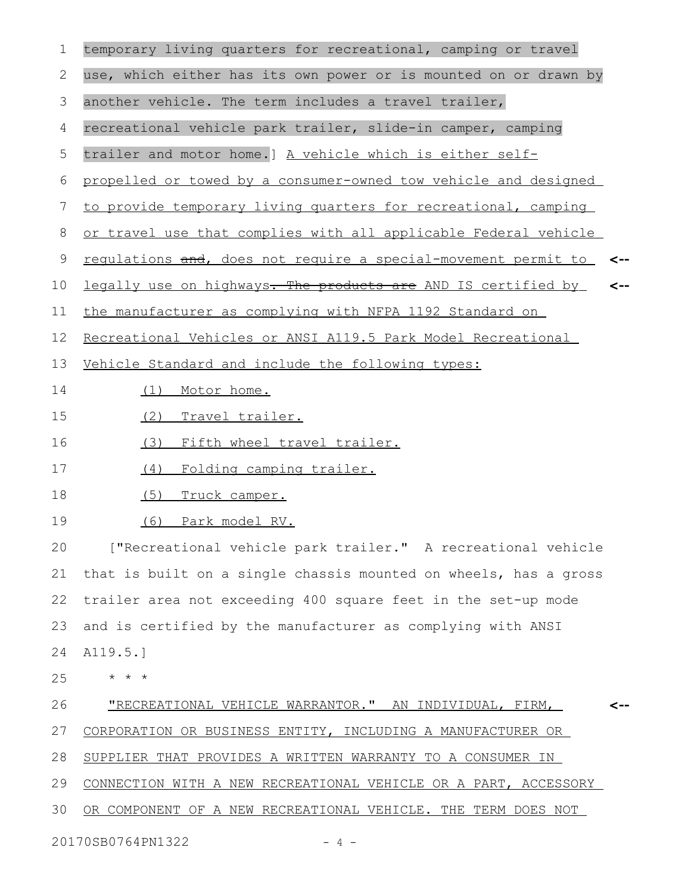| 1  | temporary living quarters for recreational, camping or travel         |
|----|-----------------------------------------------------------------------|
| 2  | use, which either has its own power or is mounted on or drawn by      |
| 3  | another vehicle. The term includes a travel trailer,                  |
| 4  | recreational vehicle park trailer, slide-in camper, camping           |
| 5  | trailer and motor home.] A vehicle which is either self-              |
| 6  | propelled or towed by a consumer-owned tow vehicle and designed       |
| 7  | to provide temporary living quarters for recreational, camping        |
| 8  | or travel use that complies with all applicable Federal vehicle       |
| 9  | regulations and, does not require a special-movement permit to<br><-- |
| 10 | legally use on highways. The products are AND IS certified by<br><--  |
| 11 | the manufacturer as complying with NFPA 1192 Standard on              |
| 12 | Recreational Vehicles or ANSI A119.5 Park Model Recreational          |
| 13 | Vehicle Standard and include the following types:                     |
| 14 | Motor home.<br>(1)                                                    |
| 15 | (2)<br>Travel trailer.                                                |
| 16 | (3) Fifth wheel travel trailer.                                       |
| 17 | Folding camping trailer.<br>(4)                                       |
| 18 | (5)<br>Truck camper.                                                  |
| 19 | (6) Park model RV.                                                    |
| 20 | ["Recreational vehicle park trailer." A recreational vehicle          |
| 21 | that is built on a single chassis mounted on wheels, has a gross      |
| 22 | trailer area not exceeding 400 square feet in the set-up mode         |
| 23 | and is certified by the manufacturer as complying with ANSI           |
| 24 | A119.5.]                                                              |
| 25 | $\star$ $\star$<br>$\star$                                            |
| 26 | <u> "RECREATIONAL VEHICLE WARRANTOR." AN INDIVIDUAL, FIRM,</u>        |
| 27 | CORPORATION OR BUSINESS ENTITY, INCLUDING A MANUFACTURER OR           |
| 28 | SUPPLIER THAT PROVIDES A WRITTEN WARRANTY TO A CONSUMER IN            |
| 29 | CONNECTION WITH A NEW RECREATIONAL VEHICLE OR A PART, ACCESSORY       |
| 30 | OR COMPONENT OF A NEW RECREATIONAL VEHICLE. THE TERM DOES NOT         |
|    | 20170SB0764PN1322<br>4 –                                              |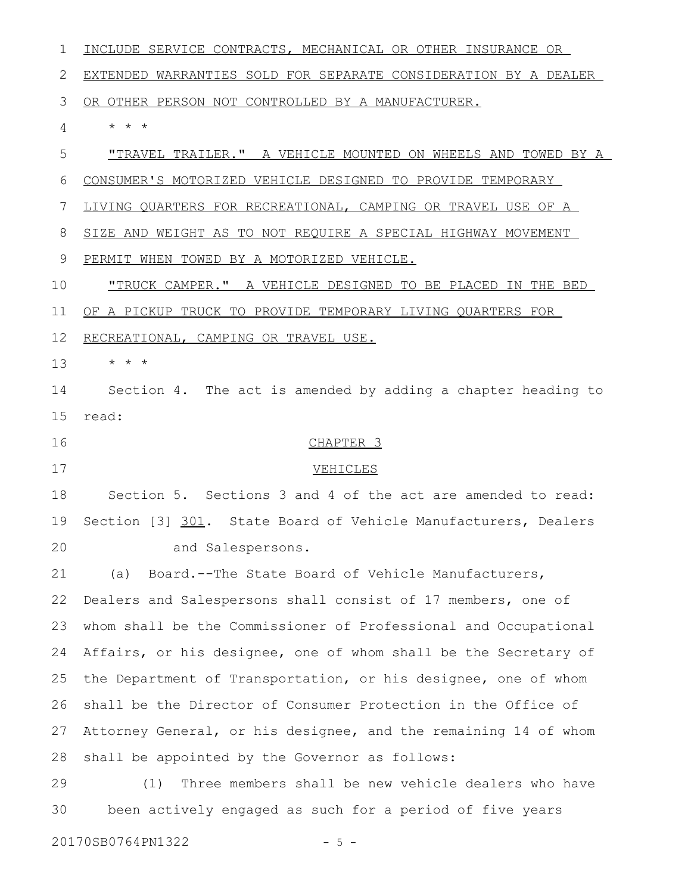INCLUDE SERVICE CONTRACTS, MECHANICAL OR OTHER INSURANCE OR EXTENDED WARRANTIES SOLD FOR SEPARATE CONSIDERATION BY A DEALER OR OTHER PERSON NOT CONTROLLED BY A MANUFACTURER. \* \* \* "TRAVEL TRAILER." A VEHICLE MOUNTED ON WHEELS AND TOWED BY A CONSUMER'S MOTORIZED VEHICLE DESIGNED TO PROVIDE TEMPORARY LIVING QUARTERS FOR RECREATIONAL, CAMPING OR TRAVEL USE OF A SIZE AND WEIGHT AS TO NOT REQUIRE A SPECIAL HIGHWAY MOVEMENT PERMIT WHEN TOWED BY A MOTORIZED VEHICLE. "TRUCK CAMPER." A VEHICLE DESIGNED TO BE PLACED IN THE BED OF A PICKUP TRUCK TO PROVIDE TEMPORARY LIVING QUARTERS FOR RECREATIONAL, CAMPING OR TRAVEL USE. \* \* \* Section 4. The act is amended by adding a chapter heading to read: CHAPTER 3 VEHICLES Section 5. Sections 3 and 4 of the act are amended to read: Section [3] 301. State Board of Vehicle Manufacturers, Dealers and Salespersons. (a) Board.--The State Board of Vehicle Manufacturers, Dealers and Salespersons shall consist of 17 members, one of whom shall be the Commissioner of Professional and Occupational Affairs, or his designee, one of whom shall be the Secretary of the Department of Transportation, or his designee, one of whom shall be the Director of Consumer Protection in the Office of Attorney General, or his designee, and the remaining 14 of whom shall be appointed by the Governor as follows: (1) Three members shall be new vehicle dealers who have been actively engaged as such for a period of five years 20170SB0764PN1322 - 5 -1 2 3 4 5 6 7 8 9 10 11 12 13 14 15 16 17 18 19 20 21 22 23 24 25 26 27 28 29 30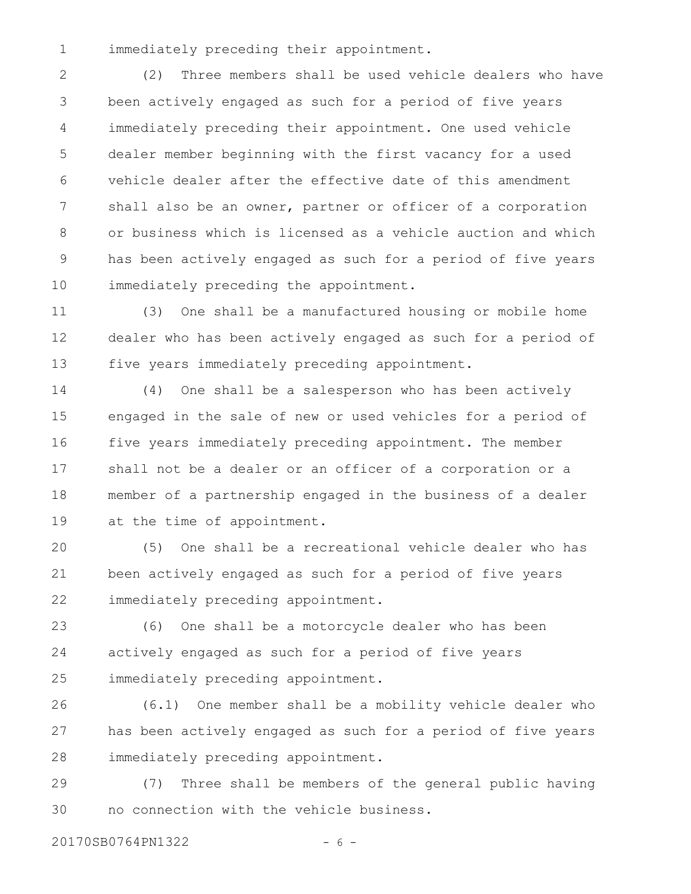immediately preceding their appointment. 1

(2) Three members shall be used vehicle dealers who have been actively engaged as such for a period of five years immediately preceding their appointment. One used vehicle dealer member beginning with the first vacancy for a used vehicle dealer after the effective date of this amendment shall also be an owner, partner or officer of a corporation or business which is licensed as a vehicle auction and which has been actively engaged as such for a period of five years immediately preceding the appointment. 2 3 4 5 6 7 8 9 10

(3) One shall be a manufactured housing or mobile home dealer who has been actively engaged as such for a period of five years immediately preceding appointment. 11 12 13

(4) One shall be a salesperson who has been actively engaged in the sale of new or used vehicles for a period of five years immediately preceding appointment. The member shall not be a dealer or an officer of a corporation or a member of a partnership engaged in the business of a dealer at the time of appointment. 14 15 16 17 18 19

(5) One shall be a recreational vehicle dealer who has been actively engaged as such for a period of five years immediately preceding appointment. 20 21 22

(6) One shall be a motorcycle dealer who has been actively engaged as such for a period of five years immediately preceding appointment. 23 24 25

(6.1) One member shall be a mobility vehicle dealer who has been actively engaged as such for a period of five years immediately preceding appointment. 26 27 28

(7) Three shall be members of the general public having no connection with the vehicle business. 29 30

20170SB0764PN1322 - 6 -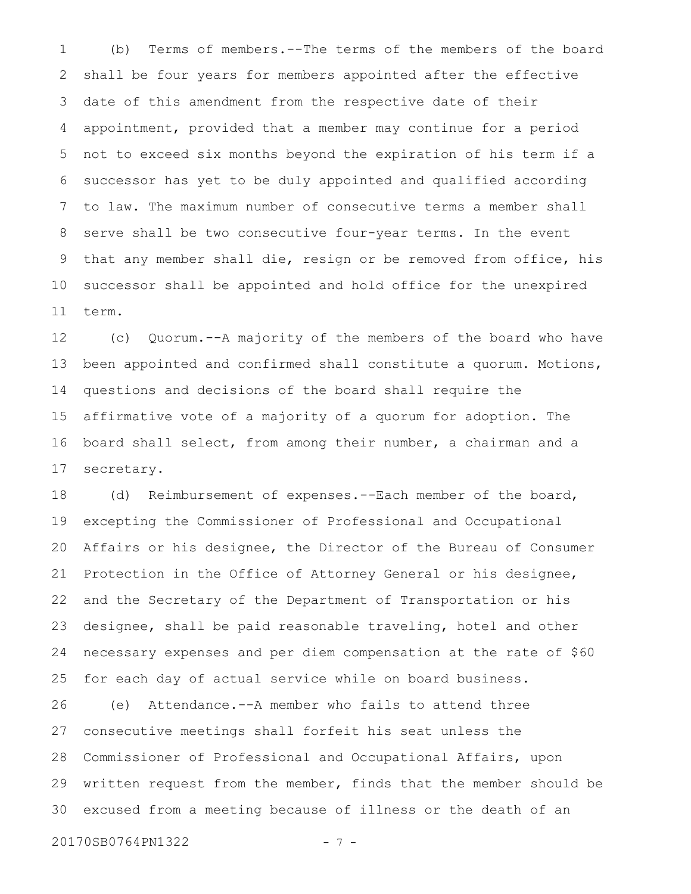(b) Terms of members.--The terms of the members of the board shall be four years for members appointed after the effective date of this amendment from the respective date of their appointment, provided that a member may continue for a period not to exceed six months beyond the expiration of his term if a successor has yet to be duly appointed and qualified according to law. The maximum number of consecutive terms a member shall serve shall be two consecutive four-year terms. In the event that any member shall die, resign or be removed from office, his successor shall be appointed and hold office for the unexpired term. 1 2 3 4 5 6 7 8 9 10 11

(c) Quorum.--A majority of the members of the board who have been appointed and confirmed shall constitute a quorum. Motions, questions and decisions of the board shall require the affirmative vote of a majority of a quorum for adoption. The board shall select, from among their number, a chairman and a secretary. 12 13 14 15 16 17

(d) Reimbursement of expenses.--Each member of the board, excepting the Commissioner of Professional and Occupational Affairs or his designee, the Director of the Bureau of Consumer Protection in the Office of Attorney General or his designee, and the Secretary of the Department of Transportation or his designee, shall be paid reasonable traveling, hotel and other necessary expenses and per diem compensation at the rate of \$60 for each day of actual service while on board business. 18 19 20 21 22 23 24 25

(e) Attendance.--A member who fails to attend three consecutive meetings shall forfeit his seat unless the Commissioner of Professional and Occupational Affairs, upon written request from the member, finds that the member should be excused from a meeting because of illness or the death of an 26 27 28 29 30

20170SB0764PN1322 - 7 -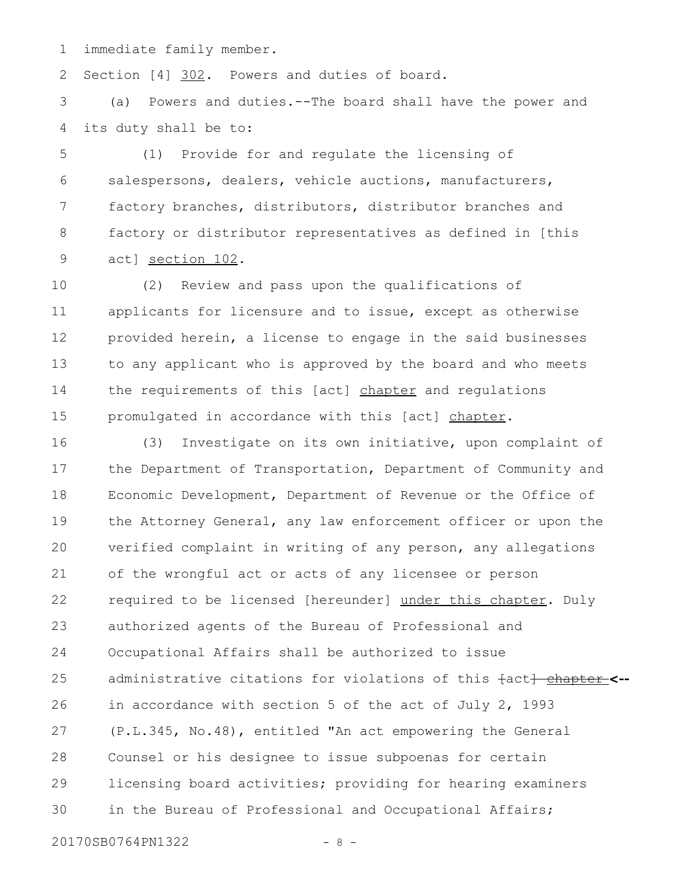immediate family member. 1

Section [4] 302. Powers and duties of board. 2

(a) Powers and duties.--The board shall have the power and its duty shall be to: 3 4

(1) Provide for and regulate the licensing of salespersons, dealers, vehicle auctions, manufacturers, factory branches, distributors, distributor branches and factory or distributor representatives as defined in [this act] section 102. 5 6 7 8 9

(2) Review and pass upon the qualifications of applicants for licensure and to issue, except as otherwise provided herein, a license to engage in the said businesses to any applicant who is approved by the board and who meets the requirements of this [act] chapter and regulations promulgated in accordance with this [act] chapter. 10 11 12 13 14 15

(3) Investigate on its own initiative, upon complaint of the Department of Transportation, Department of Community and Economic Development, Department of Revenue or the Office of the Attorney General, any law enforcement officer or upon the verified complaint in writing of any person, any allegations of the wrongful act or acts of any licensee or person required to be licensed [hereunder] under this chapter. Duly authorized agents of the Bureau of Professional and Occupational Affairs shall be authorized to issue administrative citations for violations of this <del>[</del>act<del>] <u>chapter</u>\_<--</del> in accordance with section 5 of the act of July 2, 1993 (P.L.345, No.48), entitled "An act empowering the General Counsel or his designee to issue subpoenas for certain licensing board activities; providing for hearing examiners in the Bureau of Professional and Occupational Affairs; 16 17 18 19 20 21 22 23 24 25 26 27 28 29 30

20170SB0764PN1322 - 8 -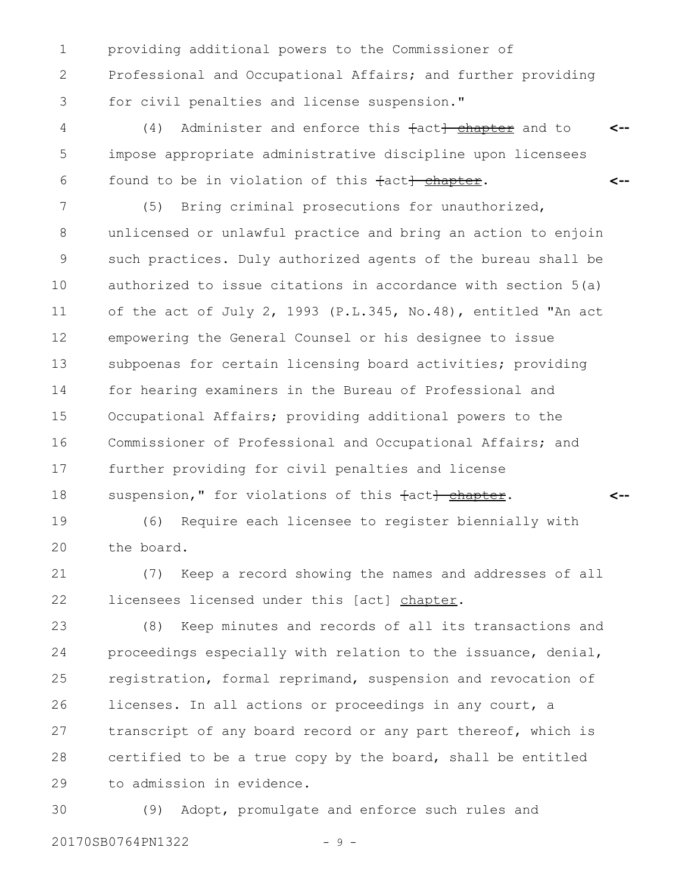providing additional powers to the Commissioner of Professional and Occupational Affairs; and further providing for civil penalties and license suspension." 1 2 3

 $(4)$  Administer and enforce this  $\text{fact}$  chapter and to impose appropriate administrative discipline upon licensees found to be in violation of this fact<del>] chapter</del>. **<-- <--** 4 5 6

(5) Bring criminal prosecutions for unauthorized, unlicensed or unlawful practice and bring an action to enjoin such practices. Duly authorized agents of the bureau shall be authorized to issue citations in accordance with section 5(a) of the act of July 2, 1993 (P.L.345, No.48), entitled "An act empowering the General Counsel or his designee to issue subpoenas for certain licensing board activities; providing for hearing examiners in the Bureau of Professional and Occupational Affairs; providing additional powers to the Commissioner of Professional and Occupational Affairs; and further providing for civil penalties and license suspension," for violations of this fact<del>] chapter</del>. 7 8 9 10 11 12 13 14 15 16 17 18

(6) Require each licensee to register biennially with the board. 19 20

(7) Keep a record showing the names and addresses of all licensees licensed under this [act] chapter. 21 22

**<--**

(8) Keep minutes and records of all its transactions and proceedings especially with relation to the issuance, denial, registration, formal reprimand, suspension and revocation of licenses. In all actions or proceedings in any court, a transcript of any board record or any part thereof, which is certified to be a true copy by the board, shall be entitled to admission in evidence. 23 24 25 26 27 28 29

(9) Adopt, promulgate and enforce such rules and 20170SB0764PN1322 - 9 -30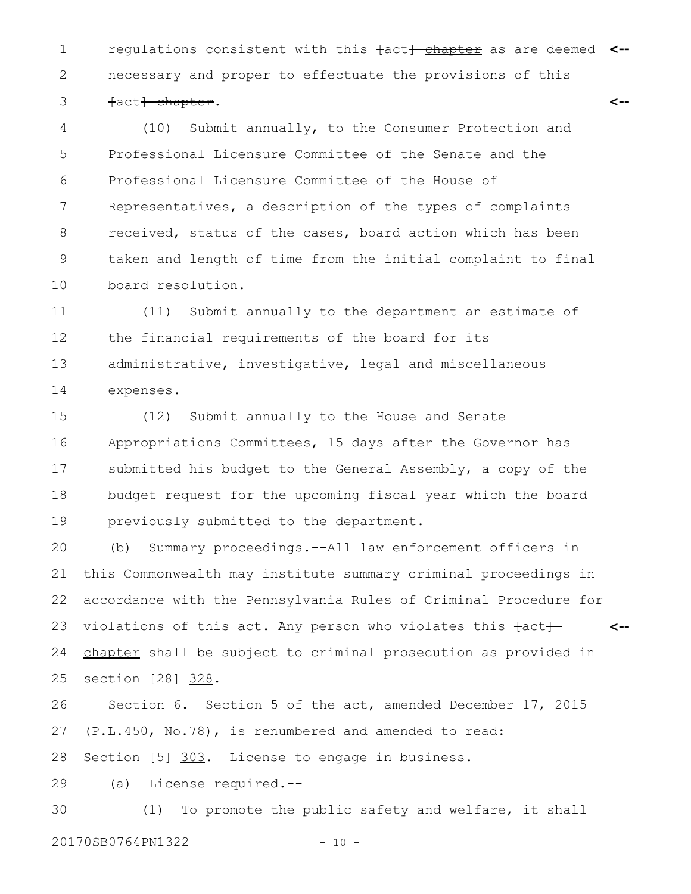1 **The Lands** consistent with this fact<del>] chapter</del> as are deemed <-necessary and proper to effectuate the provisions of this fact<del>] chapter</del>. **<--** 2 3

(10) Submit annually, to the Consumer Protection and Professional Licensure Committee of the Senate and the Professional Licensure Committee of the House of Representatives, a description of the types of complaints received, status of the cases, board action which has been taken and length of time from the initial complaint to final board resolution. 4 5 6 7 8 9 10

(11) Submit annually to the department an estimate of the financial requirements of the board for its administrative, investigative, legal and miscellaneous expenses. 11 12 13 14

(12) Submit annually to the House and Senate Appropriations Committees, 15 days after the Governor has submitted his budget to the General Assembly, a copy of the budget request for the upcoming fiscal year which the board previously submitted to the department. 15 16 17 18 19

(b) Summary proceedings.--All law enforcement officers in this Commonwealth may institute summary criminal proceedings in accordance with the Pennsylvania Rules of Criminal Procedure for violations of this act. Any person who violates this  $\text{fact} \text{+}$ chapter shall be subject to criminal prosecution as provided in section [28] 328. **<--** 20 21 22 23 24 25

Section 6. Section 5 of the act, amended December 17, 2015 (P.L.450, No.78), is renumbered and amended to read: 26 27

Section [5] 303. License to engage in business. 28

(a) License required.-- 29

(1) To promote the public safety and welfare, it shall 30

20170SB0764PN1322 - 10 -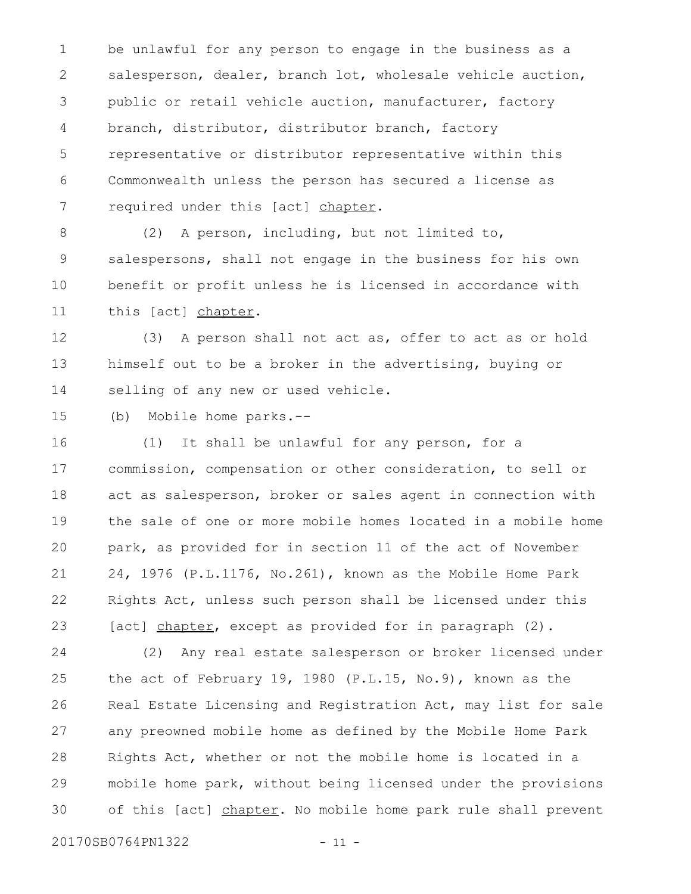be unlawful for any person to engage in the business as a salesperson, dealer, branch lot, wholesale vehicle auction, public or retail vehicle auction, manufacturer, factory branch, distributor, distributor branch, factory representative or distributor representative within this Commonwealth unless the person has secured a license as required under this [act] chapter. 1 2 3 4 5 6 7

(2) A person, including, but not limited to, salespersons, shall not engage in the business for his own benefit or profit unless he is licensed in accordance with this [act] chapter. 8 9 10 11

(3) A person shall not act as, offer to act as or hold himself out to be a broker in the advertising, buying or selling of any new or used vehicle. 12 13 14

(b) Mobile home parks.-- 15

(1) It shall be unlawful for any person, for a commission, compensation or other consideration, to sell or act as salesperson, broker or sales agent in connection with the sale of one or more mobile homes located in a mobile home park, as provided for in section 11 of the act of November 24, 1976 (P.L.1176, No.261), known as the Mobile Home Park Rights Act, unless such person shall be licensed under this [act] chapter, except as provided for in paragraph (2). 16 17 18 19 20 21 22 23

(2) Any real estate salesperson or broker licensed under the act of February 19, 1980 (P.L.15, No.9), known as the Real Estate Licensing and Registration Act, may list for sale any preowned mobile home as defined by the Mobile Home Park Rights Act, whether or not the mobile home is located in a mobile home park, without being licensed under the provisions of this [act] chapter. No mobile home park rule shall prevent 24 25 26 27 28 29 30

20170SB0764PN1322 - 11 -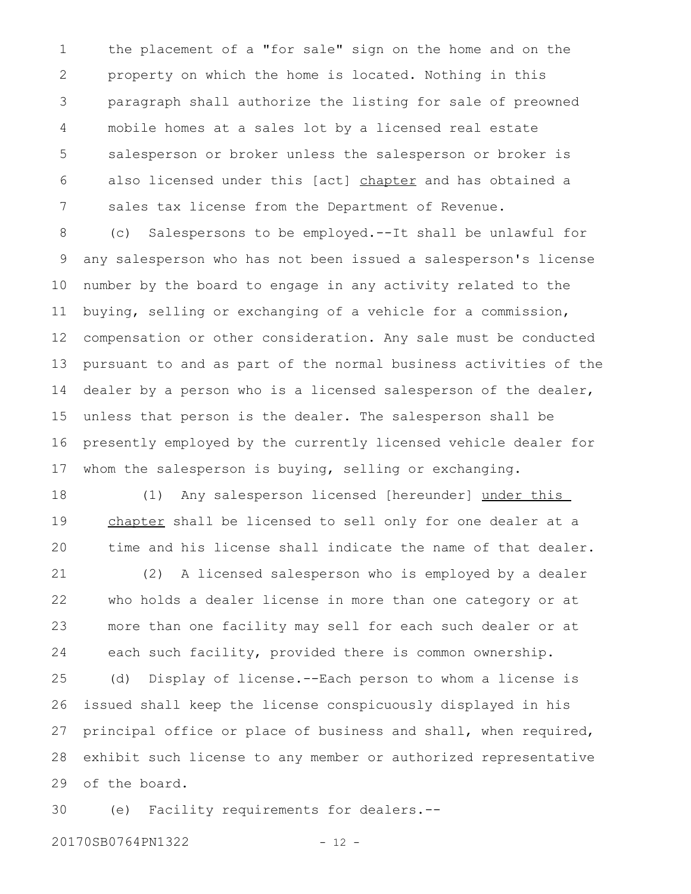the placement of a "for sale" sign on the home and on the property on which the home is located. Nothing in this paragraph shall authorize the listing for sale of preowned mobile homes at a sales lot by a licensed real estate salesperson or broker unless the salesperson or broker is also licensed under this [act] chapter and has obtained a sales tax license from the Department of Revenue. 1 2 3 4 5 6 7

(c) Salespersons to be employed.--It shall be unlawful for any salesperson who has not been issued a salesperson's license number by the board to engage in any activity related to the buying, selling or exchanging of a vehicle for a commission, compensation or other consideration. Any sale must be conducted pursuant to and as part of the normal business activities of the dealer by a person who is a licensed salesperson of the dealer, unless that person is the dealer. The salesperson shall be presently employed by the currently licensed vehicle dealer for whom the salesperson is buying, selling or exchanging. 8 9 10 11 12 13 14 15 16 17

(1) Any salesperson licensed [hereunder] under this chapter shall be licensed to sell only for one dealer at a time and his license shall indicate the name of that dealer. 18 19 20

(2) A licensed salesperson who is employed by a dealer who holds a dealer license in more than one category or at more than one facility may sell for each such dealer or at each such facility, provided there is common ownership. 21 22 23 24

(d) Display of license.--Each person to whom a license is issued shall keep the license conspicuously displayed in his principal office or place of business and shall, when required, exhibit such license to any member or authorized representative of the board. 25 26 27 28 29

(e) Facility requirements for dealers.-- 30

20170SB0764PN1322 - 12 -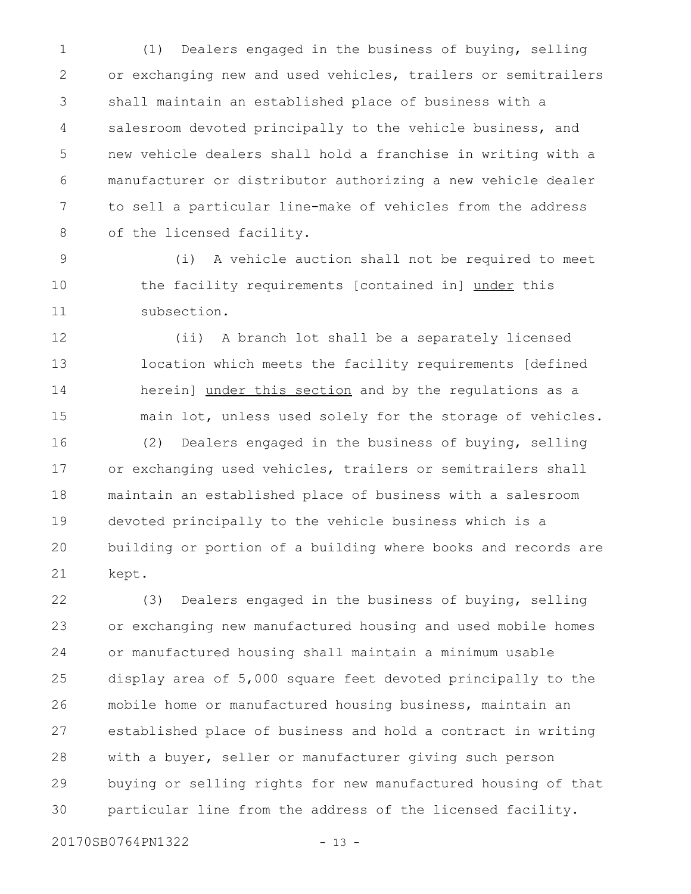(1) Dealers engaged in the business of buying, selling or exchanging new and used vehicles, trailers or semitrailers shall maintain an established place of business with a salesroom devoted principally to the vehicle business, and new vehicle dealers shall hold a franchise in writing with a manufacturer or distributor authorizing a new vehicle dealer to sell a particular line-make of vehicles from the address of the licensed facility. 1 2 3 4 5 6 7 8

(i) A vehicle auction shall not be required to meet the facility requirements [contained in] under this subsection. 9 10 11

(ii) A branch lot shall be a separately licensed location which meets the facility requirements [defined herein] under this section and by the regulations as a main lot, unless used solely for the storage of vehicles. (2) Dealers engaged in the business of buying, selling 12 13 14 15 16

or exchanging used vehicles, trailers or semitrailers shall maintain an established place of business with a salesroom devoted principally to the vehicle business which is a building or portion of a building where books and records are kept. 17 18 19 20 21

(3) Dealers engaged in the business of buying, selling or exchanging new manufactured housing and used mobile homes or manufactured housing shall maintain a minimum usable display area of 5,000 square feet devoted principally to the mobile home or manufactured housing business, maintain an established place of business and hold a contract in writing with a buyer, seller or manufacturer giving such person buying or selling rights for new manufactured housing of that particular line from the address of the licensed facility. 22 23 24 25 26 27 28 29 30

20170SB0764PN1322 - 13 -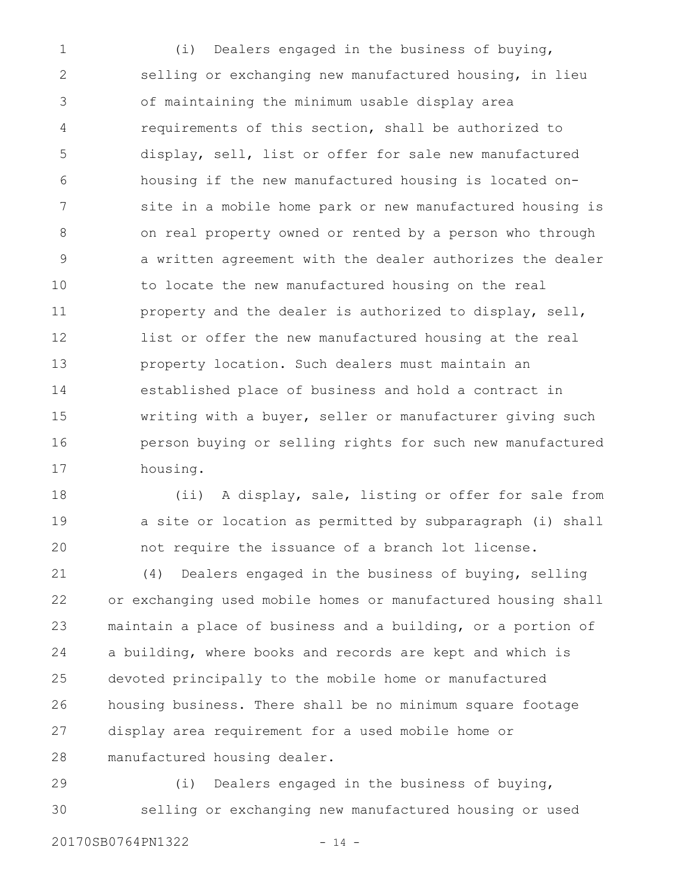(i) Dealers engaged in the business of buying, selling or exchanging new manufactured housing, in lieu of maintaining the minimum usable display area requirements of this section, shall be authorized to display, sell, list or offer for sale new manufactured housing if the new manufactured housing is located onsite in a mobile home park or new manufactured housing is on real property owned or rented by a person who through a written agreement with the dealer authorizes the dealer to locate the new manufactured housing on the real property and the dealer is authorized to display, sell, list or offer the new manufactured housing at the real property location. Such dealers must maintain an established place of business and hold a contract in writing with a buyer, seller or manufacturer giving such person buying or selling rights for such new manufactured housing. 1 2 3 4 5 6 7 8 9 10 11 12 13 14 15 16 17

(ii) A display, sale, listing or offer for sale from a site or location as permitted by subparagraph (i) shall not require the issuance of a branch lot license. 18 19 20

(4) Dealers engaged in the business of buying, selling or exchanging used mobile homes or manufactured housing shall maintain a place of business and a building, or a portion of a building, where books and records are kept and which is devoted principally to the mobile home or manufactured housing business. There shall be no minimum square footage display area requirement for a used mobile home or manufactured housing dealer. 21 22 23 24 25 26 27 28

(i) Dealers engaged in the business of buying, selling or exchanging new manufactured housing or used 29 30

20170SB0764PN1322 - 14 -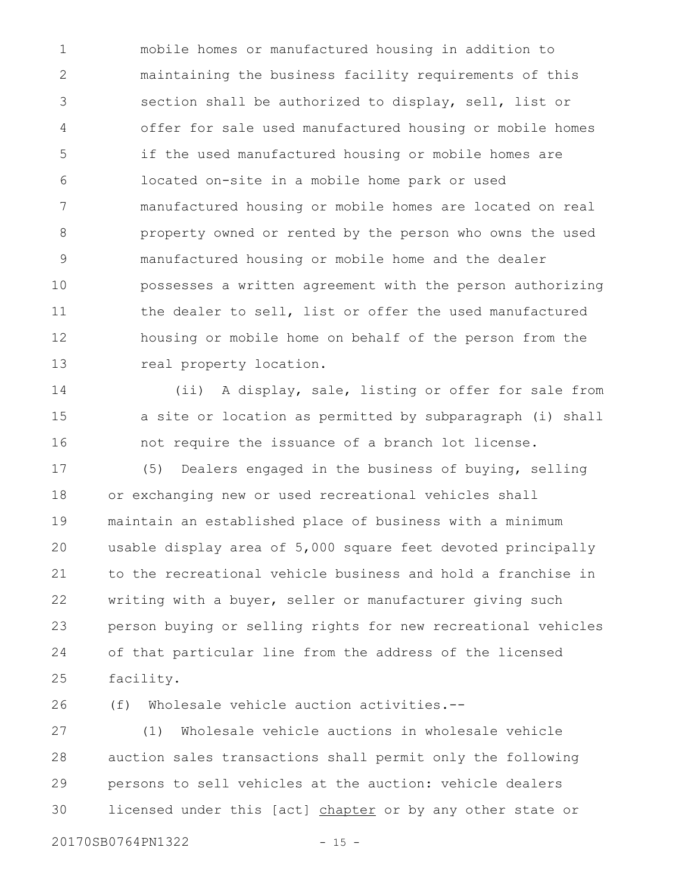mobile homes or manufactured housing in addition to maintaining the business facility requirements of this section shall be authorized to display, sell, list or offer for sale used manufactured housing or mobile homes if the used manufactured housing or mobile homes are located on-site in a mobile home park or used manufactured housing or mobile homes are located on real property owned or rented by the person who owns the used manufactured housing or mobile home and the dealer possesses a written agreement with the person authorizing the dealer to sell, list or offer the used manufactured housing or mobile home on behalf of the person from the real property location. 1 2 3 4 5 6 7 8 9 10 11 12 13

(ii) A display, sale, listing or offer for sale from a site or location as permitted by subparagraph (i) shall not require the issuance of a branch lot license. 14 15 16

(5) Dealers engaged in the business of buying, selling or exchanging new or used recreational vehicles shall maintain an established place of business with a minimum usable display area of 5,000 square feet devoted principally to the recreational vehicle business and hold a franchise in writing with a buyer, seller or manufacturer giving such person buying or selling rights for new recreational vehicles of that particular line from the address of the licensed facility. 17 18 19 20 21 22 23 24 25

(f) Wholesale vehicle auction activities.-- 26

(1) Wholesale vehicle auctions in wholesale vehicle auction sales transactions shall permit only the following persons to sell vehicles at the auction: vehicle dealers licensed under this [act] chapter or by any other state or 27 28 29 30

20170SB0764PN1322 - 15 -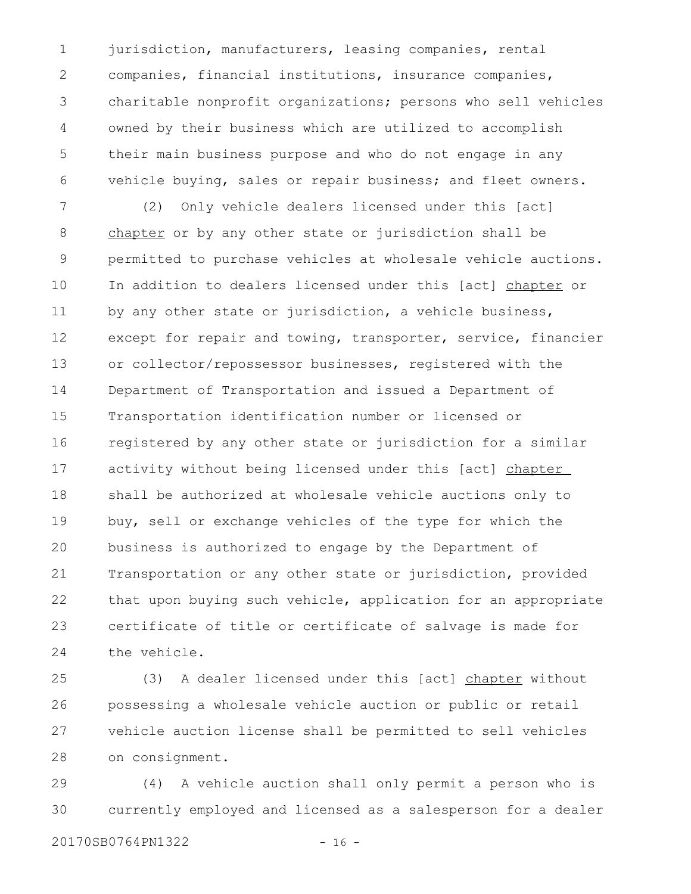jurisdiction, manufacturers, leasing companies, rental companies, financial institutions, insurance companies, charitable nonprofit organizations; persons who sell vehicles owned by their business which are utilized to accomplish their main business purpose and who do not engage in any vehicle buying, sales or repair business; and fleet owners. 1 2 3 4 5 6

(2) Only vehicle dealers licensed under this [act] chapter or by any other state or jurisdiction shall be permitted to purchase vehicles at wholesale vehicle auctions. In addition to dealers licensed under this [act] chapter or by any other state or jurisdiction, a vehicle business, except for repair and towing, transporter, service, financier or collector/repossessor businesses, registered with the Department of Transportation and issued a Department of Transportation identification number or licensed or registered by any other state or jurisdiction for a similar activity without being licensed under this [act] chapter shall be authorized at wholesale vehicle auctions only to buy, sell or exchange vehicles of the type for which the business is authorized to engage by the Department of Transportation or any other state or jurisdiction, provided that upon buying such vehicle, application for an appropriate certificate of title or certificate of salvage is made for the vehicle. 7 8 9 10 11 12 13 14 15 16 17 18 19 20 21 22 23 24

(3) A dealer licensed under this [act] chapter without possessing a wholesale vehicle auction or public or retail vehicle auction license shall be permitted to sell vehicles on consignment. 25 26 27 28

(4) A vehicle auction shall only permit a person who is currently employed and licensed as a salesperson for a dealer 29 30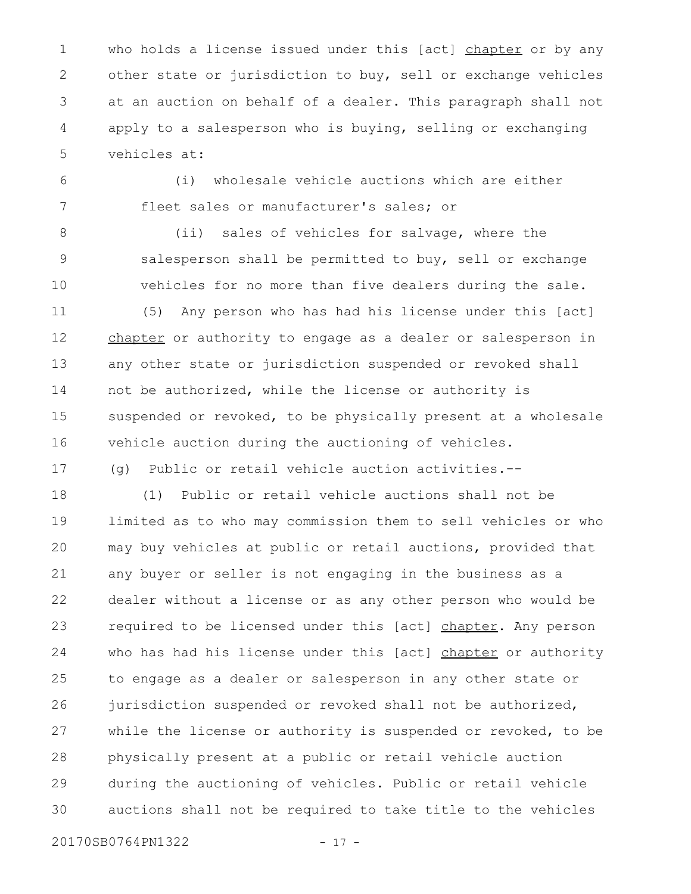who holds a license issued under this [act] chapter or by any other state or jurisdiction to buy, sell or exchange vehicles at an auction on behalf of a dealer. This paragraph shall not apply to a salesperson who is buying, selling or exchanging vehicles at: 1 2 3 4 5

6 7

(i) wholesale vehicle auctions which are either fleet sales or manufacturer's sales; or

8

9

10

17

(ii) sales of vehicles for salvage, where the salesperson shall be permitted to buy, sell or exchange vehicles for no more than five dealers during the sale.

(5) Any person who has had his license under this [act] chapter or authority to engage as a dealer or salesperson in any other state or jurisdiction suspended or revoked shall not be authorized, while the license or authority is suspended or revoked, to be physically present at a wholesale vehicle auction during the auctioning of vehicles. 11 12 13 14 15 16

(g) Public or retail vehicle auction activities.--

(1) Public or retail vehicle auctions shall not be limited as to who may commission them to sell vehicles or who may buy vehicles at public or retail auctions, provided that any buyer or seller is not engaging in the business as a dealer without a license or as any other person who would be required to be licensed under this [act] chapter. Any person who has had his license under this [act] chapter or authority to engage as a dealer or salesperson in any other state or jurisdiction suspended or revoked shall not be authorized, while the license or authority is suspended or revoked, to be physically present at a public or retail vehicle auction during the auctioning of vehicles. Public or retail vehicle auctions shall not be required to take title to the vehicles 18 19 20 21 22 23 24 25 26 27 28 29 30

20170SB0764PN1322 - 17 -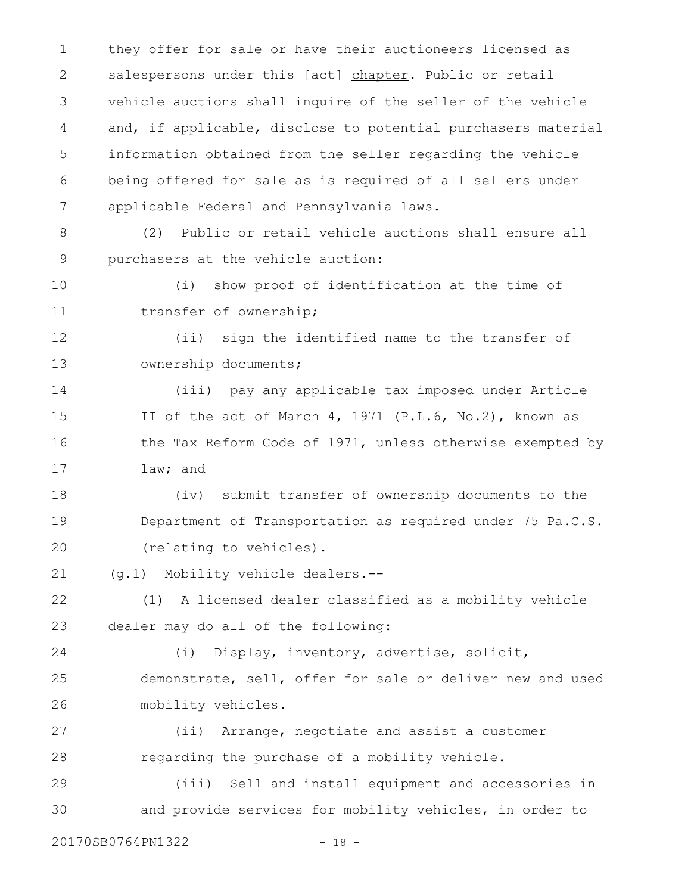they offer for sale or have their auctioneers licensed as salespersons under this [act] chapter. Public or retail vehicle auctions shall inquire of the seller of the vehicle and, if applicable, disclose to potential purchasers material information obtained from the seller regarding the vehicle being offered for sale as is required of all sellers under applicable Federal and Pennsylvania laws. 1 2 3 4 5 6 7

(2) Public or retail vehicle auctions shall ensure all purchasers at the vehicle auction: 8 9

(i) show proof of identification at the time of transfer of ownership; 10 11

(ii) sign the identified name to the transfer of ownership documents; 12 13

(iii) pay any applicable tax imposed under Article II of the act of March 4, 1971 (P.L.6, No.2), known as the Tax Reform Code of 1971, unless otherwise exempted by law; and 14 15 16 17

(iv) submit transfer of ownership documents to the Department of Transportation as required under 75 Pa.C.S. (relating to vehicles). 18 19 20

(g.1) Mobility vehicle dealers.-- 21

(1) A licensed dealer classified as a mobility vehicle dealer may do all of the following: 22 23

(i) Display, inventory, advertise, solicit, demonstrate, sell, offer for sale or deliver new and used mobility vehicles. 24 25 26

(ii) Arrange, negotiate and assist a customer regarding the purchase of a mobility vehicle. 27 28

(iii) Sell and install equipment and accessories in and provide services for mobility vehicles, in order to 29 30

20170SB0764PN1322 - 18 -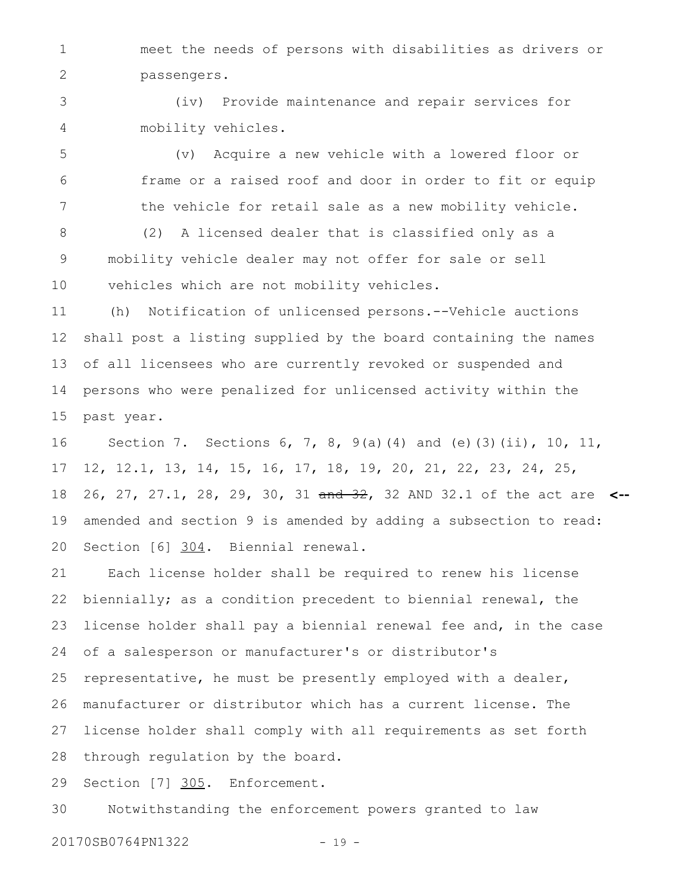meet the needs of persons with disabilities as drivers or passengers. 1 2

(iv) Provide maintenance and repair services for mobility vehicles. 3 4

(v) Acquire a new vehicle with a lowered floor or frame or a raised roof and door in order to fit or equip the vehicle for retail sale as a new mobility vehicle. 5 6 7

(2) A licensed dealer that is classified only as a mobility vehicle dealer may not offer for sale or sell vehicles which are not mobility vehicles. 8 9 10

(h) Notification of unlicensed persons.--Vehicle auctions shall post a listing supplied by the board containing the names of all licensees who are currently revoked or suspended and persons who were penalized for unlicensed activity within the past year. 11 12 13 14 15

Section 7. Sections 6, 7, 8, 9(a)(4) and (e)(3)(ii), 10, 11, 12, 12.1, 13, 14, 15, 16, 17, 18, 19, 20, 21, 22, 23, 24, 25, 26, 27, 27.1, 28, 29, 30, 31 and 32, 32 AND 32.1 of the act are **<-** amended and section 9 is amended by adding a subsection to read: Section [6] 304. Biennial renewal. 16 17 18 19 20

Each license holder shall be required to renew his license biennially; as a condition precedent to biennial renewal, the license holder shall pay a biennial renewal fee and, in the case of a salesperson or manufacturer's or distributor's representative, he must be presently employed with a dealer, manufacturer or distributor which has a current license. The license holder shall comply with all requirements as set forth through regulation by the board. 21 22 23 24 25 26 27 28

Section [7] 305. Enforcement. 29

Notwithstanding the enforcement powers granted to law 30

20170SB0764PN1322 - 19 -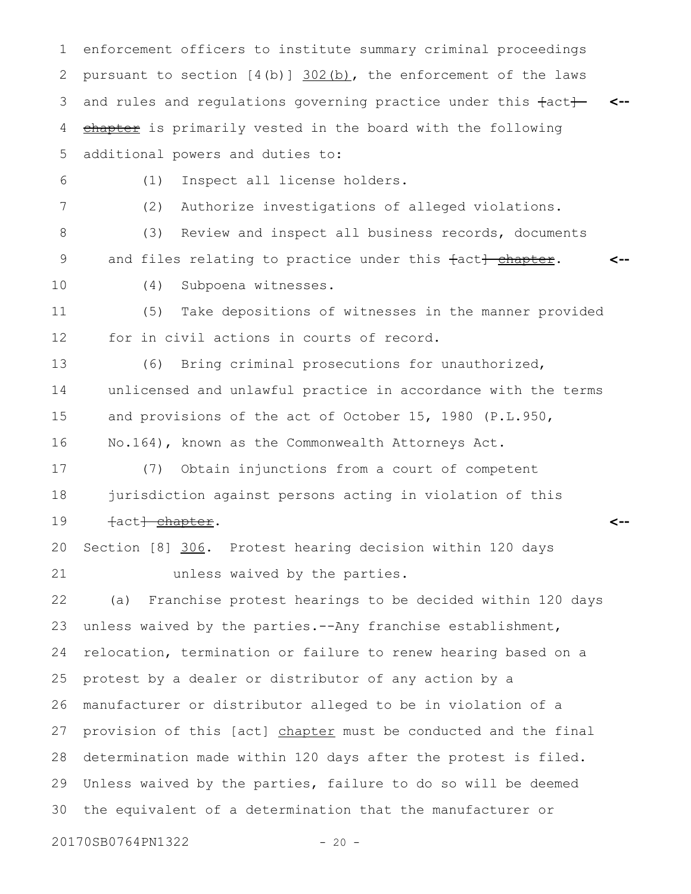enforcement officers to institute summary criminal proceedings pursuant to section  $[4(b)]$   $302(b)$ , the enforcement of the laws and rules and regulations governing practice under this  $\text{fact}$  <-chapter is primarily vested in the board with the following additional powers and duties to: 1 2 3 4 5

6

(1) Inspect all license holders.

7

(2) Authorize investigations of alleged violations.

(3) Review and inspect all business records, documents and files relating to practice under this fact} chapter. **<--** 8 9

10

(4) Subpoena witnesses.

(5) Take depositions of witnesses in the manner provided for in civil actions in courts of record. 11 12

(6) Bring criminal prosecutions for unauthorized, unlicensed and unlawful practice in accordance with the terms and provisions of the act of October 15, 1980 (P.L.950, No.164), known as the Commonwealth Attorneys Act. 13 14 15 16

**<--**

(7) Obtain injunctions from a court of competent jurisdiction against persons acting in violation of this fact<del>] chapter</del>. 17 18 19

Section [8] 306. Protest hearing decision within 120 days unless waived by the parties. 20 21

(a) Franchise protest hearings to be decided within 120 days unless waived by the parties.--Any franchise establishment, relocation, termination or failure to renew hearing based on a protest by a dealer or distributor of any action by a manufacturer or distributor alleged to be in violation of a provision of this [act] chapter must be conducted and the final determination made within 120 days after the protest is filed. Unless waived by the parties, failure to do so will be deemed the equivalent of a determination that the manufacturer or 22 23 24 25 26 27 28 29 30

20170SB0764PN1322 - 20 -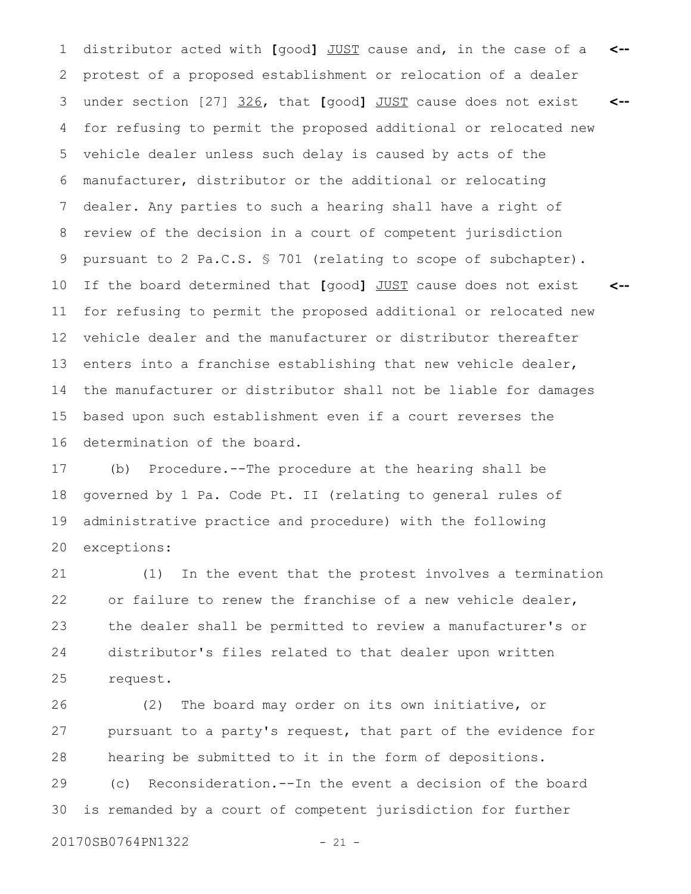distributor acted with **[**good**]** JUST cause and, in the case of a 1 **<-** protest of a proposed establishment or relocation of a dealer under section [27] 326, that **[**good**]** JUST cause does not exist for refusing to permit the proposed additional or relocated new vehicle dealer unless such delay is caused by acts of the manufacturer, distributor or the additional or relocating dealer. Any parties to such a hearing shall have a right of review of the decision in a court of competent jurisdiction pursuant to 2 Pa.C.S. § 701 (relating to scope of subchapter). If the board determined that **[**good**]** JUST cause does not exist for refusing to permit the proposed additional or relocated new vehicle dealer and the manufacturer or distributor thereafter enters into a franchise establishing that new vehicle dealer, the manufacturer or distributor shall not be liable for damages based upon such establishment even if a court reverses the determination of the board. **<-- <--** 2 3 4 5 6 7 8 9 10 11 12 13 14 15 16

(b) Procedure.--The procedure at the hearing shall be governed by 1 Pa. Code Pt. II (relating to general rules of administrative practice and procedure) with the following exceptions: 17 18 19 20

(1) In the event that the protest involves a termination or failure to renew the franchise of a new vehicle dealer, the dealer shall be permitted to review a manufacturer's or distributor's files related to that dealer upon written request. 21 22 23 24 25

(2) The board may order on its own initiative, or pursuant to a party's request, that part of the evidence for hearing be submitted to it in the form of depositions. 26 27 28

(c) Reconsideration.--In the event a decision of the board is remanded by a court of competent jurisdiction for further 29 30

20170SB0764PN1322 - 21 -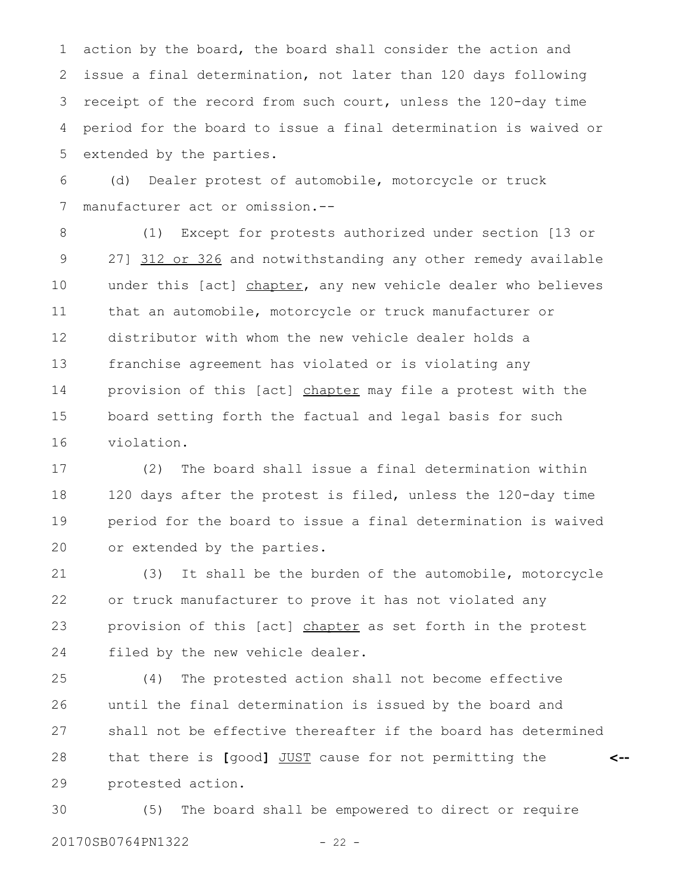action by the board, the board shall consider the action and issue a final determination, not later than 120 days following receipt of the record from such court, unless the 120-day time period for the board to issue a final determination is waived or extended by the parties. 1 2 3 4 5

(d) Dealer protest of automobile, motorcycle or truck manufacturer act or omission.-- 6 7

(1) Except for protests authorized under section [13 or 27] 312 or 326 and notwithstanding any other remedy available under this [act] chapter, any new vehicle dealer who believes that an automobile, motorcycle or truck manufacturer or distributor with whom the new vehicle dealer holds a franchise agreement has violated or is violating any provision of this [act] chapter may file a protest with the board setting forth the factual and legal basis for such violation. 8 9 10 11 12 13 14 15 16

(2) The board shall issue a final determination within 120 days after the protest is filed, unless the 120-day time period for the board to issue a final determination is waived or extended by the parties. 17 18 19 20

(3) It shall be the burden of the automobile, motorcycle or truck manufacturer to prove it has not violated any provision of this [act] chapter as set forth in the protest filed by the new vehicle dealer. 21 22 23 24

(4) The protested action shall not become effective until the final determination is issued by the board and shall not be effective thereafter if the board has determined that there is **[**good**]** JUST cause for not permitting the protested action. **<--** 25 26 27 28 29

(5) The board shall be empowered to direct or require 20170SB0764PN1322 - 22 -30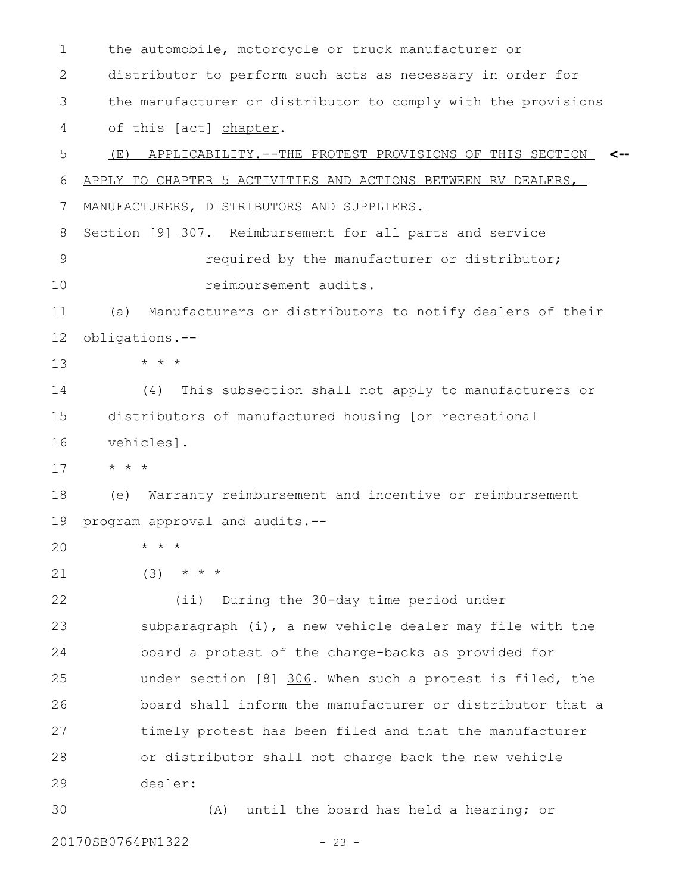the automobile, motorcycle or truck manufacturer or distributor to perform such acts as necessary in order for the manufacturer or distributor to comply with the provisions of this [act] chapter. (E) APPLICABILITY.--THE PROTEST PROVISIONS OF THIS SECTION **<--** APPLY TO CHAPTER 5 ACTIVITIES AND ACTIONS BETWEEN RV DEALERS, MANUFACTURERS, DISTRIBUTORS AND SUPPLIERS. Section [9] 307. Reimbursement for all parts and service required by the manufacturer or distributor; reimbursement audits. (a) Manufacturers or distributors to notify dealers of their obligations.-- \* \* \* (4) This subsection shall not apply to manufacturers or distributors of manufactured housing [or recreational vehicles]. \* \* \* (e) Warranty reimbursement and incentive or reimbursement program approval and audits.-- \* \* \*  $(3)$  \* \* \* (ii) During the 30-day time period under subparagraph (i), a new vehicle dealer may file with the board a protest of the charge-backs as provided for under section [8] 306. When such a protest is filed, the board shall inform the manufacturer or distributor that a timely protest has been filed and that the manufacturer or distributor shall not charge back the new vehicle dealer: (A) until the board has held a hearing; or 1 2 3 4 5 6 7 8 9 10 11 12 13 14 15 16 17 18 19 20 21 22 23 24 25 26 27 28 29 30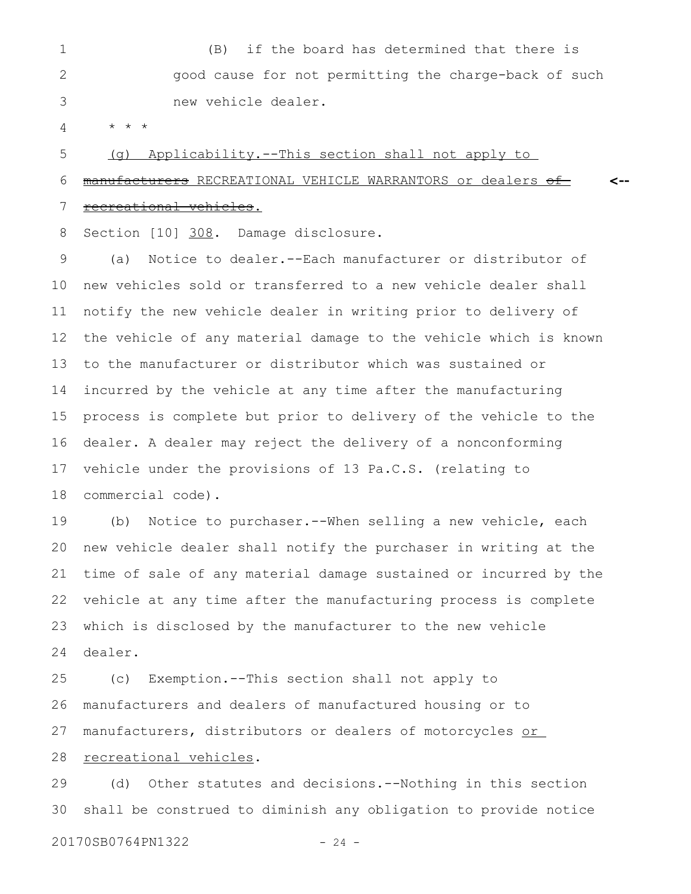(B) if the board has determined that there is good cause for not permitting the charge-back of such new vehicle dealer. 1 2 3

\* \* \* 4

(g) Applicability.--This section shall not apply to 5

manufacturers RECREATIONAL VEHICLE WARRANTORS or dealers of-**<--** 6

 recreational vehicles. 7

Section [10] 308. Damage disclosure. 8

(a) Notice to dealer.--Each manufacturer or distributor of new vehicles sold or transferred to a new vehicle dealer shall notify the new vehicle dealer in writing prior to delivery of the vehicle of any material damage to the vehicle which is known to the manufacturer or distributor which was sustained or incurred by the vehicle at any time after the manufacturing process is complete but prior to delivery of the vehicle to the dealer. A dealer may reject the delivery of a nonconforming vehicle under the provisions of 13 Pa.C.S. (relating to commercial code). 9 10 11 12 13 14 15 16 17 18

(b) Notice to purchaser.--When selling a new vehicle, each new vehicle dealer shall notify the purchaser in writing at the time of sale of any material damage sustained or incurred by the vehicle at any time after the manufacturing process is complete which is disclosed by the manufacturer to the new vehicle dealer. 19 20 21 22 23 24

(c) Exemption.--This section shall not apply to manufacturers and dealers of manufactured housing or to manufacturers, distributors or dealers of motorcycles or recreational vehicles. 25 26 27 28

(d) Other statutes and decisions.--Nothing in this section shall be construed to diminish any obligation to provide notice 29 30

20170SB0764PN1322 - 24 -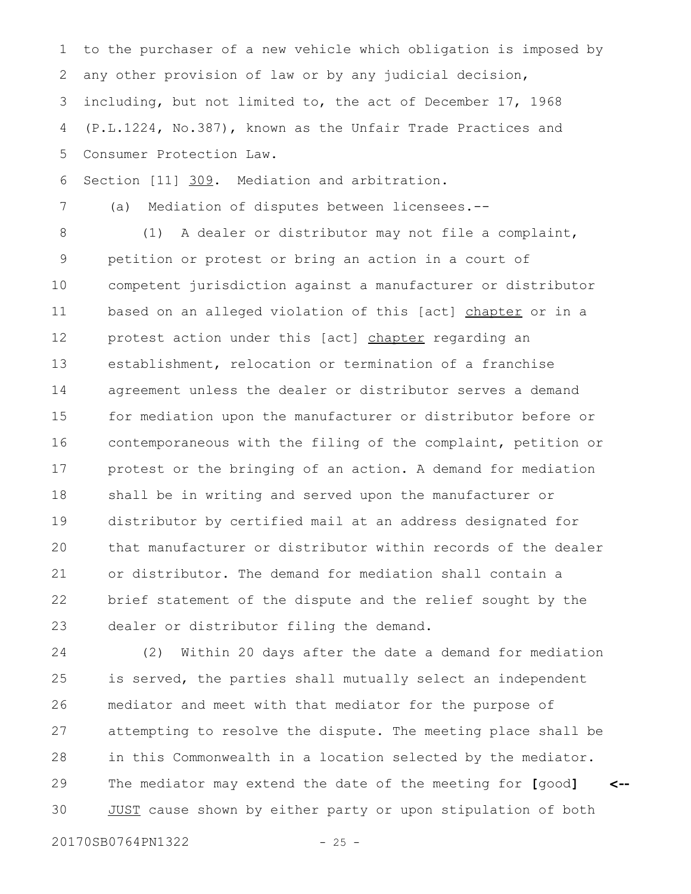to the purchaser of a new vehicle which obligation is imposed by any other provision of law or by any judicial decision, including, but not limited to, the act of December 17, 1968 (P.L.1224, No.387), known as the Unfair Trade Practices and Consumer Protection Law. 1 2 3 4 5

Section [11] 309. Mediation and arbitration. 6

(a) Mediation of disputes between licensees.--

(1) A dealer or distributor may not file a complaint, petition or protest or bring an action in a court of competent jurisdiction against a manufacturer or distributor based on an alleged violation of this [act] chapter or in a protest action under this [act] chapter regarding an establishment, relocation or termination of a franchise agreement unless the dealer or distributor serves a demand for mediation upon the manufacturer or distributor before or contemporaneous with the filing of the complaint, petition or protest or the bringing of an action. A demand for mediation shall be in writing and served upon the manufacturer or distributor by certified mail at an address designated for that manufacturer or distributor within records of the dealer or distributor. The demand for mediation shall contain a brief statement of the dispute and the relief sought by the dealer or distributor filing the demand. 8 9 10 11 12 13 14 15 16 17 18 19 20 21 22 23

(2) Within 20 days after the date a demand for mediation is served, the parties shall mutually select an independent mediator and meet with that mediator for the purpose of attempting to resolve the dispute. The meeting place shall be in this Commonwealth in a location selected by the mediator. The mediator may extend the date of the meeting for **[**good**]** JUST cause shown by either party or upon stipulation of both **<--** 24 25 26 27 28 29 30

20170SB0764PN1322 - 25 -

7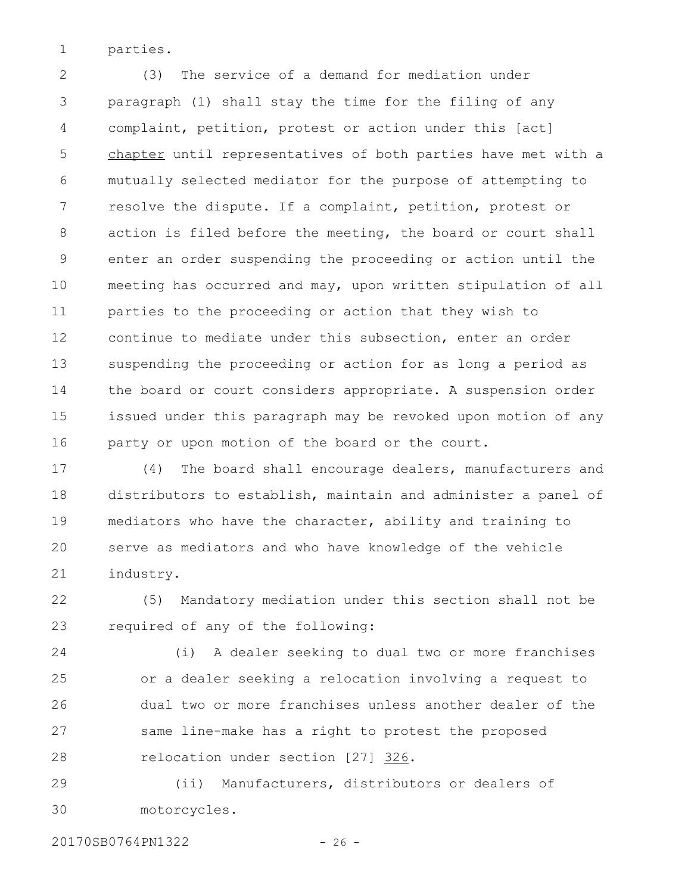parties. 1

(3) The service of a demand for mediation under paragraph (1) shall stay the time for the filing of any complaint, petition, protest or action under this [act] chapter until representatives of both parties have met with a mutually selected mediator for the purpose of attempting to resolve the dispute. If a complaint, petition, protest or action is filed before the meeting, the board or court shall enter an order suspending the proceeding or action until the meeting has occurred and may, upon written stipulation of all parties to the proceeding or action that they wish to continue to mediate under this subsection, enter an order suspending the proceeding or action for as long a period as the board or court considers appropriate. A suspension order issued under this paragraph may be revoked upon motion of any party or upon motion of the board or the court. 2 3 4 5 6 7 8 9 10 11 12 13 14 15 16

(4) The board shall encourage dealers, manufacturers and distributors to establish, maintain and administer a panel of mediators who have the character, ability and training to serve as mediators and who have knowledge of the vehicle industry. 17 18 19 20 21

(5) Mandatory mediation under this section shall not be required of any of the following: 22 23

(i) A dealer seeking to dual two or more franchises or a dealer seeking a relocation involving a request to dual two or more franchises unless another dealer of the same line-make has a right to protest the proposed relocation under section [27] 326. 24 25 26 27 28

(ii) Manufacturers, distributors or dealers of motorcycles. 29 30

20170SB0764PN1322 - 26 -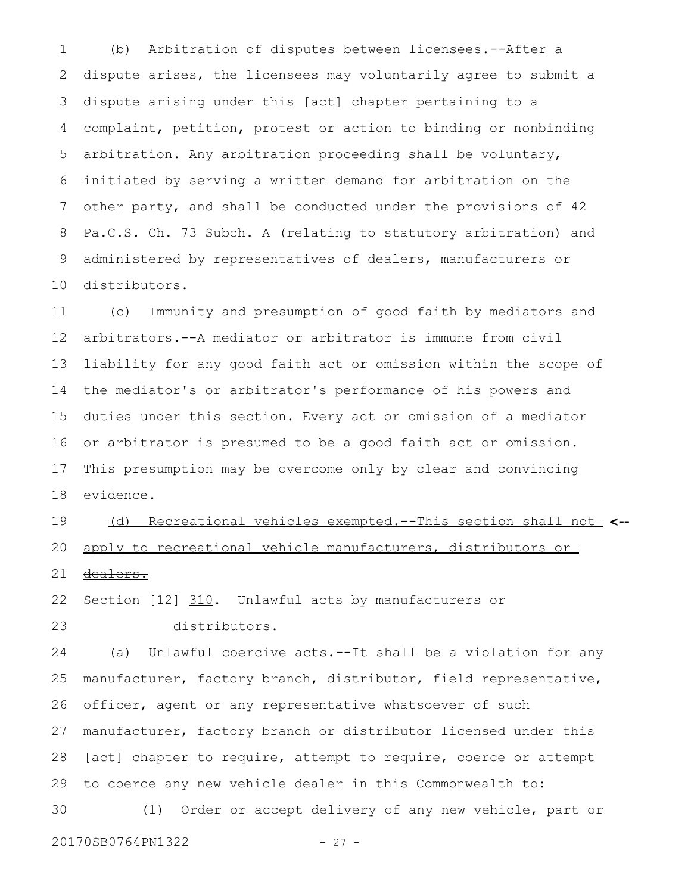(b) Arbitration of disputes between licensees.--After a dispute arises, the licensees may voluntarily agree to submit a dispute arising under this [act] chapter pertaining to a complaint, petition, protest or action to binding or nonbinding arbitration. Any arbitration proceeding shall be voluntary, initiated by serving a written demand for arbitration on the other party, and shall be conducted under the provisions of 42 Pa.C.S. Ch. 73 Subch. A (relating to statutory arbitration) and administered by representatives of dealers, manufacturers or distributors. 1 2 3 4 5 6 7 8 9 10

(c) Immunity and presumption of good faith by mediators and arbitrators.--A mediator or arbitrator is immune from civil liability for any good faith act or omission within the scope of the mediator's or arbitrator's performance of his powers and duties under this section. Every act or omission of a mediator or arbitrator is presumed to be a good faith act or omission. This presumption may be overcome only by clear and convincing evidence. 11 12 13 14 15 16 17 18

(d) Recreational vehicles exempted.--This section shall not **<-** apply to recreational vehicle manufacturers, distributor 19 20

dealers. 21

Section [12] 310. Unlawful acts by manufacturers or distributors. 22 23

(a) Unlawful coercive acts.--It shall be a violation for any manufacturer, factory branch, distributor, field representative, officer, agent or any representative whatsoever of such manufacturer, factory branch or distributor licensed under this [act] chapter to require, attempt to require, coerce or attempt to coerce any new vehicle dealer in this Commonwealth to: (1) Order or accept delivery of any new vehicle, part or 24 25 26 27 28 29 30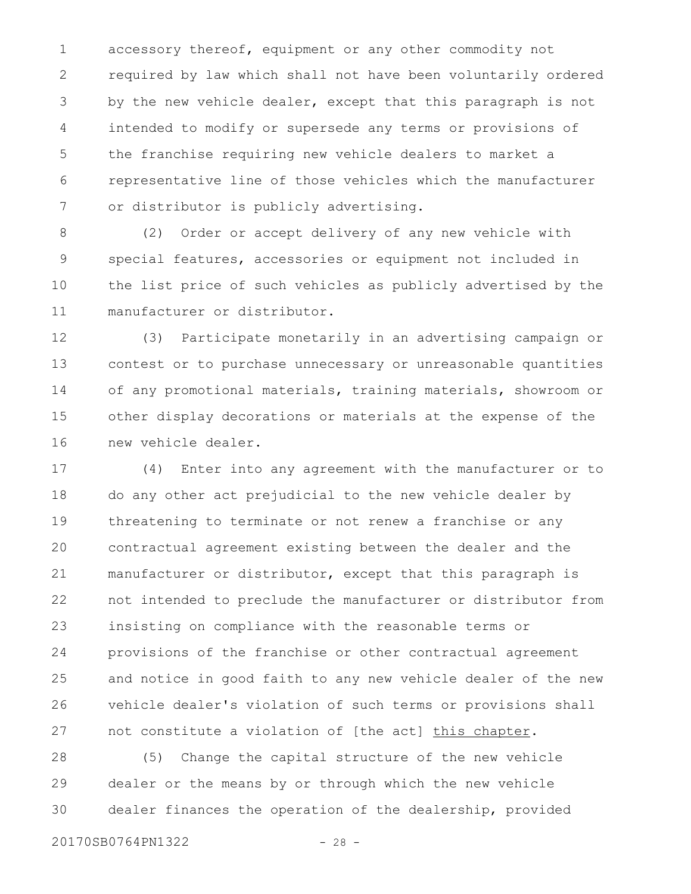accessory thereof, equipment or any other commodity not required by law which shall not have been voluntarily ordered by the new vehicle dealer, except that this paragraph is not intended to modify or supersede any terms or provisions of the franchise requiring new vehicle dealers to market a representative line of those vehicles which the manufacturer or distributor is publicly advertising. 1 2 3 4 5 6 7

(2) Order or accept delivery of any new vehicle with special features, accessories or equipment not included in the list price of such vehicles as publicly advertised by the manufacturer or distributor. 8 9 10 11

(3) Participate monetarily in an advertising campaign or contest or to purchase unnecessary or unreasonable quantities of any promotional materials, training materials, showroom or other display decorations or materials at the expense of the new vehicle dealer. 12 13 14 15 16

(4) Enter into any agreement with the manufacturer or to do any other act prejudicial to the new vehicle dealer by threatening to terminate or not renew a franchise or any contractual agreement existing between the dealer and the manufacturer or distributor, except that this paragraph is not intended to preclude the manufacturer or distributor from insisting on compliance with the reasonable terms or provisions of the franchise or other contractual agreement and notice in good faith to any new vehicle dealer of the new vehicle dealer's violation of such terms or provisions shall not constitute a violation of [the act] this chapter. 17 18 19 20 21 22 23 24 25 26 27

(5) Change the capital structure of the new vehicle dealer or the means by or through which the new vehicle dealer finances the operation of the dealership, provided 28 29 30

20170SB0764PN1322 - 28 -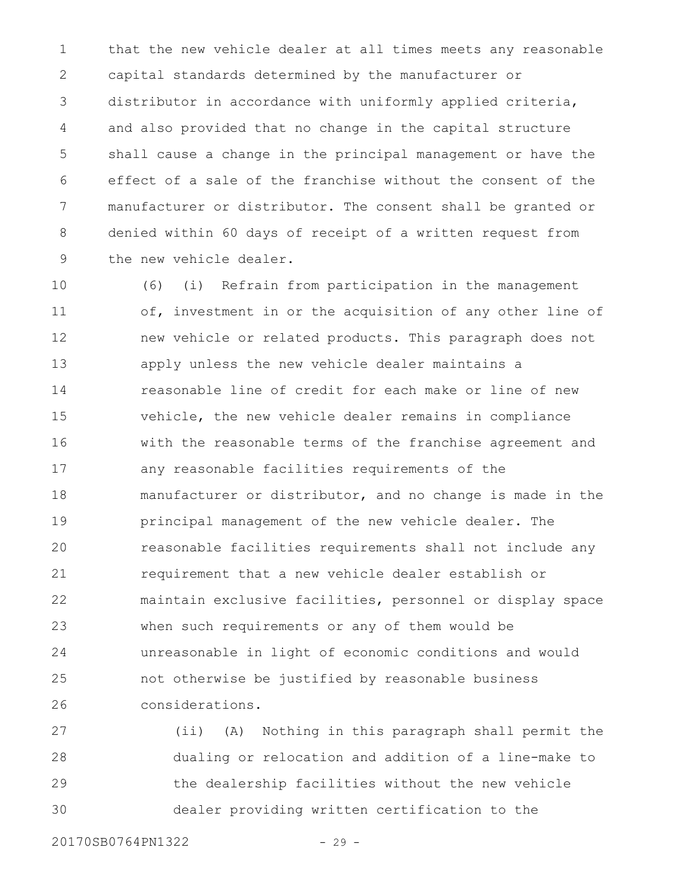that the new vehicle dealer at all times meets any reasonable capital standards determined by the manufacturer or distributor in accordance with uniformly applied criteria, and also provided that no change in the capital structure shall cause a change in the principal management or have the effect of a sale of the franchise without the consent of the manufacturer or distributor. The consent shall be granted or denied within 60 days of receipt of a written request from the new vehicle dealer. 1 2 3 4 5 6 7 8 9

(6) (i) Refrain from participation in the management of, investment in or the acquisition of any other line of new vehicle or related products. This paragraph does not apply unless the new vehicle dealer maintains a reasonable line of credit for each make or line of new vehicle, the new vehicle dealer remains in compliance with the reasonable terms of the franchise agreement and any reasonable facilities requirements of the manufacturer or distributor, and no change is made in the principal management of the new vehicle dealer. The reasonable facilities requirements shall not include any requirement that a new vehicle dealer establish or maintain exclusive facilities, personnel or display space when such requirements or any of them would be unreasonable in light of economic conditions and would not otherwise be justified by reasonable business considerations. 10 11 12 13 14 15 16 17 18 19 20 21 22 23 24 25 26

(ii) (A) Nothing in this paragraph shall permit the dualing or relocation and addition of a line-make to the dealership facilities without the new vehicle dealer providing written certification to the 27 28 29 30

20170SB0764PN1322 - 29 -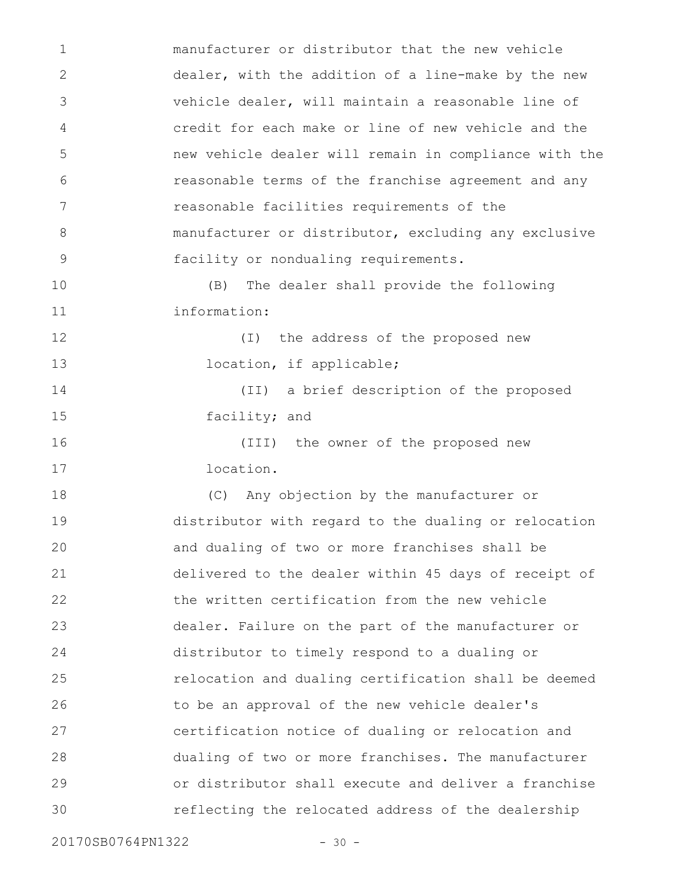manufacturer or distributor that the new vehicle dealer, with the addition of a line-make by the new vehicle dealer, will maintain a reasonable line of credit for each make or line of new vehicle and the new vehicle dealer will remain in compliance with the reasonable terms of the franchise agreement and any reasonable facilities requirements of the manufacturer or distributor, excluding any exclusive facility or nondualing requirements. (B) The dealer shall provide the following information: (I) the address of the proposed new location, if applicable; (II) a brief description of the proposed facility; and (III) the owner of the proposed new location. (C) Any objection by the manufacturer or distributor with regard to the dualing or relocation and dualing of two or more franchises shall be delivered to the dealer within 45 days of receipt of the written certification from the new vehicle dealer. Failure on the part of the manufacturer or distributor to timely respond to a dualing or relocation and dualing certification shall be deemed to be an approval of the new vehicle dealer's certification notice of dualing or relocation and dualing of two or more franchises. The manufacturer or distributor shall execute and deliver a franchise reflecting the relocated address of the dealership 1 2 3 4 5 6 7 8 9 10 11 12 13 14 15 16 17 18 19 20 21 22 23 24 25 26 27 28 29 30

20170SB0764PN1322 - 30 -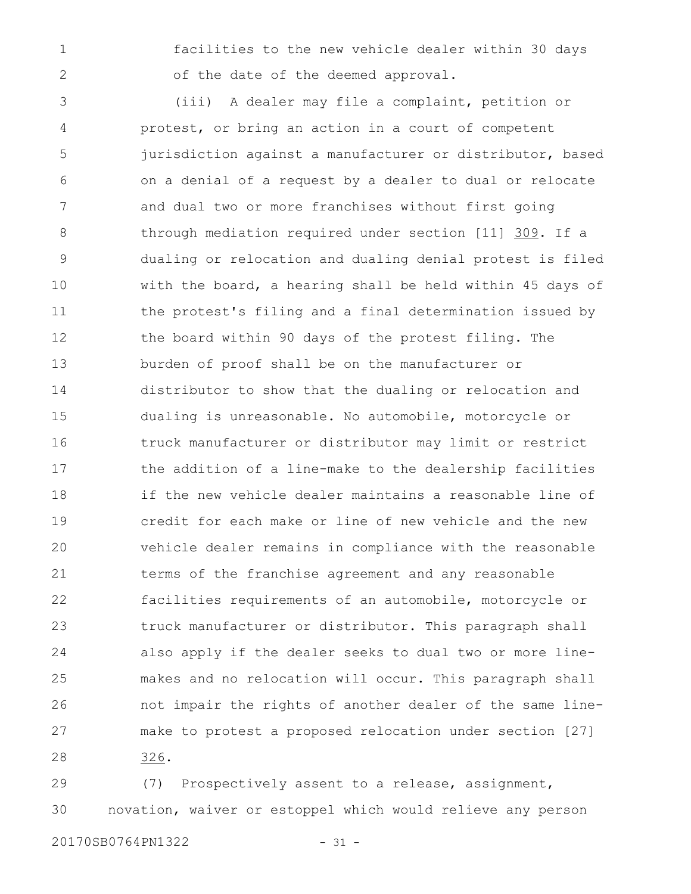1

2

facilities to the new vehicle dealer within 30 days of the date of the deemed approval.

(iii) A dealer may file a complaint, petition or protest, or bring an action in a court of competent jurisdiction against a manufacturer or distributor, based on a denial of a request by a dealer to dual or relocate and dual two or more franchises without first going through mediation required under section [11] 309. If a dualing or relocation and dualing denial protest is filed with the board, a hearing shall be held within 45 days of the protest's filing and a final determination issued by the board within 90 days of the protest filing. The burden of proof shall be on the manufacturer or distributor to show that the dualing or relocation and dualing is unreasonable. No automobile, motorcycle or truck manufacturer or distributor may limit or restrict the addition of a line-make to the dealership facilities if the new vehicle dealer maintains a reasonable line of credit for each make or line of new vehicle and the new vehicle dealer remains in compliance with the reasonable terms of the franchise agreement and any reasonable facilities requirements of an automobile, motorcycle or truck manufacturer or distributor. This paragraph shall also apply if the dealer seeks to dual two or more linemakes and no relocation will occur. This paragraph shall not impair the rights of another dealer of the same linemake to protest a proposed relocation under section [27] 326. 3 4 5 6 7 8 9 10 11 12 13 14 15 16 17 18 19 20 21 22 23 24 25 26 27 28

(7) Prospectively assent to a release, assignment, novation, waiver or estoppel which would relieve any person 29 30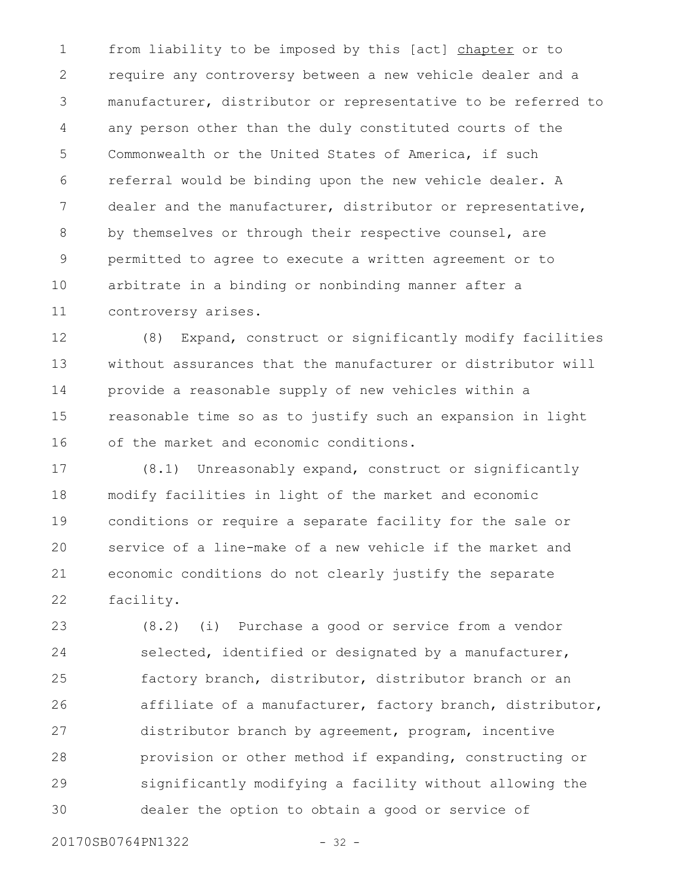from liability to be imposed by this [act] chapter or to require any controversy between a new vehicle dealer and a manufacturer, distributor or representative to be referred to any person other than the duly constituted courts of the Commonwealth or the United States of America, if such referral would be binding upon the new vehicle dealer. A dealer and the manufacturer, distributor or representative, by themselves or through their respective counsel, are permitted to agree to execute a written agreement or to arbitrate in a binding or nonbinding manner after a controversy arises. 1 2 3 4 5 6 7 8 9 10 11

(8) Expand, construct or significantly modify facilities without assurances that the manufacturer or distributor will provide a reasonable supply of new vehicles within a reasonable time so as to justify such an expansion in light of the market and economic conditions. 12 13 14 15 16

(8.1) Unreasonably expand, construct or significantly modify facilities in light of the market and economic conditions or require a separate facility for the sale or service of a line-make of a new vehicle if the market and economic conditions do not clearly justify the separate facility. 17 18 19 20 21 22

(8.2) (i) Purchase a good or service from a vendor selected, identified or designated by a manufacturer, factory branch, distributor, distributor branch or an affiliate of a manufacturer, factory branch, distributor, distributor branch by agreement, program, incentive provision or other method if expanding, constructing or significantly modifying a facility without allowing the dealer the option to obtain a good or service of 23 24 25 26 27 28 29 30

20170SB0764PN1322 - 32 -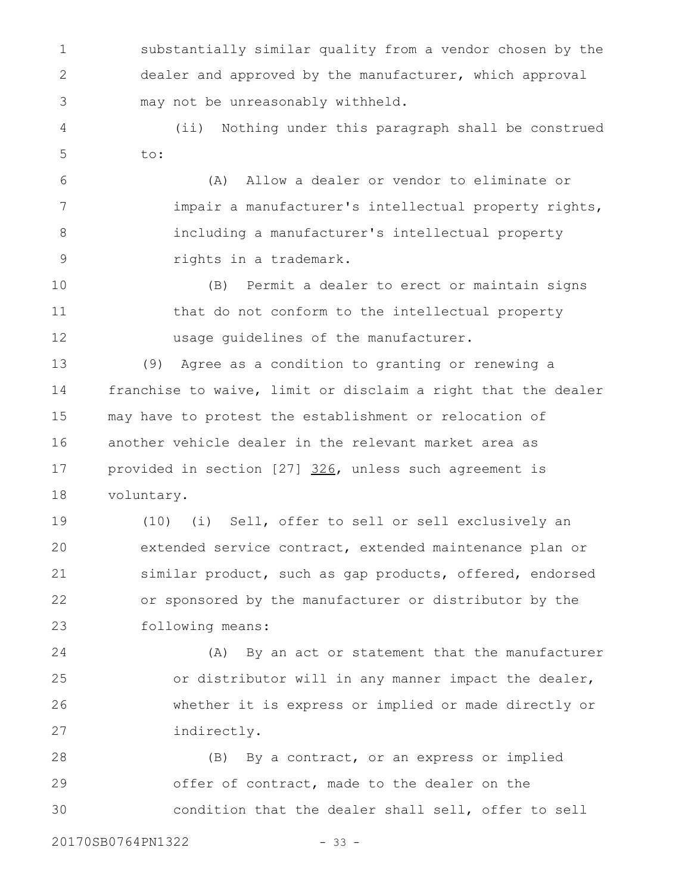substantially similar quality from a vendor chosen by the dealer and approved by the manufacturer, which approval may not be unreasonably withheld. 1 2 3

(ii) Nothing under this paragraph shall be construed to: 4 5

(A) Allow a dealer or vendor to eliminate or impair a manufacturer's intellectual property rights, including a manufacturer's intellectual property rights in a trademark. 6 7 8 9

(B) Permit a dealer to erect or maintain signs that do not conform to the intellectual property usage guidelines of the manufacturer. 10 11 12

(9) Agree as a condition to granting or renewing a franchise to waive, limit or disclaim a right that the dealer may have to protest the establishment or relocation of another vehicle dealer in the relevant market area as provided in section [27] 326, unless such agreement is voluntary. 13 14 15 16 17 18

(10) (i) Sell, offer to sell or sell exclusively an extended service contract, extended maintenance plan or similar product, such as gap products, offered, endorsed or sponsored by the manufacturer or distributor by the following means: 19 20 21 22 23

(A) By an act or statement that the manufacturer or distributor will in any manner impact the dealer, whether it is express or implied or made directly or indirectly. 24 25 26 27

(B) By a contract, or an express or implied offer of contract, made to the dealer on the condition that the dealer shall sell, offer to sell 28 29 30

20170SB0764PN1322 - 33 -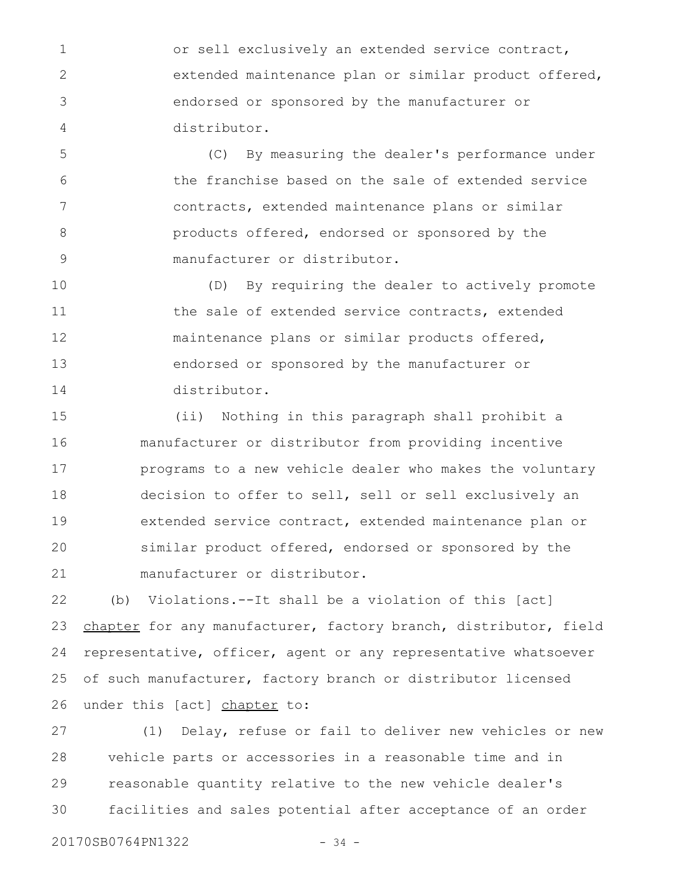or sell exclusively an extended service contract, extended maintenance plan or similar product offered, endorsed or sponsored by the manufacturer or distributor. 1 2 3 4

(C) By measuring the dealer's performance under the franchise based on the sale of extended service contracts, extended maintenance plans or similar products offered, endorsed or sponsored by the manufacturer or distributor. 5 6 7 8 9

(D) By requiring the dealer to actively promote the sale of extended service contracts, extended maintenance plans or similar products offered, endorsed or sponsored by the manufacturer or distributor. 10 11 12 13 14

(ii) Nothing in this paragraph shall prohibit a manufacturer or distributor from providing incentive programs to a new vehicle dealer who makes the voluntary decision to offer to sell, sell or sell exclusively an extended service contract, extended maintenance plan or similar product offered, endorsed or sponsored by the manufacturer or distributor. 15 16 17 18 19 20 21

(b) Violations.--It shall be a violation of this [act] chapter for any manufacturer, factory branch, distributor, field representative, officer, agent or any representative whatsoever of such manufacturer, factory branch or distributor licensed under this [act] chapter to: 22 23 24 25 26

(1) Delay, refuse or fail to deliver new vehicles or new vehicle parts or accessories in a reasonable time and in reasonable quantity relative to the new vehicle dealer's facilities and sales potential after acceptance of an order 27 28 29 30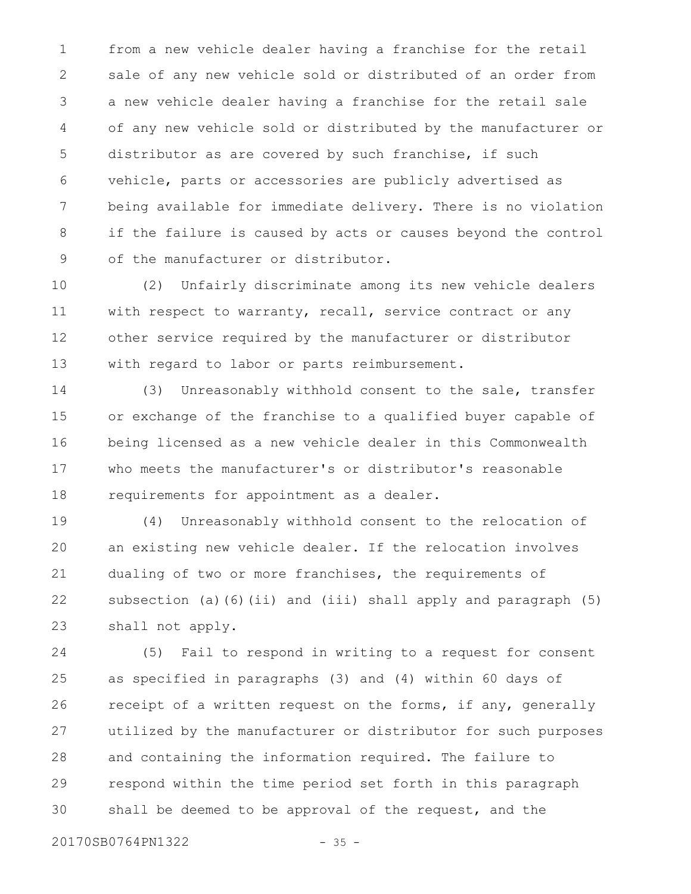from a new vehicle dealer having a franchise for the retail sale of any new vehicle sold or distributed of an order from a new vehicle dealer having a franchise for the retail sale of any new vehicle sold or distributed by the manufacturer or distributor as are covered by such franchise, if such vehicle, parts or accessories are publicly advertised as being available for immediate delivery. There is no violation if the failure is caused by acts or causes beyond the control of the manufacturer or distributor. 1 2 3 4 5 6 7 8 9

(2) Unfairly discriminate among its new vehicle dealers with respect to warranty, recall, service contract or any other service required by the manufacturer or distributor with regard to labor or parts reimbursement. 10 11 12 13

(3) Unreasonably withhold consent to the sale, transfer or exchange of the franchise to a qualified buyer capable of being licensed as a new vehicle dealer in this Commonwealth who meets the manufacturer's or distributor's reasonable requirements for appointment as a dealer. 14 15 16 17 18

(4) Unreasonably withhold consent to the relocation of an existing new vehicle dealer. If the relocation involves dualing of two or more franchises, the requirements of subsection (a)(6)(ii) and (iii) shall apply and paragraph (5) shall not apply. 19 20 21 22 23

(5) Fail to respond in writing to a request for consent as specified in paragraphs (3) and (4) within 60 days of receipt of a written request on the forms, if any, generally utilized by the manufacturer or distributor for such purposes and containing the information required. The failure to respond within the time period set forth in this paragraph shall be deemed to be approval of the request, and the 24 25 26 27 28 29 30

20170SB0764PN1322 - 35 -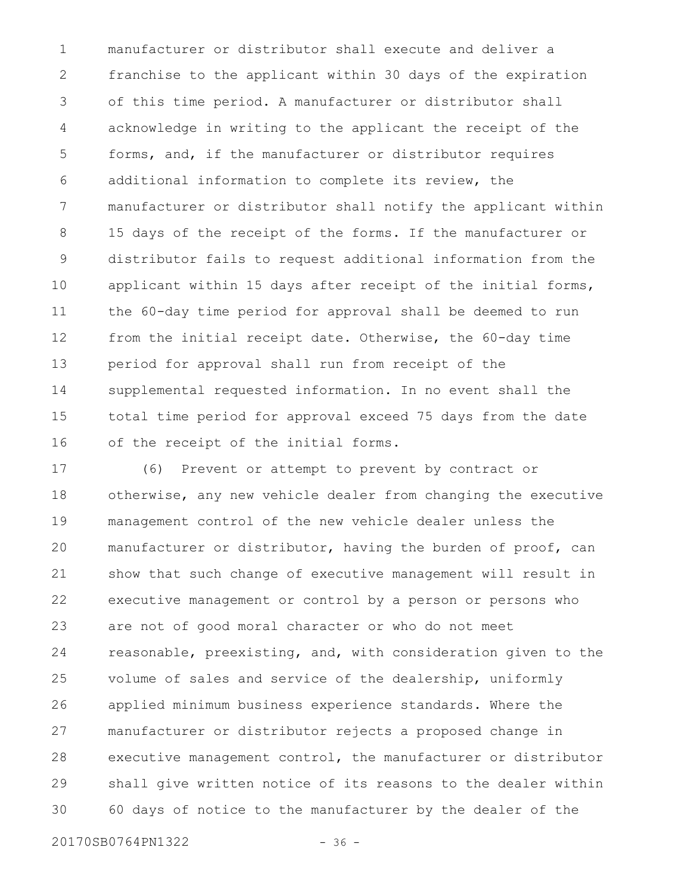manufacturer or distributor shall execute and deliver a franchise to the applicant within 30 days of the expiration of this time period. A manufacturer or distributor shall acknowledge in writing to the applicant the receipt of the forms, and, if the manufacturer or distributor requires additional information to complete its review, the manufacturer or distributor shall notify the applicant within 15 days of the receipt of the forms. If the manufacturer or distributor fails to request additional information from the applicant within 15 days after receipt of the initial forms, the 60-day time period for approval shall be deemed to run from the initial receipt date. Otherwise, the 60-day time period for approval shall run from receipt of the supplemental requested information. In no event shall the total time period for approval exceed 75 days from the date of the receipt of the initial forms. 1 2 3 4 5 6 7 8 9 10 11 12 13 14 15 16

(6) Prevent or attempt to prevent by contract or otherwise, any new vehicle dealer from changing the executive management control of the new vehicle dealer unless the manufacturer or distributor, having the burden of proof, can show that such change of executive management will result in executive management or control by a person or persons who are not of good moral character or who do not meet reasonable, preexisting, and, with consideration given to the volume of sales and service of the dealership, uniformly applied minimum business experience standards. Where the manufacturer or distributor rejects a proposed change in executive management control, the manufacturer or distributor shall give written notice of its reasons to the dealer within 60 days of notice to the manufacturer by the dealer of the 17 18 19 20 21 22 23 24 25 26 27 28 29 30

20170SB0764PN1322 - 36 -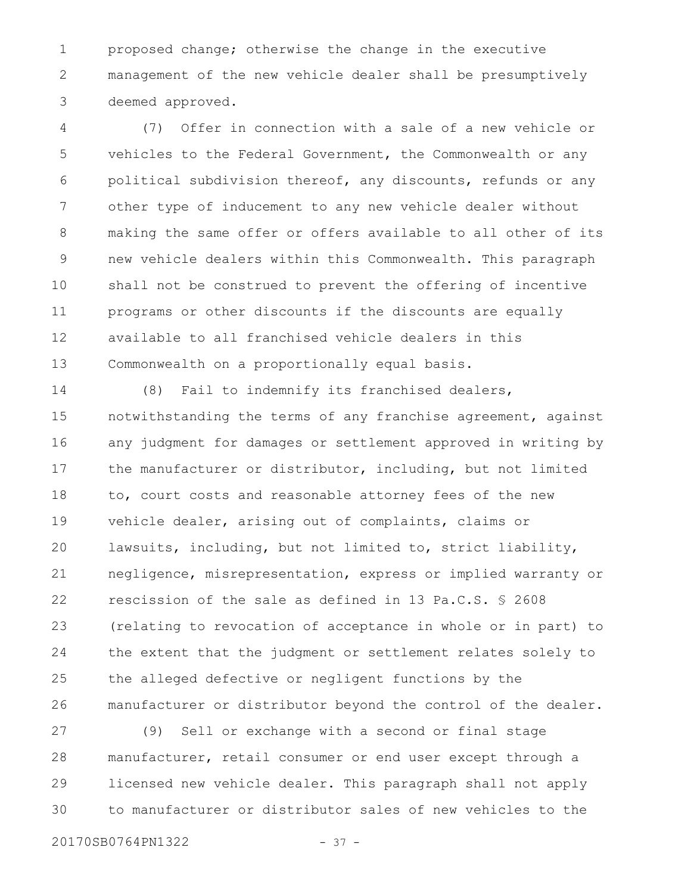proposed change; otherwise the change in the executive management of the new vehicle dealer shall be presumptively deemed approved. 1 2 3

(7) Offer in connection with a sale of a new vehicle or vehicles to the Federal Government, the Commonwealth or any political subdivision thereof, any discounts, refunds or any other type of inducement to any new vehicle dealer without making the same offer or offers available to all other of its new vehicle dealers within this Commonwealth. This paragraph shall not be construed to prevent the offering of incentive programs or other discounts if the discounts are equally available to all franchised vehicle dealers in this Commonwealth on a proportionally equal basis. 4 5 6 7 8 9 10 11 12 13

(8) Fail to indemnify its franchised dealers, notwithstanding the terms of any franchise agreement, against any judgment for damages or settlement approved in writing by the manufacturer or distributor, including, but not limited to, court costs and reasonable attorney fees of the new vehicle dealer, arising out of complaints, claims or lawsuits, including, but not limited to, strict liability, negligence, misrepresentation, express or implied warranty or rescission of the sale as defined in 13 Pa.C.S. § 2608 (relating to revocation of acceptance in whole or in part) to the extent that the judgment or settlement relates solely to the alleged defective or negligent functions by the manufacturer or distributor beyond the control of the dealer. 14 15 16 17 18 19 20 21 22 23 24 25 26

(9) Sell or exchange with a second or final stage manufacturer, retail consumer or end user except through a licensed new vehicle dealer. This paragraph shall not apply to manufacturer or distributor sales of new vehicles to the 27 28 29 30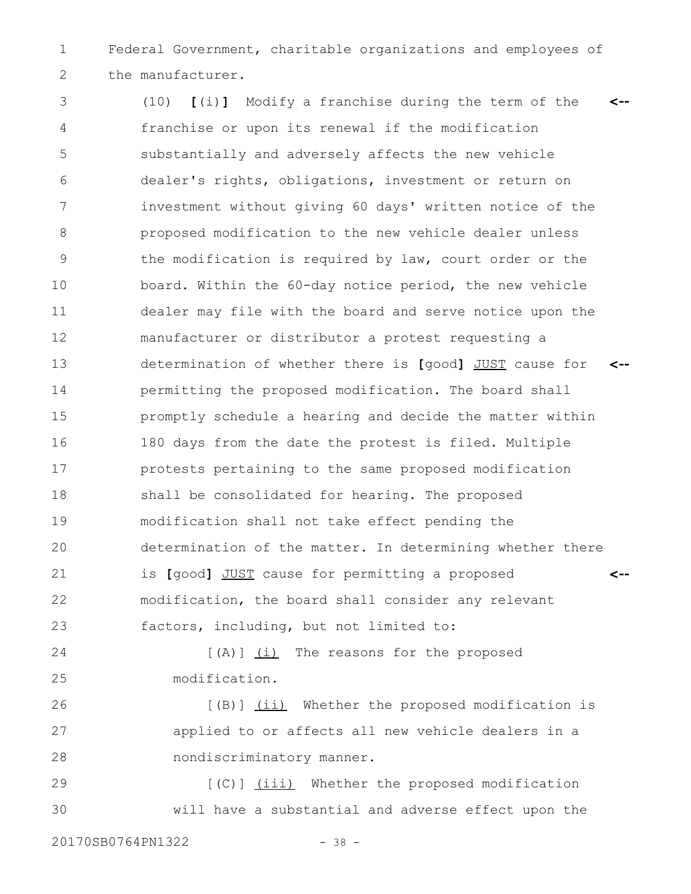Federal Government, charitable organizations and employees of the manufacturer. 1 2

(10) **[**(i)**]** Modify a franchise during the term of the franchise or upon its renewal if the modification substantially and adversely affects the new vehicle dealer's rights, obligations, investment or return on investment without giving 60 days' written notice of the proposed modification to the new vehicle dealer unless the modification is required by law, court order or the board. Within the 60-day notice period, the new vehicle dealer may file with the board and serve notice upon the manufacturer or distributor a protest requesting a determination of whether there is **[**good**]** JUST cause for permitting the proposed modification. The board shall promptly schedule a hearing and decide the matter within 180 days from the date the protest is filed. Multiple protests pertaining to the same proposed modification shall be consolidated for hearing. The proposed modification shall not take effect pending the determination of the matter. In determining whether there is **[**good**]** JUST cause for permitting a proposed modification, the board shall consider any relevant factors, including, but not limited to: **<-- <-- <--** 3 4 5 6 7 8 9 10 11 12 13 14 15 16 17 18 19 20 21 22 23

 $[(A)]$   $(i)$  The reasons for the proposed modification. 24 25

[(B)] (ii) Whether the proposed modification is applied to or affects all new vehicle dealers in a nondiscriminatory manner. 26 27 28

[(C)] (iii) Whether the proposed modification will have a substantial and adverse effect upon the 29 30

20170SB0764PN1322 - 38 -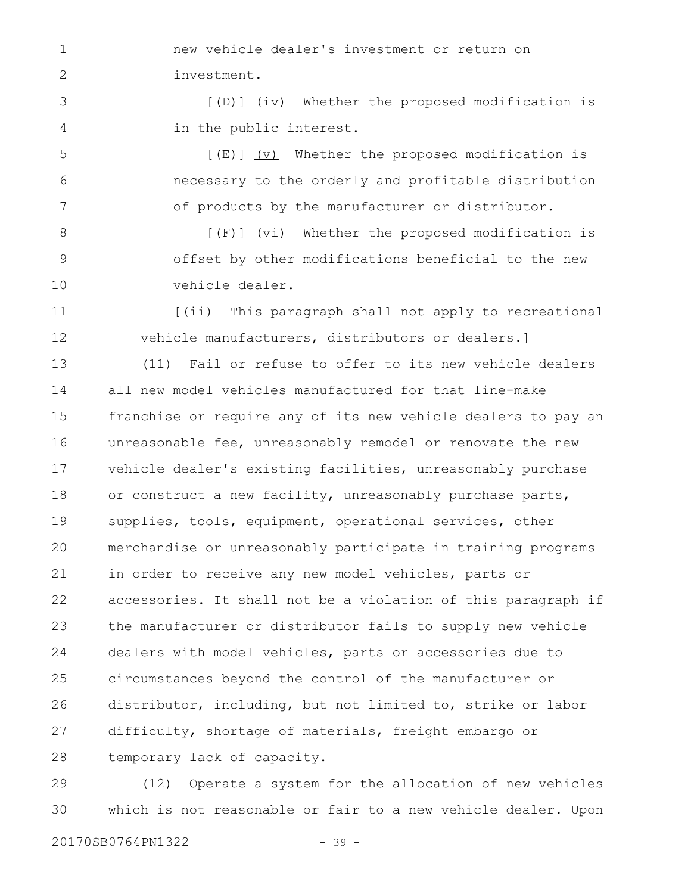new vehicle dealer's investment or return on investment.

[(D)] (iv) Whether the proposed modification is in the public interest. 3 4

 $[(E)]$   $(V)$  Whether the proposed modification is necessary to the orderly and profitable distribution of products by the manufacturer or distributor. 5 6 7

[(F)] (vi) Whether the proposed modification is offset by other modifications beneficial to the new vehicle dealer. 8 9 10

[(ii) This paragraph shall not apply to recreational vehicle manufacturers, distributors or dealers.] 11 12

(11) Fail or refuse to offer to its new vehicle dealers all new model vehicles manufactured for that line-make franchise or require any of its new vehicle dealers to pay an unreasonable fee, unreasonably remodel or renovate the new vehicle dealer's existing facilities, unreasonably purchase or construct a new facility, unreasonably purchase parts, supplies, tools, equipment, operational services, other merchandise or unreasonably participate in training programs in order to receive any new model vehicles, parts or accessories. It shall not be a violation of this paragraph if the manufacturer or distributor fails to supply new vehicle dealers with model vehicles, parts or accessories due to circumstances beyond the control of the manufacturer or distributor, including, but not limited to, strike or labor difficulty, shortage of materials, freight embargo or temporary lack of capacity. 13 14 15 16 17 18 19 20 21 22 23 24 25 26 27 28

(12) Operate a system for the allocation of new vehicles which is not reasonable or fair to a new vehicle dealer. Upon 29 30

1

2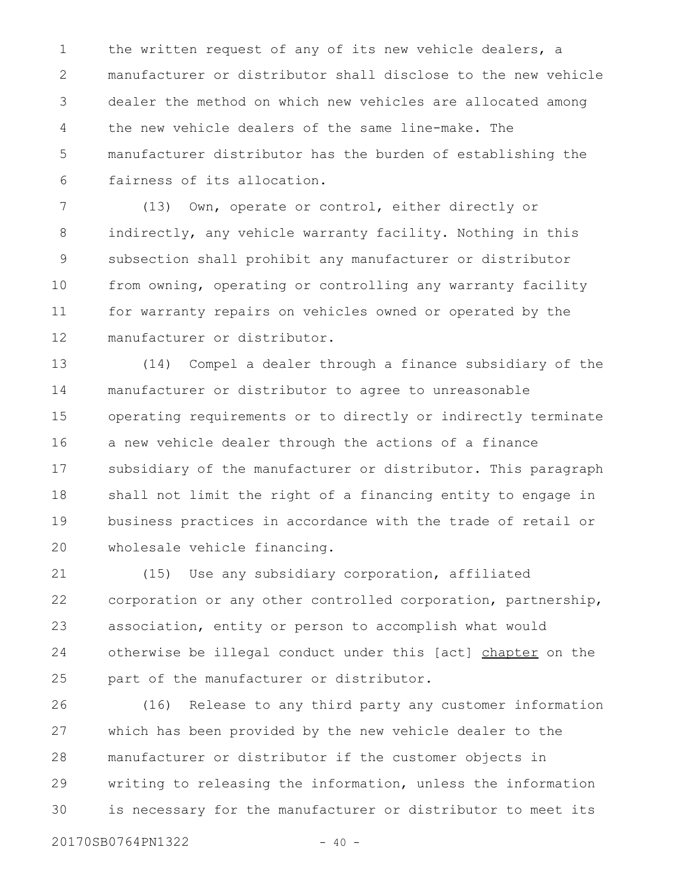the written request of any of its new vehicle dealers, a manufacturer or distributor shall disclose to the new vehicle dealer the method on which new vehicles are allocated among the new vehicle dealers of the same line-make. The manufacturer distributor has the burden of establishing the fairness of its allocation. 1 2 3 4 5 6

(13) Own, operate or control, either directly or indirectly, any vehicle warranty facility. Nothing in this subsection shall prohibit any manufacturer or distributor from owning, operating or controlling any warranty facility for warranty repairs on vehicles owned or operated by the manufacturer or distributor. 7 8 9 10 11 12

(14) Compel a dealer through a finance subsidiary of the manufacturer or distributor to agree to unreasonable operating requirements or to directly or indirectly terminate a new vehicle dealer through the actions of a finance subsidiary of the manufacturer or distributor. This paragraph shall not limit the right of a financing entity to engage in business practices in accordance with the trade of retail or wholesale vehicle financing. 13 14 15 16 17 18 19 20

(15) Use any subsidiary corporation, affiliated corporation or any other controlled corporation, partnership, association, entity or person to accomplish what would otherwise be illegal conduct under this [act] chapter on the part of the manufacturer or distributor. 21 22 23 24 25

(16) Release to any third party any customer information which has been provided by the new vehicle dealer to the manufacturer or distributor if the customer objects in writing to releasing the information, unless the information is necessary for the manufacturer or distributor to meet its 26 27 28 29 30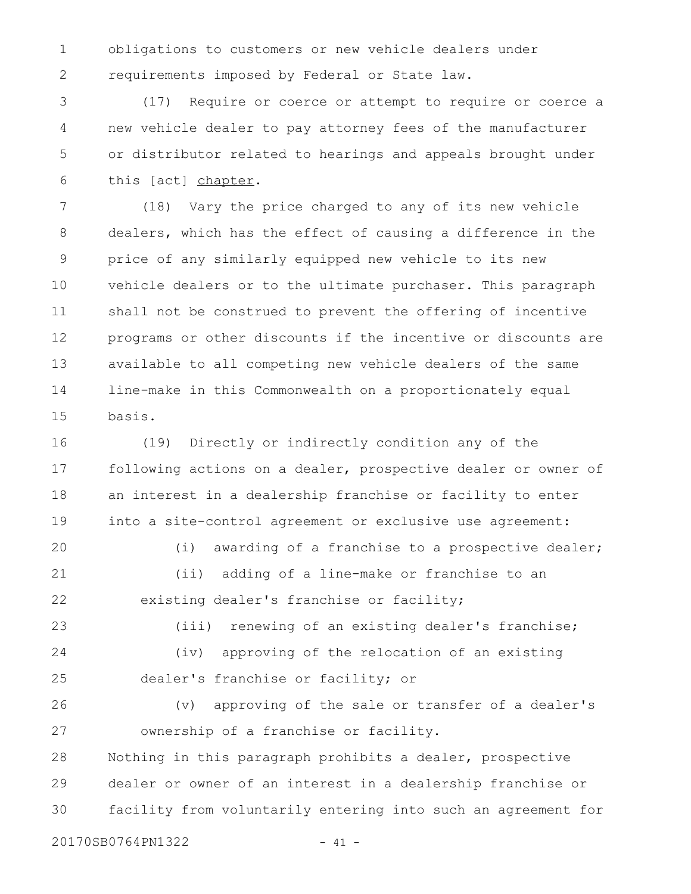obligations to customers or new vehicle dealers under requirements imposed by Federal or State law. 1 2

(17) Require or coerce or attempt to require or coerce a new vehicle dealer to pay attorney fees of the manufacturer or distributor related to hearings and appeals brought under this [act] chapter. 3 4 5 6

(18) Vary the price charged to any of its new vehicle dealers, which has the effect of causing a difference in the price of any similarly equipped new vehicle to its new vehicle dealers or to the ultimate purchaser. This paragraph shall not be construed to prevent the offering of incentive programs or other discounts if the incentive or discounts are available to all competing new vehicle dealers of the same line-make in this Commonwealth on a proportionately equal basis. 7 8 9 10 11 12 13 14 15

(19) Directly or indirectly condition any of the following actions on a dealer, prospective dealer or owner of an interest in a dealership franchise or facility to enter into a site-control agreement or exclusive use agreement: 16 17 18 19

(i) awarding of a franchise to a prospective dealer; (ii) adding of a line-make or franchise to an existing dealer's franchise or facility; 20 21 22

(iii) renewing of an existing dealer's franchise; (iv) approving of the relocation of an existing dealer's franchise or facility; or 23 24 25

(v) approving of the sale or transfer of a dealer's ownership of a franchise or facility. Nothing in this paragraph prohibits a dealer, prospective dealer or owner of an interest in a dealership franchise or facility from voluntarily entering into such an agreement for 26 27 28 29 30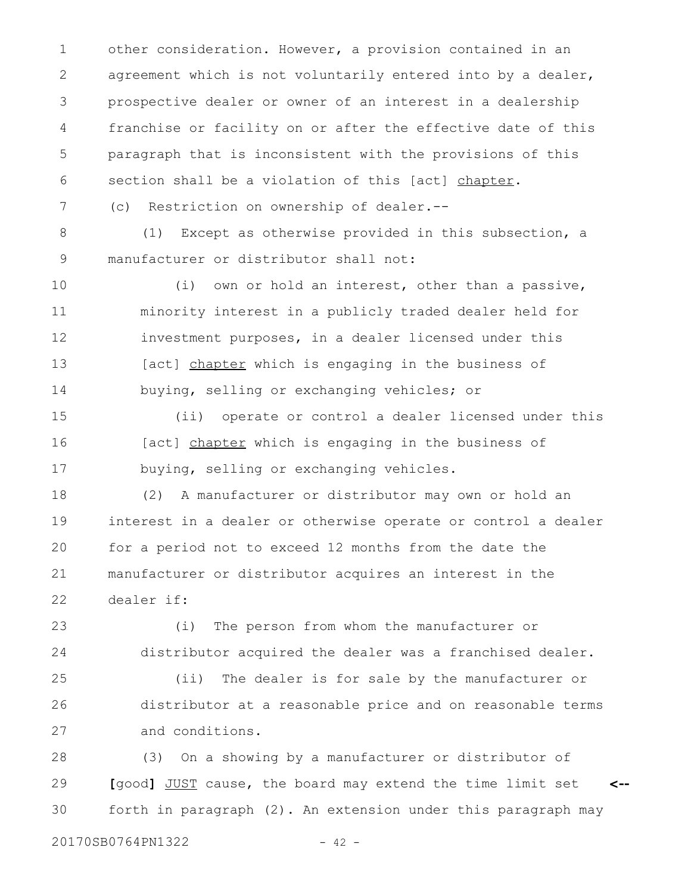other consideration. However, a provision contained in an agreement which is not voluntarily entered into by a dealer, prospective dealer or owner of an interest in a dealership franchise or facility on or after the effective date of this paragraph that is inconsistent with the provisions of this section shall be a violation of this [act] chapter. 1 2 3 4 5 6

(c) Restriction on ownership of dealer.--

(1) Except as otherwise provided in this subsection, a manufacturer or distributor shall not: 8 9

(i) own or hold an interest, other than a passive, minority interest in a publicly traded dealer held for investment purposes, in a dealer licensed under this [act] chapter which is engaging in the business of buying, selling or exchanging vehicles; or 10 11 12 13 14

(ii) operate or control a dealer licensed under this [act] chapter which is engaging in the business of buying, selling or exchanging vehicles. 15 16 17

(2) A manufacturer or distributor may own or hold an interest in a dealer or otherwise operate or control a dealer for a period not to exceed 12 months from the date the manufacturer or distributor acquires an interest in the dealer if: 18 19 20 21 22

(i) The person from whom the manufacturer or distributor acquired the dealer was a franchised dealer. 23 24

(ii) The dealer is for sale by the manufacturer or distributor at a reasonable price and on reasonable terms and conditions. 25 26 27

(3) On a showing by a manufacturer or distributor of **[**good**]** JUST cause, the board may extend the time limit set forth in paragraph (2). An extension under this paragraph may **<--** 28 29 30

7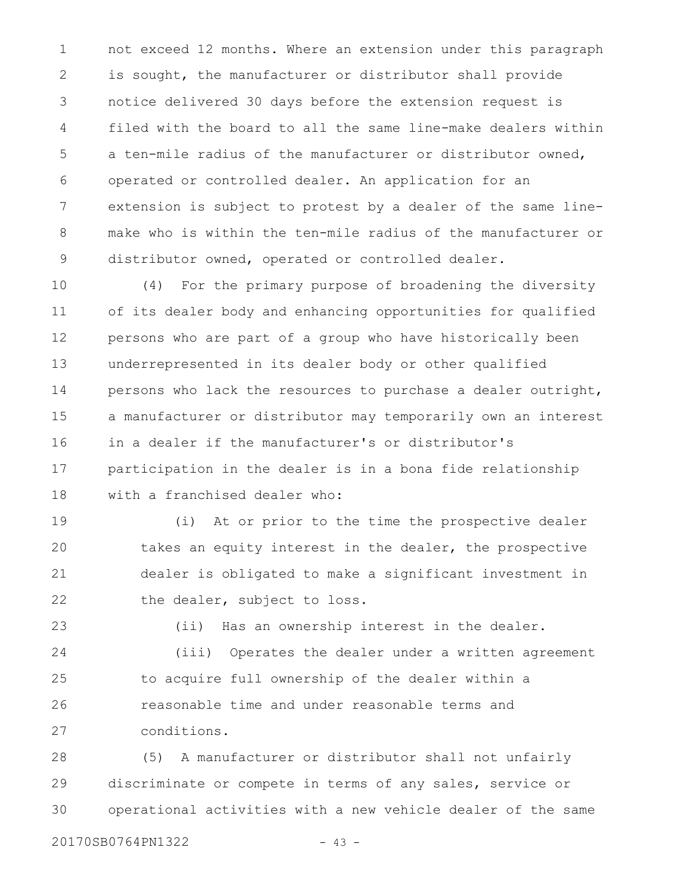not exceed 12 months. Where an extension under this paragraph is sought, the manufacturer or distributor shall provide notice delivered 30 days before the extension request is filed with the board to all the same line-make dealers within a ten-mile radius of the manufacturer or distributor owned, operated or controlled dealer. An application for an extension is subject to protest by a dealer of the same linemake who is within the ten-mile radius of the manufacturer or distributor owned, operated or controlled dealer. 1 2 3 4 5 6 7 8 9

(4) For the primary purpose of broadening the diversity of its dealer body and enhancing opportunities for qualified persons who are part of a group who have historically been underrepresented in its dealer body or other qualified persons who lack the resources to purchase a dealer outright, a manufacturer or distributor may temporarily own an interest in a dealer if the manufacturer's or distributor's participation in the dealer is in a bona fide relationship with a franchised dealer who: 10 11 12 13 14 15 16 17 18

(i) At or prior to the time the prospective dealer takes an equity interest in the dealer, the prospective dealer is obligated to make a significant investment in the dealer, subject to loss. 19 20 21 22

(ii) Has an ownership interest in the dealer. (iii) Operates the dealer under a written agreement to acquire full ownership of the dealer within a reasonable time and under reasonable terms and conditions. 23 24 25 26 27

(5) A manufacturer or distributor shall not unfairly discriminate or compete in terms of any sales, service or operational activities with a new vehicle dealer of the same 28 29 30

```
20170SB0764PN1322 - 43 -
```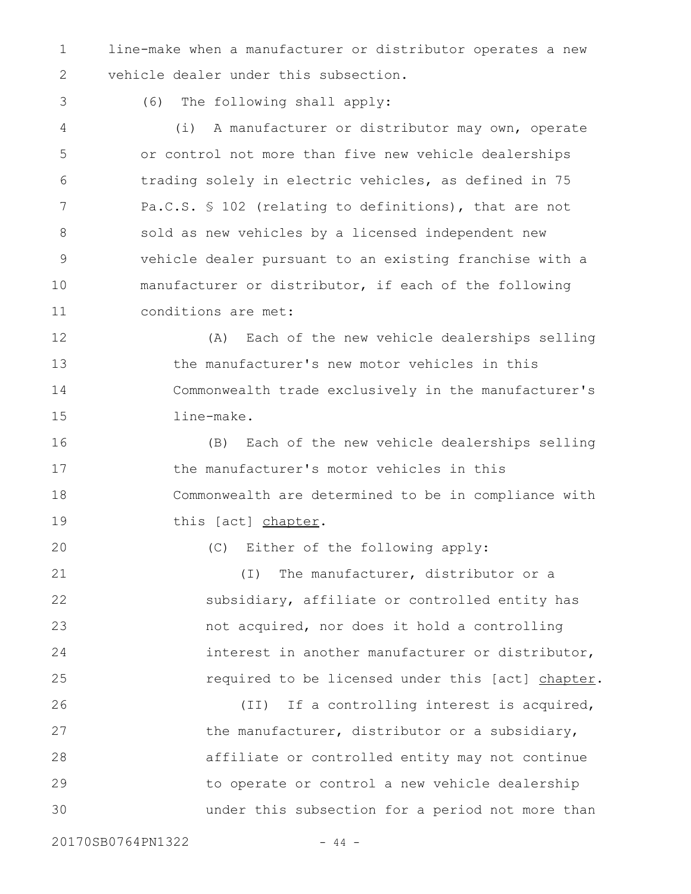line-make when a manufacturer or distributor operates a new vehicle dealer under this subsection. 1 2

3

20

(6) The following shall apply:

(i) A manufacturer or distributor may own, operate or control not more than five new vehicle dealerships trading solely in electric vehicles, as defined in 75 Pa.C.S. § 102 (relating to definitions), that are not sold as new vehicles by a licensed independent new vehicle dealer pursuant to an existing franchise with a manufacturer or distributor, if each of the following conditions are met: 4 5 6 7 8 9 10 11

(A) Each of the new vehicle dealerships selling the manufacturer's new motor vehicles in this Commonwealth trade exclusively in the manufacturer's line-make. 12 13 14 15

(B) Each of the new vehicle dealerships selling the manufacturer's motor vehicles in this Commonwealth are determined to be in compliance with this [act] chapter. 16 17 18 19

(C) Either of the following apply:

(I) The manufacturer, distributor or a subsidiary, affiliate or controlled entity has not acquired, nor does it hold a controlling interest in another manufacturer or distributor, required to be licensed under this [act] chapter. 21 22 23 24 25

(II) If a controlling interest is acquired, the manufacturer, distributor or a subsidiary, affiliate or controlled entity may not continue to operate or control a new vehicle dealership under this subsection for a period not more than 26 27 28 29 30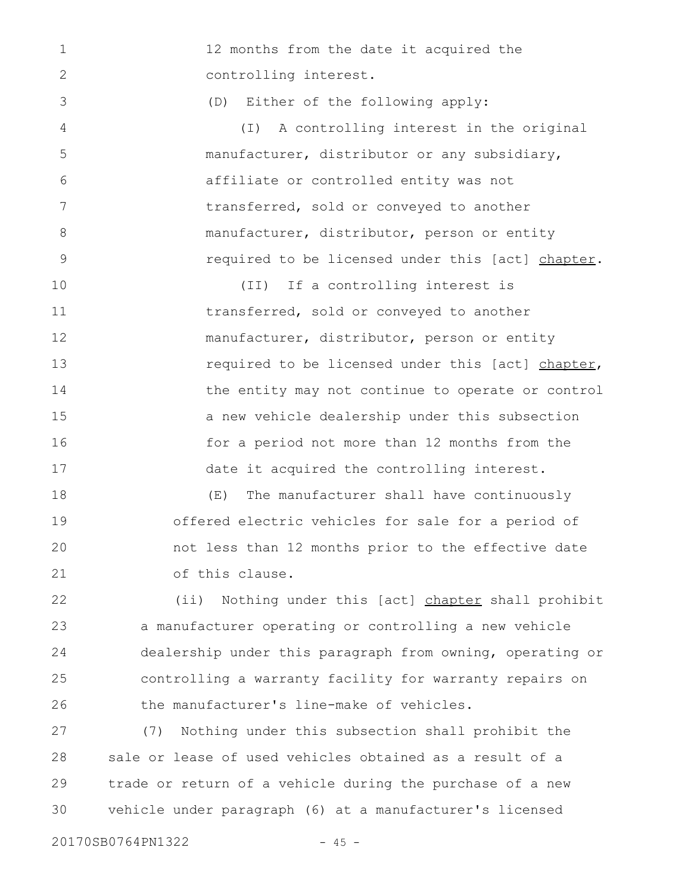12 months from the date it acquired the controlling interest. (D) Either of the following apply: (I) A controlling interest in the original manufacturer, distributor or any subsidiary, affiliate or controlled entity was not transferred, sold or conveyed to another manufacturer, distributor, person or entity required to be licensed under this [act] chapter. (II) If a controlling interest is transferred, sold or conveyed to another manufacturer, distributor, person or entity required to be licensed under this [act] chapter, the entity may not continue to operate or control a new vehicle dealership under this subsection for a period not more than 12 months from the date it acquired the controlling interest. (E) The manufacturer shall have continuously offered electric vehicles for sale for a period of not less than 12 months prior to the effective date of this clause. 1 2 3 4 5 6 7 8 9 10 11 12 13 14 15 16 17 18 19 20 21

(ii) Nothing under this [act] chapter shall prohibit a manufacturer operating or controlling a new vehicle dealership under this paragraph from owning, operating or controlling a warranty facility for warranty repairs on the manufacturer's line-make of vehicles. 22 23 24 25 26

(7) Nothing under this subsection shall prohibit the sale or lease of used vehicles obtained as a result of a trade or return of a vehicle during the purchase of a new vehicle under paragraph (6) at a manufacturer's licensed 27 28 29 30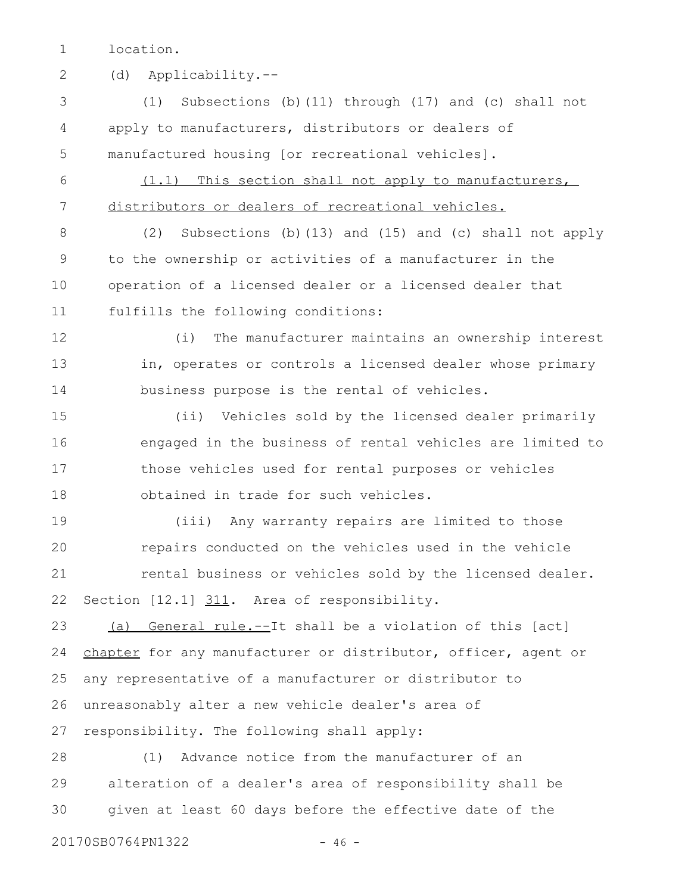location. 1

(d) Applicability.-- 2

(1) Subsections (b)(11) through (17) and (c) shall not apply to manufacturers, distributors or dealers of manufactured housing [or recreational vehicles]. 3 4 5

(1.1) This section shall not apply to manufacturers, distributors or dealers of recreational vehicles. 6 7

(2) Subsections (b)(13) and (15) and (c) shall not apply to the ownership or activities of a manufacturer in the operation of a licensed dealer or a licensed dealer that fulfills the following conditions: 8 9 10 11

(i) The manufacturer maintains an ownership interest in, operates or controls a licensed dealer whose primary business purpose is the rental of vehicles. 12 13 14

(ii) Vehicles sold by the licensed dealer primarily engaged in the business of rental vehicles are limited to those vehicles used for rental purposes or vehicles obtained in trade for such vehicles. 15 16 17 18

(iii) Any warranty repairs are limited to those repairs conducted on the vehicles used in the vehicle rental business or vehicles sold by the licensed dealer. Section [12.1] 311. Area of responsibility. 19 20 21 22

(a) General rule.--It shall be a violation of this [act] chapter for any manufacturer or distributor, officer, agent or any representative of a manufacturer or distributor to unreasonably alter a new vehicle dealer's area of responsibility. The following shall apply: 23 24 25 26 27

(1) Advance notice from the manufacturer of an alteration of a dealer's area of responsibility shall be given at least 60 days before the effective date of the 28 29 30

20170SB0764PN1322 - 46 -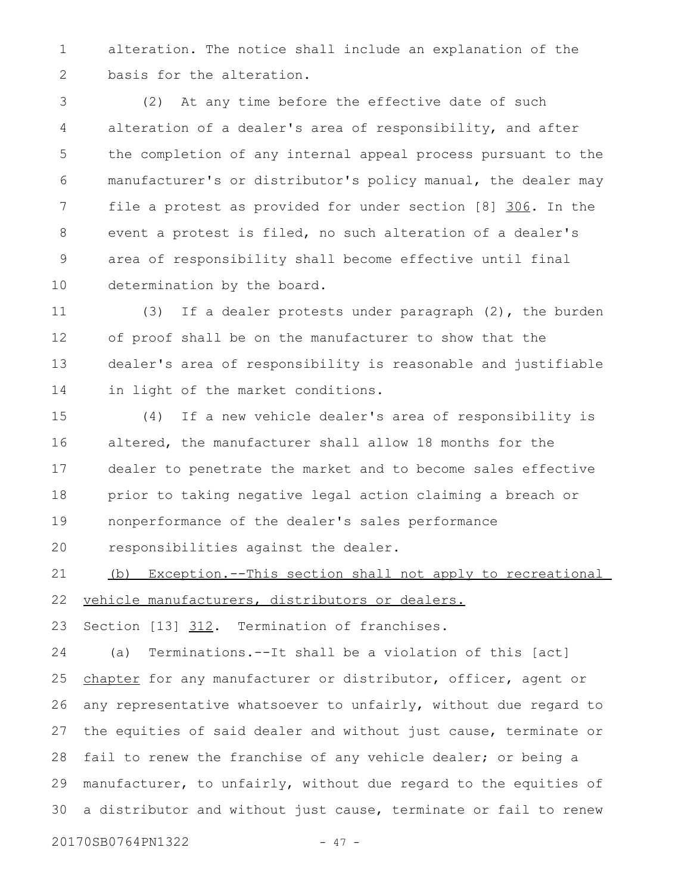alteration. The notice shall include an explanation of the basis for the alteration. 1 2

(2) At any time before the effective date of such alteration of a dealer's area of responsibility, and after the completion of any internal appeal process pursuant to the manufacturer's or distributor's policy manual, the dealer may file a protest as provided for under section [8] 306. In the event a protest is filed, no such alteration of a dealer's area of responsibility shall become effective until final determination by the board. 3 4 5 6 7 8 9 10

(3) If a dealer protests under paragraph (2), the burden of proof shall be on the manufacturer to show that the dealer's area of responsibility is reasonable and justifiable in light of the market conditions. 11 12 13 14

(4) If a new vehicle dealer's area of responsibility is altered, the manufacturer shall allow 18 months for the dealer to penetrate the market and to become sales effective prior to taking negative legal action claiming a breach or nonperformance of the dealer's sales performance 15 16 17 18 19

responsibilities against the dealer. 20

(b) Exception.--This section shall not apply to recreational vehicle manufacturers, distributors or dealers. 21 22

Section [13] 312. Termination of franchises. 23

(a) Terminations.--It shall be a violation of this [act] chapter for any manufacturer or distributor, officer, agent or any representative whatsoever to unfairly, without due regard to the equities of said dealer and without just cause, terminate or fail to renew the franchise of any vehicle dealer; or being a manufacturer, to unfairly, without due regard to the equities of a distributor and without just cause, terminate or fail to renew 24 25 26 27 28 29 30

20170SB0764PN1322 - 47 -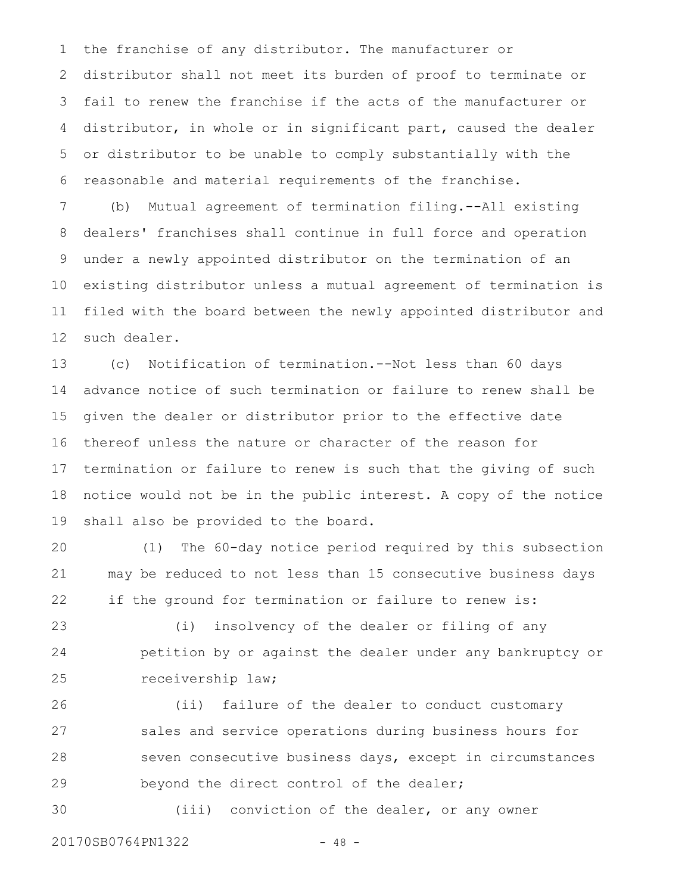the franchise of any distributor. The manufacturer or distributor shall not meet its burden of proof to terminate or fail to renew the franchise if the acts of the manufacturer or distributor, in whole or in significant part, caused the dealer or distributor to be unable to comply substantially with the reasonable and material requirements of the franchise. 1 2 3 4 5 6

(b) Mutual agreement of termination filing.--All existing dealers' franchises shall continue in full force and operation under a newly appointed distributor on the termination of an existing distributor unless a mutual agreement of termination is filed with the board between the newly appointed distributor and such dealer. 7 8 9 10 11 12

(c) Notification of termination.--Not less than 60 days advance notice of such termination or failure to renew shall be given the dealer or distributor prior to the effective date thereof unless the nature or character of the reason for termination or failure to renew is such that the giving of such notice would not be in the public interest. A copy of the notice shall also be provided to the board. 13 14 15 16 17 18 19

(1) The 60-day notice period required by this subsection may be reduced to not less than 15 consecutive business days if the ground for termination or failure to renew is: 20 21 22

(i) insolvency of the dealer or filing of any petition by or against the dealer under any bankruptcy or receivership law; 23 24 25

(ii) failure of the dealer to conduct customary sales and service operations during business hours for seven consecutive business days, except in circumstances beyond the direct control of the dealer; 26 27 28 29

(iii) conviction of the dealer, or any owner 30

20170SB0764PN1322 - 48 -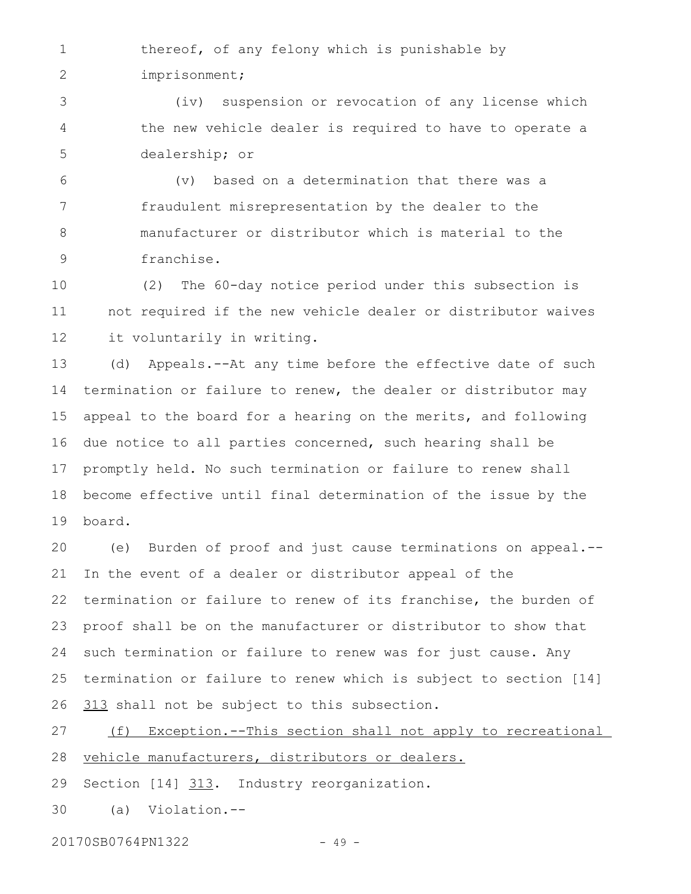thereof, of any felony which is punishable by imprisonment; 1 2

(iv) suspension or revocation of any license which the new vehicle dealer is required to have to operate a dealership; or 3 4 5

(v) based on a determination that there was a fraudulent misrepresentation by the dealer to the manufacturer or distributor which is material to the franchise. 6 7 8 9

(2) The 60-day notice period under this subsection is not required if the new vehicle dealer or distributor waives it voluntarily in writing. 10 11 12

(d) Appeals.--At any time before the effective date of such termination or failure to renew, the dealer or distributor may appeal to the board for a hearing on the merits, and following due notice to all parties concerned, such hearing shall be promptly held. No such termination or failure to renew shall become effective until final determination of the issue by the board. 13 14 15 16 17 18 19

(e) Burden of proof and just cause terminations on appeal.-- In the event of a dealer or distributor appeal of the termination or failure to renew of its franchise, the burden of proof shall be on the manufacturer or distributor to show that such termination or failure to renew was for just cause. Any termination or failure to renew which is subject to section [14] 313 shall not be subject to this subsection. 20 21 22 23 24 25 26

(f) Exception.--This section shall not apply to recreational vehicle manufacturers, distributors or dealers. Section [14] 313. Industry reorganization. 27 28 29

(a) Violation.-- 30

20170SB0764PN1322 - 49 -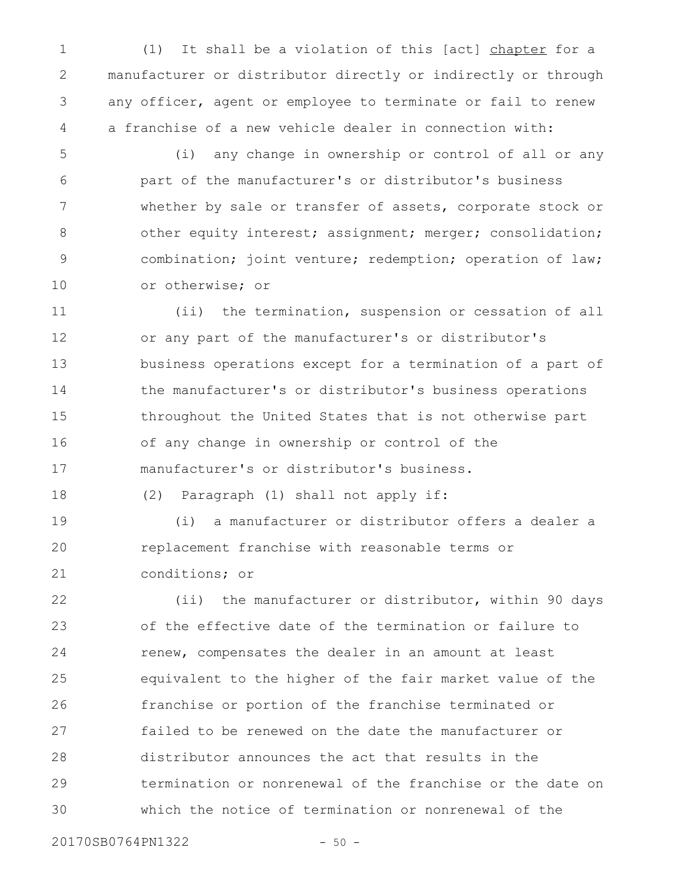(1) It shall be a violation of this [act] chapter for a manufacturer or distributor directly or indirectly or through any officer, agent or employee to terminate or fail to renew a franchise of a new vehicle dealer in connection with: 1 2 3 4

(i) any change in ownership or control of all or any part of the manufacturer's or distributor's business whether by sale or transfer of assets, corporate stock or other equity interest; assignment; merger; consolidation; combination; joint venture; redemption; operation of law; or otherwise; or 5 6 7 8 9 10

(ii) the termination, suspension or cessation of all or any part of the manufacturer's or distributor's business operations except for a termination of a part of the manufacturer's or distributor's business operations throughout the United States that is not otherwise part of any change in ownership or control of the manufacturer's or distributor's business. 11 12 13 14 15 16 17

(2) Paragraph (1) shall not apply if: 18

(i) a manufacturer or distributor offers a dealer a replacement franchise with reasonable terms or conditions; or 19 20 21

(ii) the manufacturer or distributor, within 90 days of the effective date of the termination or failure to renew, compensates the dealer in an amount at least equivalent to the higher of the fair market value of the franchise or portion of the franchise terminated or failed to be renewed on the date the manufacturer or distributor announces the act that results in the termination or nonrenewal of the franchise or the date on which the notice of termination or nonrenewal of the 22 23 24 25 26 27 28 29 30

20170SB0764PN1322 - 50 -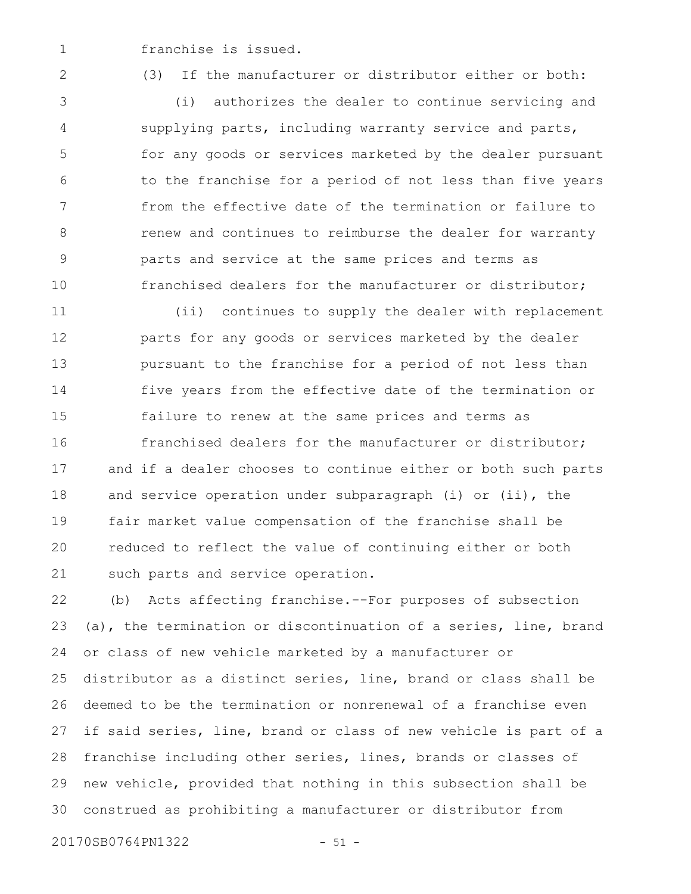franchise is issued. 1

2

(3) If the manufacturer or distributor either or both:

(i) authorizes the dealer to continue servicing and supplying parts, including warranty service and parts, for any goods or services marketed by the dealer pursuant to the franchise for a period of not less than five years from the effective date of the termination or failure to renew and continues to reimburse the dealer for warranty parts and service at the same prices and terms as franchised dealers for the manufacturer or distributor; 3 4 5 6 7 8 9 10

(ii) continues to supply the dealer with replacement parts for any goods or services marketed by the dealer pursuant to the franchise for a period of not less than five years from the effective date of the termination or failure to renew at the same prices and terms as franchised dealers for the manufacturer or distributor; and if a dealer chooses to continue either or both such parts and service operation under subparagraph (i) or (ii), the fair market value compensation of the franchise shall be reduced to reflect the value of continuing either or both such parts and service operation. 11 12 13 14 15 16 17 18 19 20 21

(b) Acts affecting franchise.--For purposes of subsection (a), the termination or discontinuation of a series, line, brand or class of new vehicle marketed by a manufacturer or distributor as a distinct series, line, brand or class shall be deemed to be the termination or nonrenewal of a franchise even if said series, line, brand or class of new vehicle is part of a franchise including other series, lines, brands or classes of new vehicle, provided that nothing in this subsection shall be construed as prohibiting a manufacturer or distributor from 22 23 24 25 26 27 28 29 30

20170SB0764PN1322 - 51 -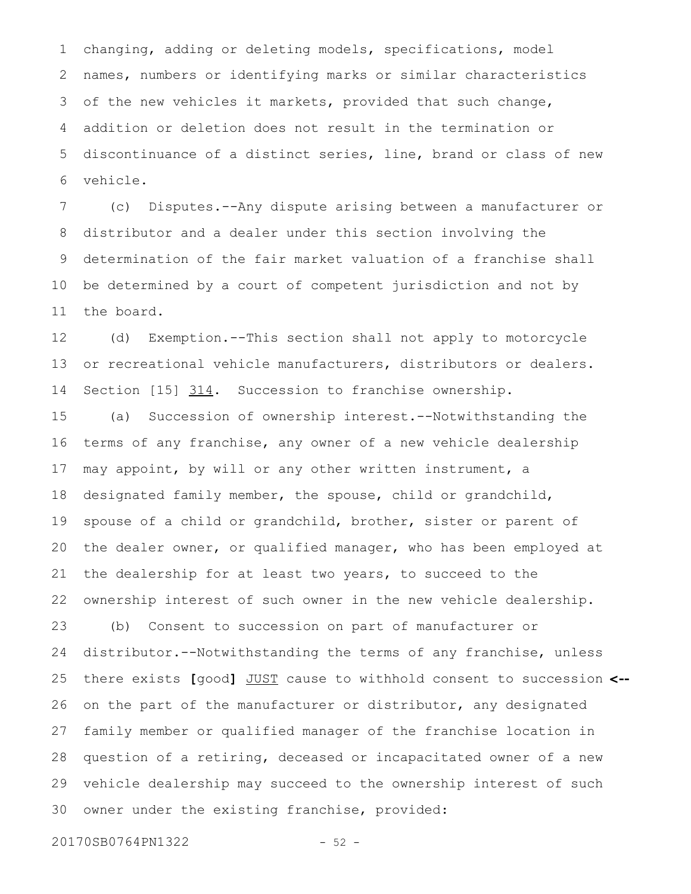changing, adding or deleting models, specifications, model names, numbers or identifying marks or similar characteristics of the new vehicles it markets, provided that such change, addition or deletion does not result in the termination or discontinuance of a distinct series, line, brand or class of new vehicle. 1 2 3 4 5 6

(c) Disputes.--Any dispute arising between a manufacturer or distributor and a dealer under this section involving the determination of the fair market valuation of a franchise shall be determined by a court of competent jurisdiction and not by the board. 7 8 9 10 11

(d) Exemption.--This section shall not apply to motorcycle or recreational vehicle manufacturers, distributors or dealers. Section [15] 314. Succession to franchise ownership. 12 13 14

(a) Succession of ownership interest.--Notwithstanding the terms of any franchise, any owner of a new vehicle dealership may appoint, by will or any other written instrument, a designated family member, the spouse, child or grandchild, spouse of a child or grandchild, brother, sister or parent of the dealer owner, or qualified manager, who has been employed at the dealership for at least two years, to succeed to the ownership interest of such owner in the new vehicle dealership. (b) Consent to succession on part of manufacturer or distributor.--Notwithstanding the terms of any franchise, unless there exists **[**good**]** JUST cause to withhold consent to succession **<-** on the part of the manufacturer or distributor, any designated family member or qualified manager of the franchise location in question of a retiring, deceased or incapacitated owner of a new vehicle dealership may succeed to the ownership interest of such owner under the existing franchise, provided: 15 16 17 18 19 20 21 22 23 24 25 26 27 28 29 30

20170SB0764PN1322 - 52 -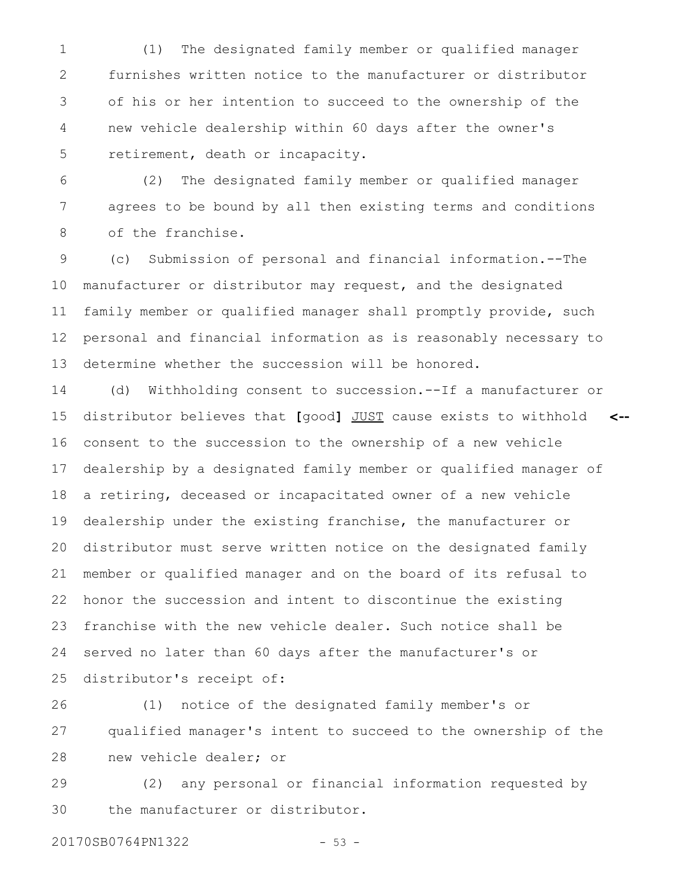(1) The designated family member or qualified manager furnishes written notice to the manufacturer or distributor of his or her intention to succeed to the ownership of the new vehicle dealership within 60 days after the owner's retirement, death or incapacity. 1 2 3 4 5

(2) The designated family member or qualified manager agrees to be bound by all then existing terms and conditions of the franchise. 6 7 8

(c) Submission of personal and financial information.--The manufacturer or distributor may request, and the designated family member or qualified manager shall promptly provide, such personal and financial information as is reasonably necessary to determine whether the succession will be honored. 9 10 11 12 13

(d) Withholding consent to succession.--If a manufacturer or distributor believes that **[**good**]** JUST cause exists to withhold consent to the succession to the ownership of a new vehicle dealership by a designated family member or qualified manager of a retiring, deceased or incapacitated owner of a new vehicle dealership under the existing franchise, the manufacturer or distributor must serve written notice on the designated family member or qualified manager and on the board of its refusal to honor the succession and intent to discontinue the existing franchise with the new vehicle dealer. Such notice shall be served no later than 60 days after the manufacturer's or distributor's receipt of: **<--** 14 15 16 17 18 19 20 21 22 23 24 25

(1) notice of the designated family member's or qualified manager's intent to succeed to the ownership of the new vehicle dealer; or 26 27 28

(2) any personal or financial information requested by the manufacturer or distributor. 29 30

20170SB0764PN1322 - 53 -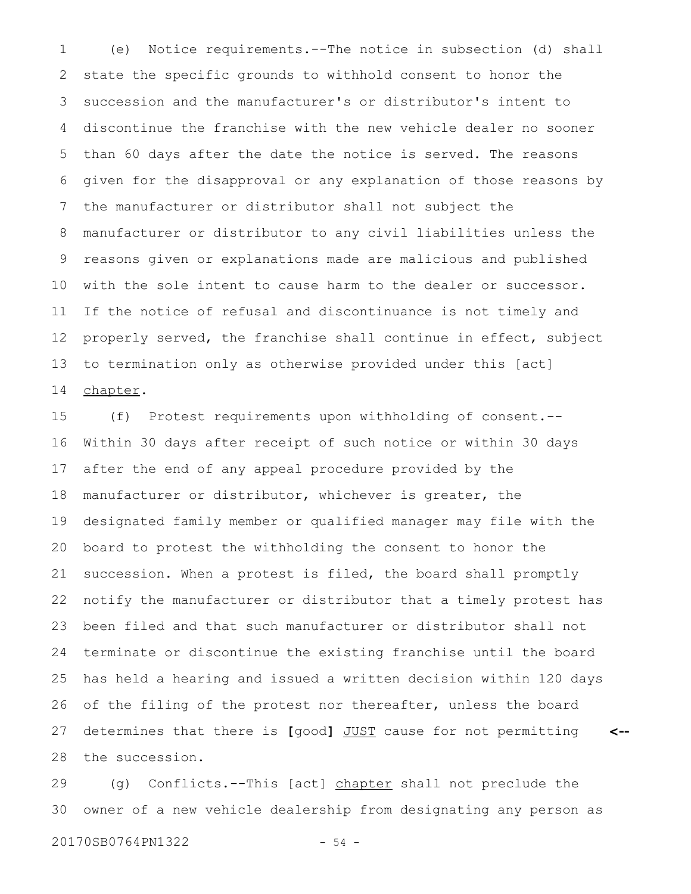(e) Notice requirements.--The notice in subsection (d) shall state the specific grounds to withhold consent to honor the succession and the manufacturer's or distributor's intent to discontinue the franchise with the new vehicle dealer no sooner than 60 days after the date the notice is served. The reasons given for the disapproval or any explanation of those reasons by the manufacturer or distributor shall not subject the manufacturer or distributor to any civil liabilities unless the reasons given or explanations made are malicious and published with the sole intent to cause harm to the dealer or successor. If the notice of refusal and discontinuance is not timely and properly served, the franchise shall continue in effect, subject to termination only as otherwise provided under this [act] chapter. 1 2 3 4 5 6 7 8 9 10 11 12 13 14

(f) Protest requirements upon withholding of consent.-- Within 30 days after receipt of such notice or within 30 days after the end of any appeal procedure provided by the manufacturer or distributor, whichever is greater, the designated family member or qualified manager may file with the board to protest the withholding the consent to honor the succession. When a protest is filed, the board shall promptly notify the manufacturer or distributor that a timely protest has been filed and that such manufacturer or distributor shall not terminate or discontinue the existing franchise until the board has held a hearing and issued a written decision within 120 days of the filing of the protest nor thereafter, unless the board determines that there is **[**good**]** JUST cause for not permitting the succession. **<--** 15 16 17 18 19 20 21 22 23 24 25 26 27 28

(g) Conflicts.--This [act] chapter shall not preclude the owner of a new vehicle dealership from designating any person as 29 30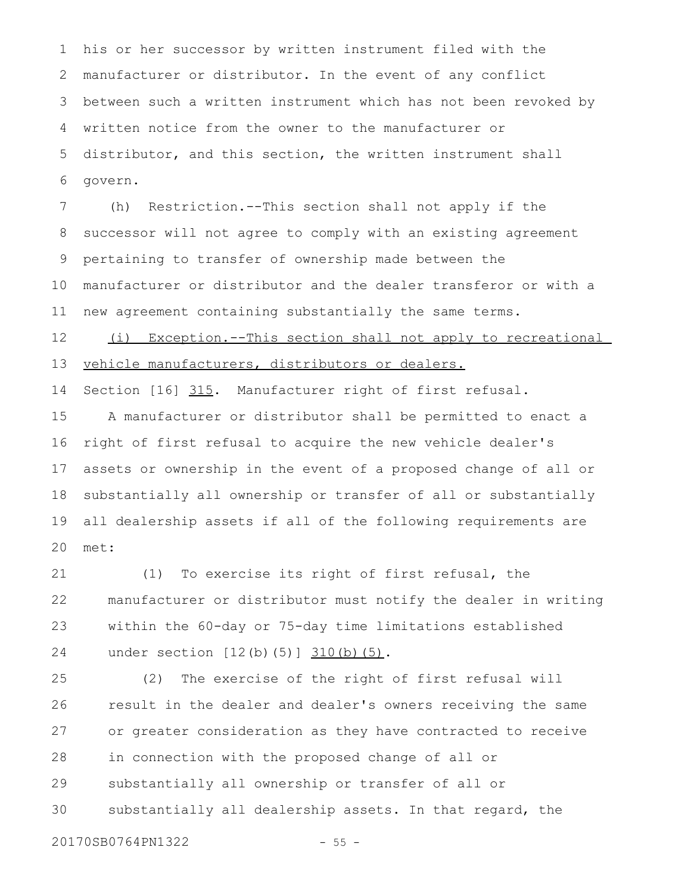his or her successor by written instrument filed with the manufacturer or distributor. In the event of any conflict between such a written instrument which has not been revoked by written notice from the owner to the manufacturer or distributor, and this section, the written instrument shall govern. 1 2 3 4 5 6

(h) Restriction.--This section shall not apply if the successor will not agree to comply with an existing agreement pertaining to transfer of ownership made between the manufacturer or distributor and the dealer transferor or with a new agreement containing substantially the same terms. 7 8 9 10 11

(i) Exception.--This section shall not apply to recreational vehicle manufacturers, distributors or dealers. 12 13

Section [16] 315. Manufacturer right of first refusal. 14

A manufacturer or distributor shall be permitted to enact a right of first refusal to acquire the new vehicle dealer's assets or ownership in the event of a proposed change of all or substantially all ownership or transfer of all or substantially all dealership assets if all of the following requirements are met: 15 16 17 18 19 20

(1) To exercise its right of first refusal, the manufacturer or distributor must notify the dealer in writing within the 60-day or 75-day time limitations established under section [12(b)(5)] 310(b)(5). 21 22 23 24

(2) The exercise of the right of first refusal will result in the dealer and dealer's owners receiving the same or greater consideration as they have contracted to receive in connection with the proposed change of all or substantially all ownership or transfer of all or substantially all dealership assets. In that regard, the 25 26 27 28 29 30

20170SB0764PN1322 - 55 -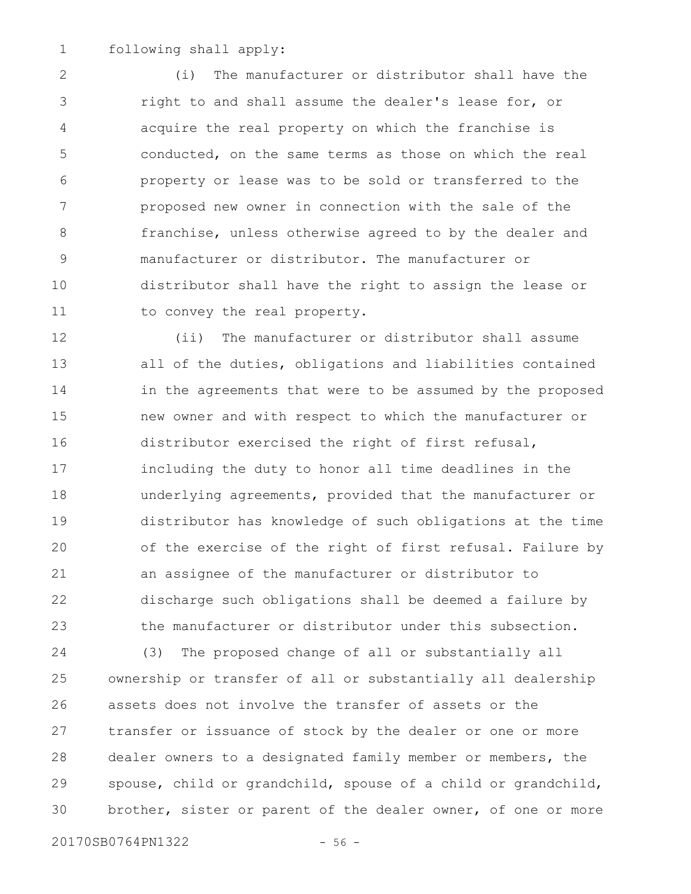following shall apply: 1

(i) The manufacturer or distributor shall have the right to and shall assume the dealer's lease for, or acquire the real property on which the franchise is conducted, on the same terms as those on which the real property or lease was to be sold or transferred to the proposed new owner in connection with the sale of the franchise, unless otherwise agreed to by the dealer and manufacturer or distributor. The manufacturer or distributor shall have the right to assign the lease or to convey the real property. 2 3 4 5 6 7 8 9 10 11

(ii) The manufacturer or distributor shall assume all of the duties, obligations and liabilities contained in the agreements that were to be assumed by the proposed new owner and with respect to which the manufacturer or distributor exercised the right of first refusal, including the duty to honor all time deadlines in the underlying agreements, provided that the manufacturer or distributor has knowledge of such obligations at the time of the exercise of the right of first refusal. Failure by an assignee of the manufacturer or distributor to discharge such obligations shall be deemed a failure by the manufacturer or distributor under this subsection. 12 13 14 15 16 17 18 19 20 21 22 23

(3) The proposed change of all or substantially all ownership or transfer of all or substantially all dealership assets does not involve the transfer of assets or the transfer or issuance of stock by the dealer or one or more dealer owners to a designated family member or members, the spouse, child or grandchild, spouse of a child or grandchild, brother, sister or parent of the dealer owner, of one or more 24 25 26 27 28 29 30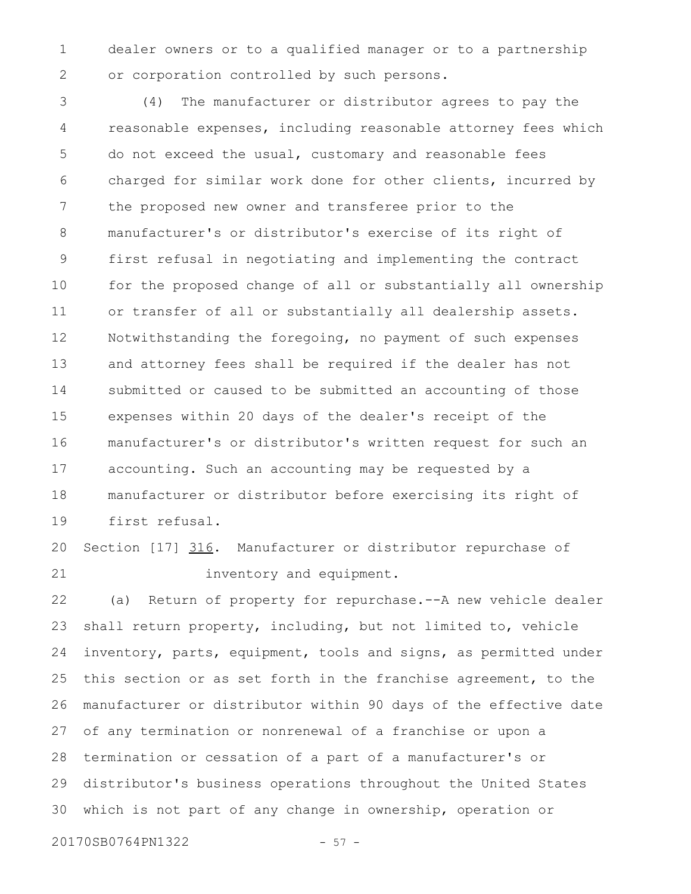dealer owners or to a qualified manager or to a partnership or corporation controlled by such persons. 1 2

(4) The manufacturer or distributor agrees to pay the reasonable expenses, including reasonable attorney fees which do not exceed the usual, customary and reasonable fees charged for similar work done for other clients, incurred by the proposed new owner and transferee prior to the manufacturer's or distributor's exercise of its right of first refusal in negotiating and implementing the contract for the proposed change of all or substantially all ownership or transfer of all or substantially all dealership assets. Notwithstanding the foregoing, no payment of such expenses and attorney fees shall be required if the dealer has not submitted or caused to be submitted an accounting of those expenses within 20 days of the dealer's receipt of the manufacturer's or distributor's written request for such an accounting. Such an accounting may be requested by a manufacturer or distributor before exercising its right of first refusal. 3 4 5 6 7 8 9 10 11 12 13 14 15 16 17 18 19

## Section [17] 316. Manufacturer or distributor repurchase of inventory and equipment. 20 21

(a) Return of property for repurchase.--A new vehicle dealer shall return property, including, but not limited to, vehicle inventory, parts, equipment, tools and signs, as permitted under this section or as set forth in the franchise agreement, to the manufacturer or distributor within 90 days of the effective date of any termination or nonrenewal of a franchise or upon a termination or cessation of a part of a manufacturer's or distributor's business operations throughout the United States which is not part of any change in ownership, operation or 22 23 24 25 26 27 28 29 30

20170SB0764PN1322 - 57 -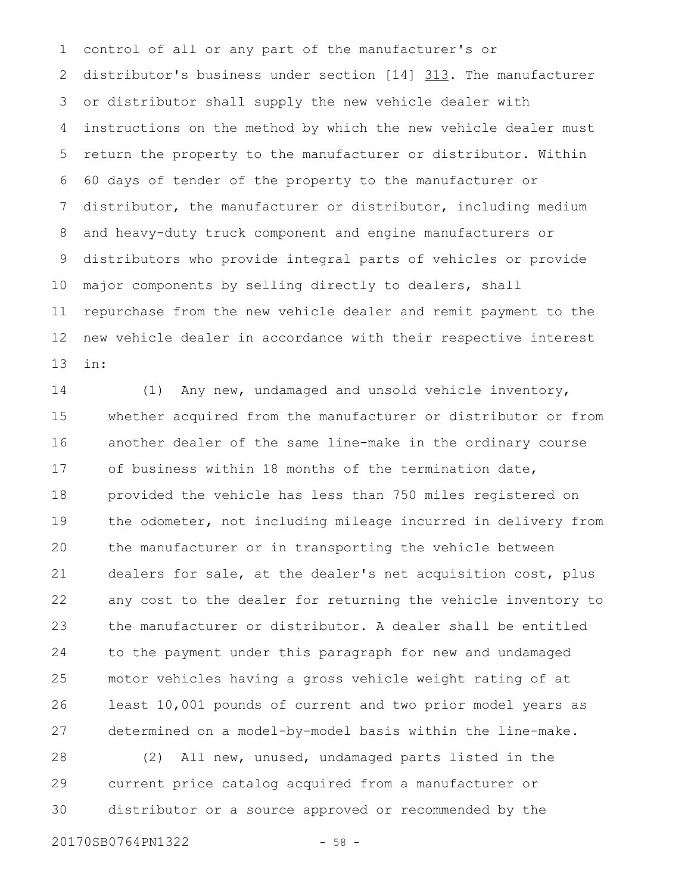control of all or any part of the manufacturer's or distributor's business under section [14] 313. The manufacturer or distributor shall supply the new vehicle dealer with instructions on the method by which the new vehicle dealer must return the property to the manufacturer or distributor. Within 60 days of tender of the property to the manufacturer or distributor, the manufacturer or distributor, including medium and heavy-duty truck component and engine manufacturers or distributors who provide integral parts of vehicles or provide major components by selling directly to dealers, shall repurchase from the new vehicle dealer and remit payment to the new vehicle dealer in accordance with their respective interest in: 1 2 3 4 5 6 7 8 9 10 11 12 13

(1) Any new, undamaged and unsold vehicle inventory, whether acquired from the manufacturer or distributor or from another dealer of the same line-make in the ordinary course of business within 18 months of the termination date, provided the vehicle has less than 750 miles registered on the odometer, not including mileage incurred in delivery from the manufacturer or in transporting the vehicle between dealers for sale, at the dealer's net acquisition cost, plus any cost to the dealer for returning the vehicle inventory to the manufacturer or distributor. A dealer shall be entitled to the payment under this paragraph for new and undamaged motor vehicles having a gross vehicle weight rating of at least 10,001 pounds of current and two prior model years as determined on a model-by-model basis within the line-make. 14 15 16 17 18 19 20 21 22 23 24 25 26 27

(2) All new, unused, undamaged parts listed in the current price catalog acquired from a manufacturer or distributor or a source approved or recommended by the 28 29 30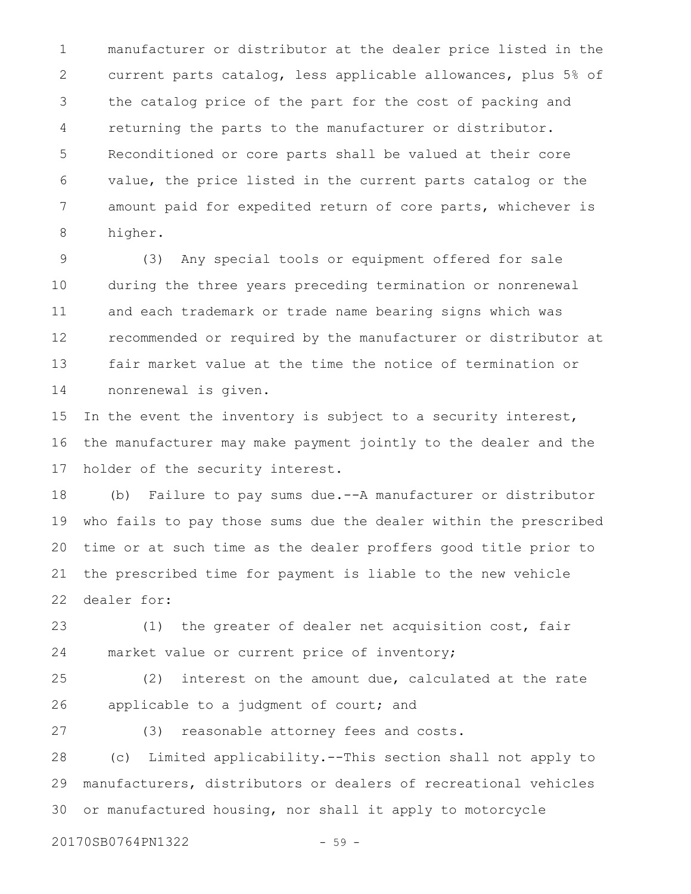manufacturer or distributor at the dealer price listed in the current parts catalog, less applicable allowances, plus 5% of the catalog price of the part for the cost of packing and returning the parts to the manufacturer or distributor. Reconditioned or core parts shall be valued at their core value, the price listed in the current parts catalog or the amount paid for expedited return of core parts, whichever is higher. 1 2 3 4 5 6 7 8

(3) Any special tools or equipment offered for sale during the three years preceding termination or nonrenewal and each trademark or trade name bearing signs which was recommended or required by the manufacturer or distributor at fair market value at the time the notice of termination or nonrenewal is given. 9 10 11 12 13 14

In the event the inventory is subject to a security interest, the manufacturer may make payment jointly to the dealer and the holder of the security interest. 15 16 17

(b) Failure to pay sums due.--A manufacturer or distributor who fails to pay those sums due the dealer within the prescribed time or at such time as the dealer proffers good title prior to the prescribed time for payment is liable to the new vehicle dealer for: 18 19 20 21 22

(1) the greater of dealer net acquisition cost, fair market value or current price of inventory; 23 24

(2) interest on the amount due, calculated at the rate applicable to a judgment of court; and 25 26

27

(3) reasonable attorney fees and costs.

(c) Limited applicability.--This section shall not apply to manufacturers, distributors or dealers of recreational vehicles or manufactured housing, nor shall it apply to motorcycle 28 29 30

20170SB0764PN1322 - 59 -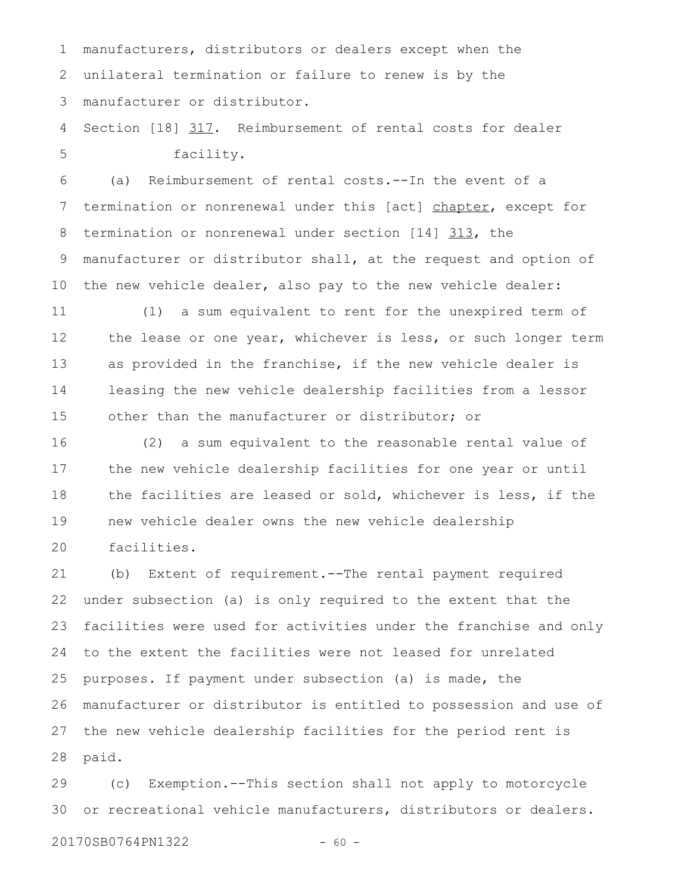manufacturers, distributors or dealers except when the unilateral termination or failure to renew is by the manufacturer or distributor. 1 2 3

Section [18] 317. Reimbursement of rental costs for dealer facility. 4 5

(a) Reimbursement of rental costs.--In the event of a termination or nonrenewal under this [act] chapter, except for termination or nonrenewal under section [14] 313, the manufacturer or distributor shall, at the request and option of the new vehicle dealer, also pay to the new vehicle dealer: 6 7 8 9 10

(1) a sum equivalent to rent for the unexpired term of the lease or one year, whichever is less, or such longer term as provided in the franchise, if the new vehicle dealer is leasing the new vehicle dealership facilities from a lessor other than the manufacturer or distributor; or 11 12 13 14 15

(2) a sum equivalent to the reasonable rental value of the new vehicle dealership facilities for one year or until the facilities are leased or sold, whichever is less, if the new vehicle dealer owns the new vehicle dealership facilities. 16 17 18 19 20

(b) Extent of requirement.--The rental payment required under subsection (a) is only required to the extent that the facilities were used for activities under the franchise and only to the extent the facilities were not leased for unrelated purposes. If payment under subsection (a) is made, the manufacturer or distributor is entitled to possession and use of the new vehicle dealership facilities for the period rent is paid. 21 22 23 24 25 26 27 28

(c) Exemption.--This section shall not apply to motorcycle or recreational vehicle manufacturers, distributors or dealers. 29 30

20170SB0764PN1322 - 60 -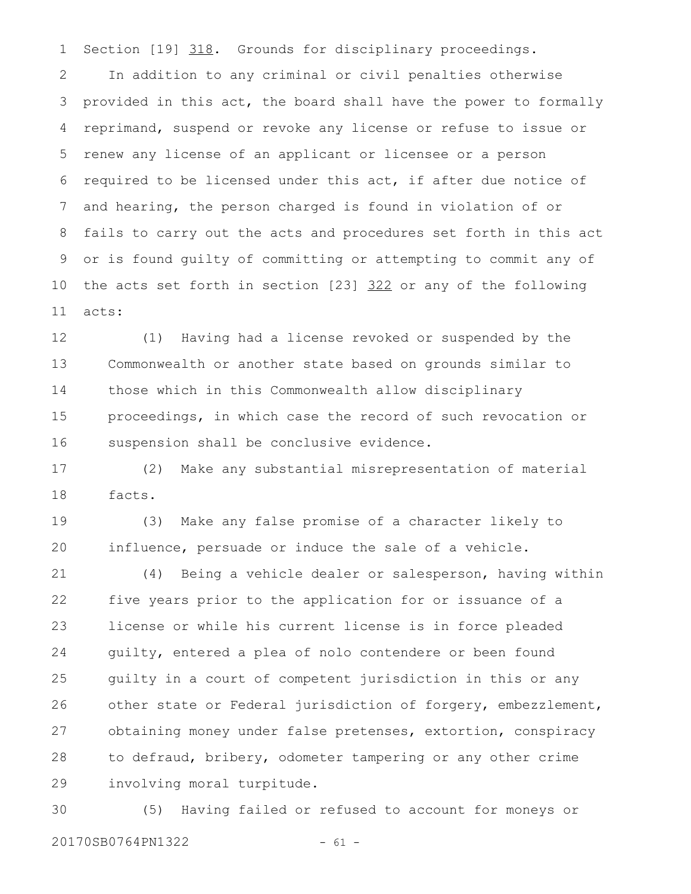Section [19] 318. Grounds for disciplinary proceedings. 1

In addition to any criminal or civil penalties otherwise provided in this act, the board shall have the power to formally reprimand, suspend or revoke any license or refuse to issue or renew any license of an applicant or licensee or a person required to be licensed under this act, if after due notice of and hearing, the person charged is found in violation of or fails to carry out the acts and procedures set forth in this act or is found guilty of committing or attempting to commit any of the acts set forth in section [23] 322 or any of the following acts: 2 3 4 5 6 7 8 9 10 11

(1) Having had a license revoked or suspended by the Commonwealth or another state based on grounds similar to those which in this Commonwealth allow disciplinary proceedings, in which case the record of such revocation or suspension shall be conclusive evidence. 12 13 14 15 16

(2) Make any substantial misrepresentation of material facts. 17 18

(3) Make any false promise of a character likely to influence, persuade or induce the sale of a vehicle. 19 20

(4) Being a vehicle dealer or salesperson, having within five years prior to the application for or issuance of a license or while his current license is in force pleaded guilty, entered a plea of nolo contendere or been found guilty in a court of competent jurisdiction in this or any other state or Federal jurisdiction of forgery, embezzlement, obtaining money under false pretenses, extortion, conspiracy to defraud, bribery, odometer tampering or any other crime involving moral turpitude. 21 22 23 24 25 26 27 28 29

(5) Having failed or refused to account for moneys or 20170SB0764PN1322 - 61 -30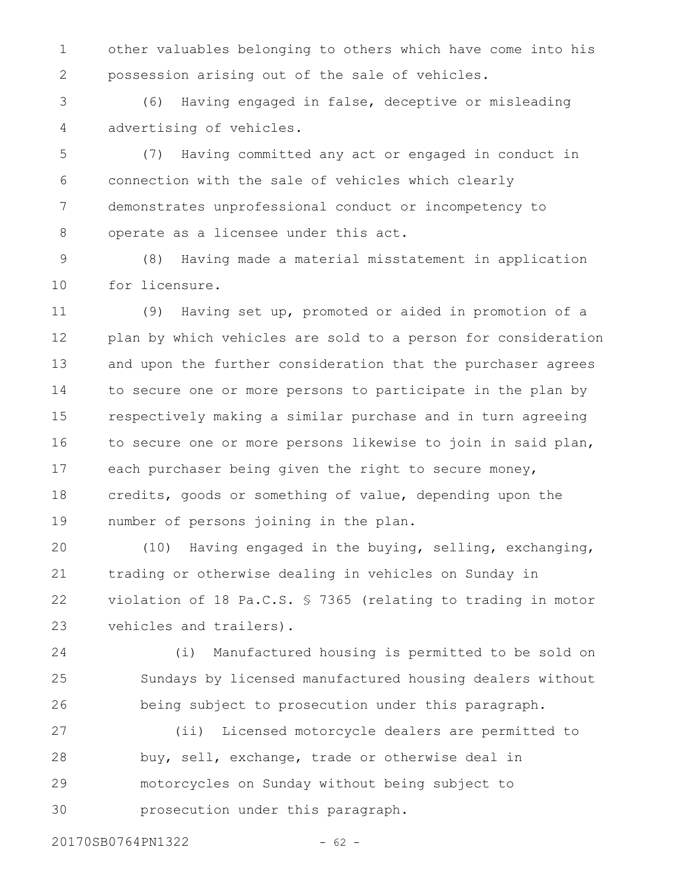other valuables belonging to others which have come into his possession arising out of the sale of vehicles. 1 2

(6) Having engaged in false, deceptive or misleading advertising of vehicles. 3 4

(7) Having committed any act or engaged in conduct in connection with the sale of vehicles which clearly demonstrates unprofessional conduct or incompetency to operate as a licensee under this act. 5 6 7 8

(8) Having made a material misstatement in application for licensure. 9 10

(9) Having set up, promoted or aided in promotion of a plan by which vehicles are sold to a person for consideration and upon the further consideration that the purchaser agrees to secure one or more persons to participate in the plan by respectively making a similar purchase and in turn agreeing to secure one or more persons likewise to join in said plan, each purchaser being given the right to secure money, credits, goods or something of value, depending upon the number of persons joining in the plan. 11 12 13 14 15 16 17 18 19

(10) Having engaged in the buying, selling, exchanging, trading or otherwise dealing in vehicles on Sunday in violation of 18 Pa.C.S. § 7365 (relating to trading in motor vehicles and trailers). 20 21 22 23

(i) Manufactured housing is permitted to be sold on Sundays by licensed manufactured housing dealers without being subject to prosecution under this paragraph. 24 25 26

(ii) Licensed motorcycle dealers are permitted to buy, sell, exchange, trade or otherwise deal in motorcycles on Sunday without being subject to prosecution under this paragraph. 27 28 29 30

20170SB0764PN1322 - 62 -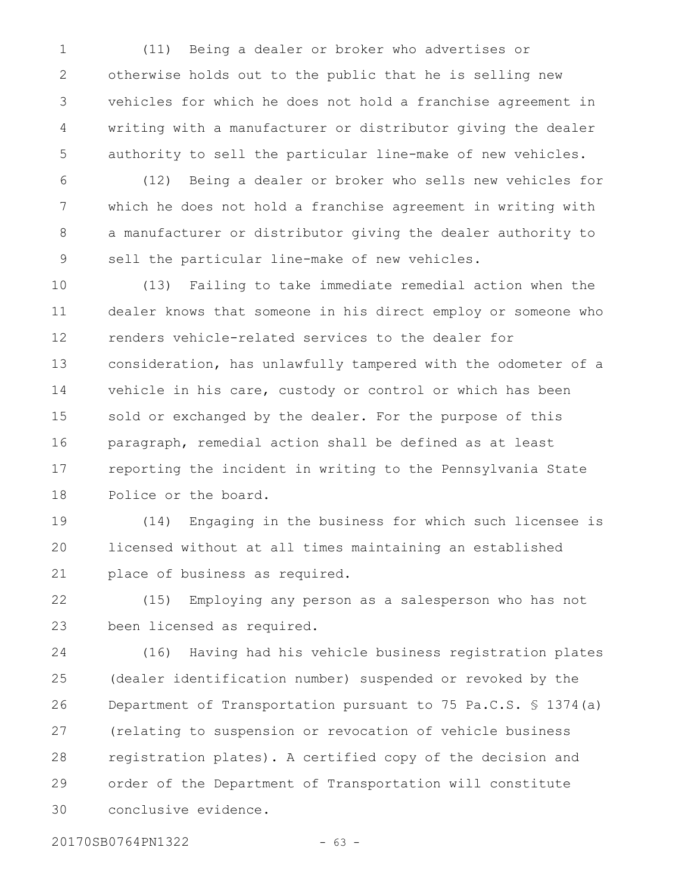(11) Being a dealer or broker who advertises or otherwise holds out to the public that he is selling new vehicles for which he does not hold a franchise agreement in writing with a manufacturer or distributor giving the dealer authority to sell the particular line-make of new vehicles. 1 2 3 4 5

(12) Being a dealer or broker who sells new vehicles for which he does not hold a franchise agreement in writing with a manufacturer or distributor giving the dealer authority to sell the particular line-make of new vehicles. 6 7 8 9

(13) Failing to take immediate remedial action when the dealer knows that someone in his direct employ or someone who renders vehicle-related services to the dealer for consideration, has unlawfully tampered with the odometer of a vehicle in his care, custody or control or which has been sold or exchanged by the dealer. For the purpose of this paragraph, remedial action shall be defined as at least reporting the incident in writing to the Pennsylvania State Police or the board. 10 11 12 13 14 15 16 17 18

(14) Engaging in the business for which such licensee is licensed without at all times maintaining an established place of business as required. 19 20 21

(15) Employing any person as a salesperson who has not been licensed as required. 22 23

(16) Having had his vehicle business registration plates (dealer identification number) suspended or revoked by the Department of Transportation pursuant to 75 Pa.C.S. § 1374(a) (relating to suspension or revocation of vehicle business registration plates). A certified copy of the decision and order of the Department of Transportation will constitute conclusive evidence. 24 25 26 27 28 29 30

20170SB0764PN1322 - 63 -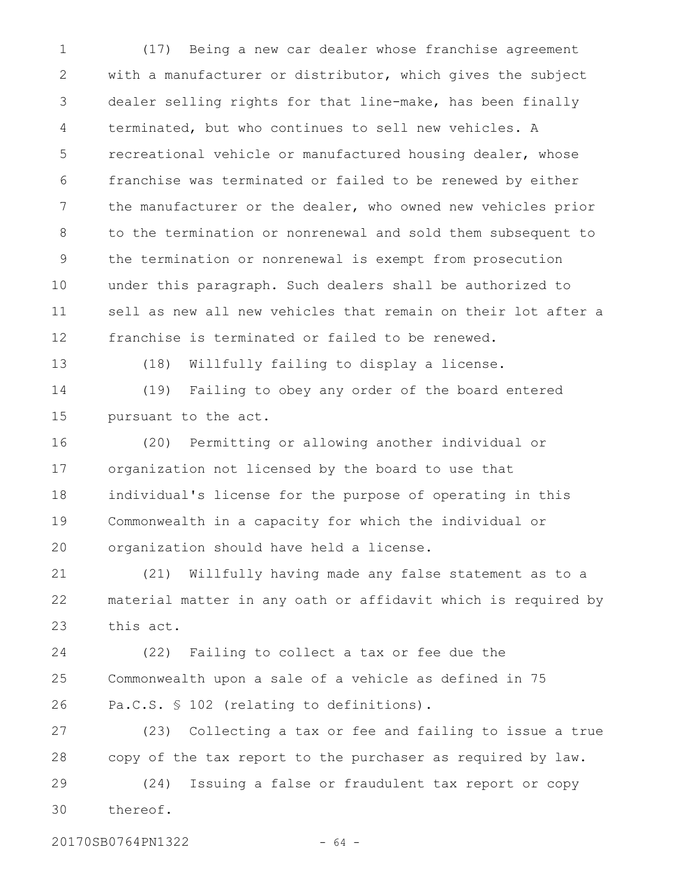(17) Being a new car dealer whose franchise agreement with a manufacturer or distributor, which gives the subject dealer selling rights for that line-make, has been finally terminated, but who continues to sell new vehicles. A recreational vehicle or manufactured housing dealer, whose franchise was terminated or failed to be renewed by either the manufacturer or the dealer, who owned new vehicles prior to the termination or nonrenewal and sold them subsequent to the termination or nonrenewal is exempt from prosecution under this paragraph. Such dealers shall be authorized to sell as new all new vehicles that remain on their lot after a franchise is terminated or failed to be renewed. 1 2 3 4 5 6 7 8 9 10 11 12

13

(18) Willfully failing to display a license.

(19) Failing to obey any order of the board entered pursuant to the act. 14 15

(20) Permitting or allowing another individual or organization not licensed by the board to use that individual's license for the purpose of operating in this Commonwealth in a capacity for which the individual or organization should have held a license. 16 17 18 19 20

(21) Willfully having made any false statement as to a material matter in any oath or affidavit which is required by this act. 21 22 23

(22) Failing to collect a tax or fee due the Commonwealth upon a sale of a vehicle as defined in 75 Pa.C.S. § 102 (relating to definitions). 24 25 26

(23) Collecting a tax or fee and failing to issue a true copy of the tax report to the purchaser as required by law. 27 28

(24) Issuing a false or fraudulent tax report or copy thereof. 29 30

20170SB0764PN1322 - 64 -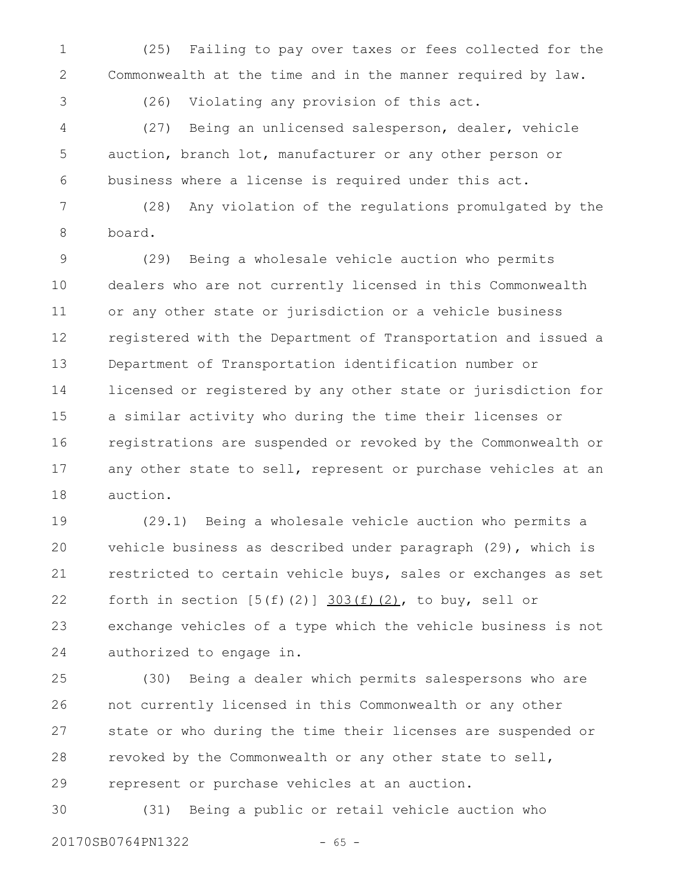(25) Failing to pay over taxes or fees collected for the Commonwealth at the time and in the manner required by law. 1 2

3

(26) Violating any provision of this act.

(27) Being an unlicensed salesperson, dealer, vehicle auction, branch lot, manufacturer or any other person or business where a license is required under this act. 4 5 6

(28) Any violation of the regulations promulgated by the board. 7 8

(29) Being a wholesale vehicle auction who permits dealers who are not currently licensed in this Commonwealth or any other state or jurisdiction or a vehicle business registered with the Department of Transportation and issued a Department of Transportation identification number or licensed or registered by any other state or jurisdiction for a similar activity who during the time their licenses or registrations are suspended or revoked by the Commonwealth or any other state to sell, represent or purchase vehicles at an auction. 9 10 11 12 13 14 15 16 17 18

(29.1) Being a wholesale vehicle auction who permits a vehicle business as described under paragraph (29), which is restricted to certain vehicle buys, sales or exchanges as set forth in section  $[5(f)(2)]$   $303(f)(2)$ , to buy, sell or exchange vehicles of a type which the vehicle business is not authorized to engage in. 19 20 21 22 23 24

(30) Being a dealer which permits salespersons who are not currently licensed in this Commonwealth or any other state or who during the time their licenses are suspended or revoked by the Commonwealth or any other state to sell, represent or purchase vehicles at an auction. 25 26 27 28 29

(31) Being a public or retail vehicle auction who 20170SB0764PN1322 - 65 -30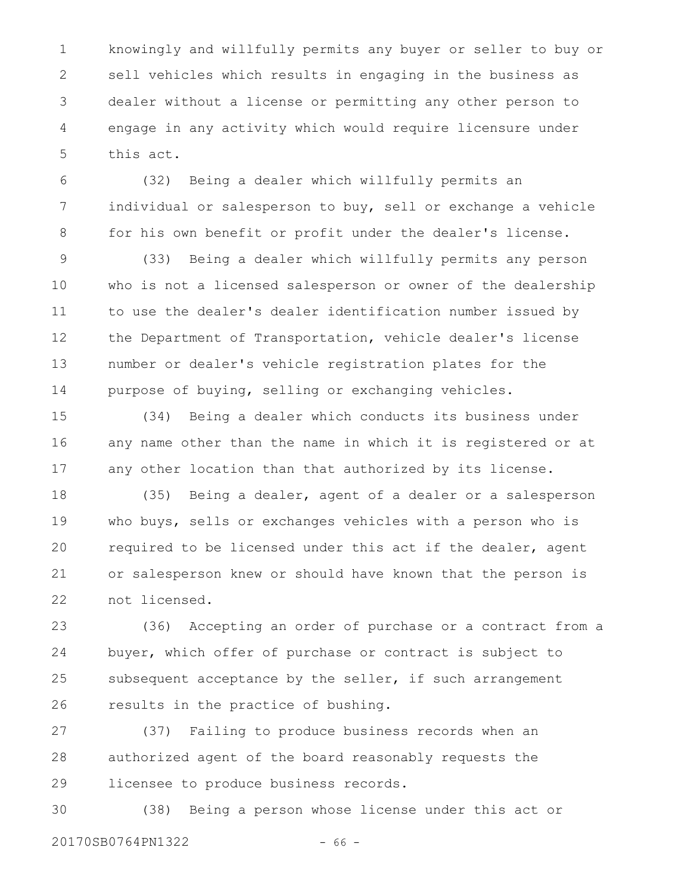knowingly and willfully permits any buyer or seller to buy or sell vehicles which results in engaging in the business as dealer without a license or permitting any other person to engage in any activity which would require licensure under this act. 1 2 3 4 5

(32) Being a dealer which willfully permits an individual or salesperson to buy, sell or exchange a vehicle for his own benefit or profit under the dealer's license. 6 7 8

(33) Being a dealer which willfully permits any person who is not a licensed salesperson or owner of the dealership to use the dealer's dealer identification number issued by the Department of Transportation, vehicle dealer's license number or dealer's vehicle registration plates for the purpose of buying, selling or exchanging vehicles. 9 10 11 12 13 14

(34) Being a dealer which conducts its business under any name other than the name in which it is registered or at any other location than that authorized by its license. 15 16 17

(35) Being a dealer, agent of a dealer or a salesperson who buys, sells or exchanges vehicles with a person who is required to be licensed under this act if the dealer, agent or salesperson knew or should have known that the person is not licensed. 18 19 20 21 22

(36) Accepting an order of purchase or a contract from a buyer, which offer of purchase or contract is subject to subsequent acceptance by the seller, if such arrangement results in the practice of bushing. 23 24 25 26

(37) Failing to produce business records when an authorized agent of the board reasonably requests the licensee to produce business records. 27 28 29

(38) Being a person whose license under this act or 20170SB0764PN1322 - 66 -30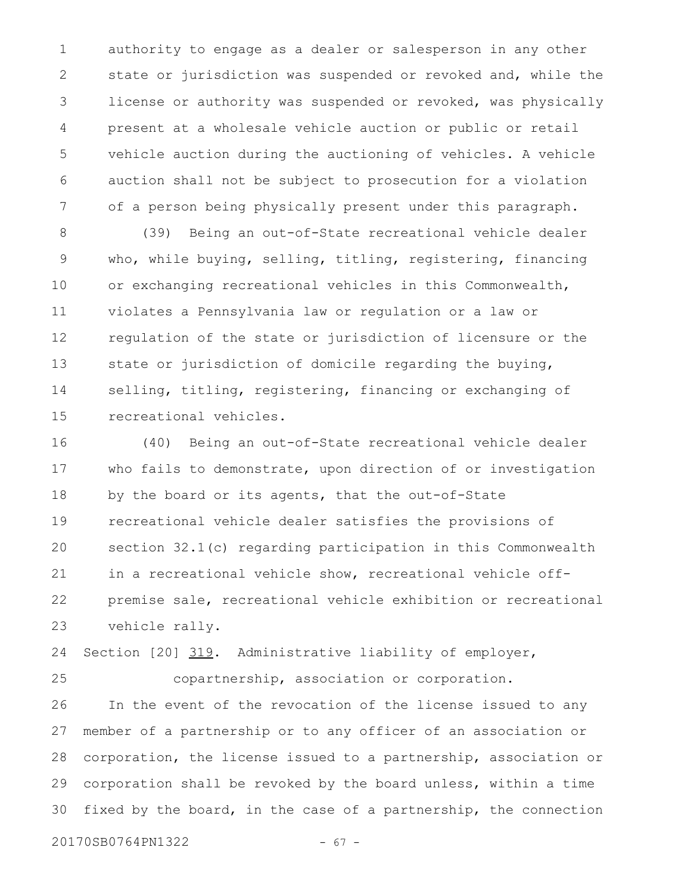authority to engage as a dealer or salesperson in any other state or jurisdiction was suspended or revoked and, while the license or authority was suspended or revoked, was physically present at a wholesale vehicle auction or public or retail vehicle auction during the auctioning of vehicles. A vehicle auction shall not be subject to prosecution for a violation of a person being physically present under this paragraph. 1 2 3 4 5 6 7

(39) Being an out-of-State recreational vehicle dealer who, while buying, selling, titling, registering, financing or exchanging recreational vehicles in this Commonwealth, violates a Pennsylvania law or regulation or a law or regulation of the state or jurisdiction of licensure or the state or jurisdiction of domicile regarding the buying, selling, titling, registering, financing or exchanging of recreational vehicles. 8 9 10 11 12 13 14 15

(40) Being an out-of-State recreational vehicle dealer who fails to demonstrate, upon direction of or investigation by the board or its agents, that the out-of-State recreational vehicle dealer satisfies the provisions of section 32.1(c) regarding participation in this Commonwealth in a recreational vehicle show, recreational vehicle offpremise sale, recreational vehicle exhibition or recreational vehicle rally. 16 17 18 19 20 21 22 23

Section [20] 319. Administrative liability of employer, 24

copartnership, association or corporation. In the event of the revocation of the license issued to any member of a partnership or to any officer of an association or corporation, the license issued to a partnership, association or corporation shall be revoked by the board unless, within a time fixed by the board, in the case of a partnership, the connection 25 26 27 28 29 30

20170SB0764PN1322 - 67 -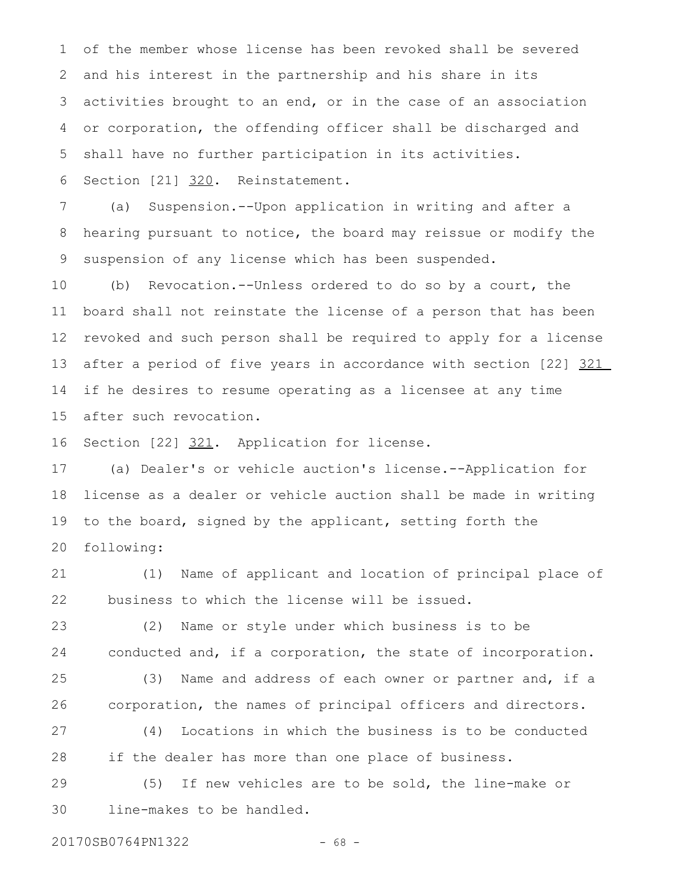of the member whose license has been revoked shall be severed and his interest in the partnership and his share in its activities brought to an end, or in the case of an association or corporation, the offending officer shall be discharged and shall have no further participation in its activities. Section [21] 320. Reinstatement. 1 2 3 4 5 6

(a) Suspension.--Upon application in writing and after a hearing pursuant to notice, the board may reissue or modify the suspension of any license which has been suspended. 7 8 9

(b) Revocation.--Unless ordered to do so by a court, the board shall not reinstate the license of a person that has been revoked and such person shall be required to apply for a license after a period of five years in accordance with section [22] 321 if he desires to resume operating as a licensee at any time after such revocation. 10 11 12 13 14 15

Section [22] 321. Application for license. 16

(a) Dealer's or vehicle auction's license.--Application for license as a dealer or vehicle auction shall be made in writing to the board, signed by the applicant, setting forth the following: 17 18 19 20

(1) Name of applicant and location of principal place of business to which the license will be issued. 21 22

(2) Name or style under which business is to be conducted and, if a corporation, the state of incorporation. 23 24

(3) Name and address of each owner or partner and, if a corporation, the names of principal officers and directors. 25 26

(4) Locations in which the business is to be conducted if the dealer has more than one place of business. 27 28

(5) If new vehicles are to be sold, the line-make or line-makes to be handled. 29 30

20170SB0764PN1322 - 68 -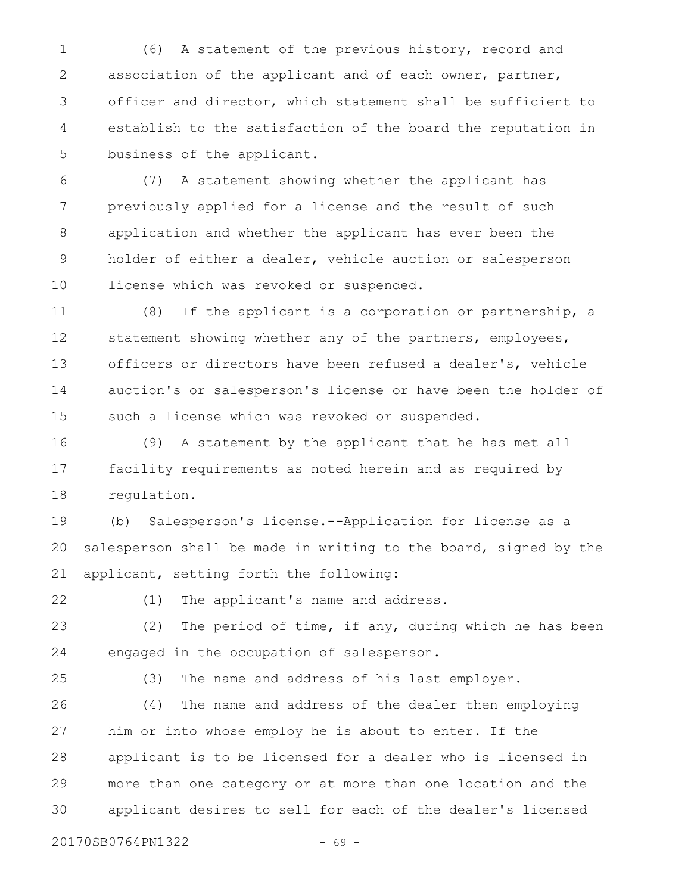(6) A statement of the previous history, record and association of the applicant and of each owner, partner, officer and director, which statement shall be sufficient to establish to the satisfaction of the board the reputation in business of the applicant. 1 2 3 4 5

(7) A statement showing whether the applicant has previously applied for a license and the result of such application and whether the applicant has ever been the holder of either a dealer, vehicle auction or salesperson license which was revoked or suspended. 6 7 8 9 10

(8) If the applicant is a corporation or partnership, a statement showing whether any of the partners, employees, officers or directors have been refused a dealer's, vehicle auction's or salesperson's license or have been the holder of such a license which was revoked or suspended. 11 12 13 14 15

(9) A statement by the applicant that he has met all facility requirements as noted herein and as required by regulation. 16 17 18

(b) Salesperson's license.--Application for license as a salesperson shall be made in writing to the board, signed by the applicant, setting forth the following: 19 20 21

22

(1) The applicant's name and address.

(2) The period of time, if any, during which he has been engaged in the occupation of salesperson. 23 24

25

(3) The name and address of his last employer.

(4) The name and address of the dealer then employing him or into whose employ he is about to enter. If the applicant is to be licensed for a dealer who is licensed in more than one category or at more than one location and the applicant desires to sell for each of the dealer's licensed 26 27 28 29 30

20170SB0764PN1322 - 69 -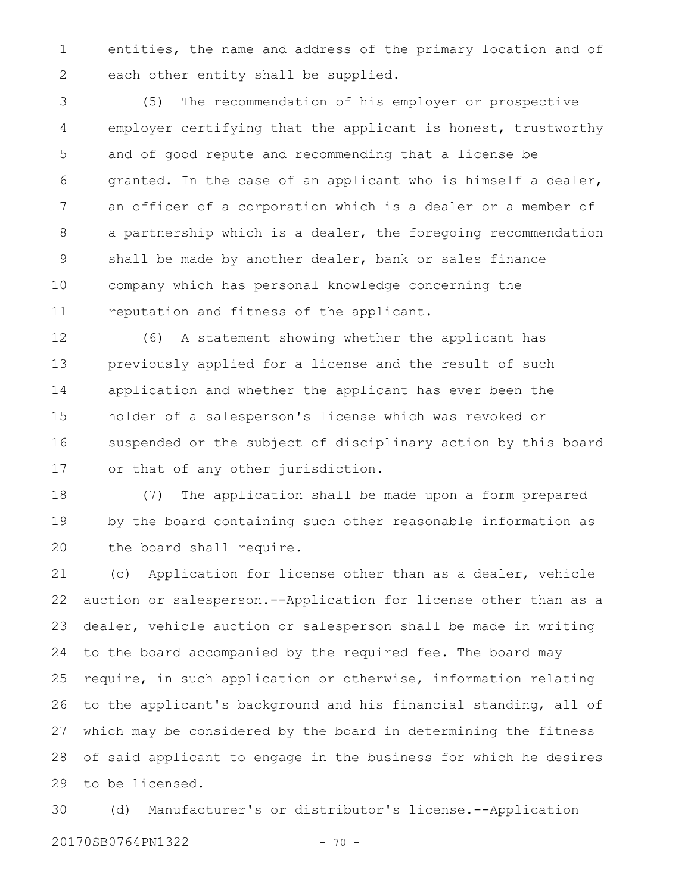entities, the name and address of the primary location and of each other entity shall be supplied. 1 2

(5) The recommendation of his employer or prospective employer certifying that the applicant is honest, trustworthy and of good repute and recommending that a license be granted. In the case of an applicant who is himself a dealer, an officer of a corporation which is a dealer or a member of a partnership which is a dealer, the foregoing recommendation shall be made by another dealer, bank or sales finance company which has personal knowledge concerning the reputation and fitness of the applicant. 3 4 5 6 7 8 9 10 11

(6) A statement showing whether the applicant has previously applied for a license and the result of such application and whether the applicant has ever been the holder of a salesperson's license which was revoked or suspended or the subject of disciplinary action by this board or that of any other jurisdiction. 12 13 14 15 16 17

(7) The application shall be made upon a form prepared by the board containing such other reasonable information as the board shall require. 18 19 20

(c) Application for license other than as a dealer, vehicle auction or salesperson.--Application for license other than as a dealer, vehicle auction or salesperson shall be made in writing to the board accompanied by the required fee. The board may require, in such application or otherwise, information relating to the applicant's background and his financial standing, all of which may be considered by the board in determining the fitness of said applicant to engage in the business for which he desires to be licensed. 21 22 23 24 25 26 27 28 29

(d) Manufacturer's or distributor's license.--Application 20170SB0764PN1322 - 70 -30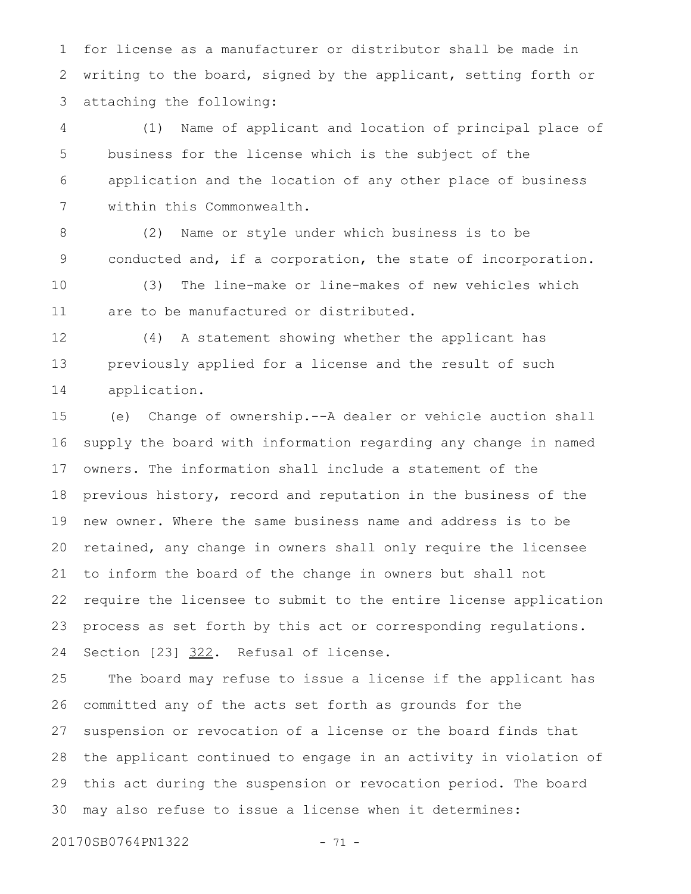for license as a manufacturer or distributor shall be made in writing to the board, signed by the applicant, setting forth or attaching the following: 1 2 3

(1) Name of applicant and location of principal place of business for the license which is the subject of the application and the location of any other place of business within this Commonwealth. 4 5 6 7

(2) Name or style under which business is to be conducted and, if a corporation, the state of incorporation. 8 9

(3) The line-make or line-makes of new vehicles which are to be manufactured or distributed. 10 11

(4) A statement showing whether the applicant has previously applied for a license and the result of such application. 12 13 14

(e) Change of ownership.--A dealer or vehicle auction shall supply the board with information regarding any change in named owners. The information shall include a statement of the previous history, record and reputation in the business of the new owner. Where the same business name and address is to be retained, any change in owners shall only require the licensee to inform the board of the change in owners but shall not require the licensee to submit to the entire license application process as set forth by this act or corresponding regulations. Section [23] 322. Refusal of license. 15 16 17 18 19 20 21 22 23 24

The board may refuse to issue a license if the applicant has committed any of the acts set forth as grounds for the suspension or revocation of a license or the board finds that the applicant continued to engage in an activity in violation of this act during the suspension or revocation period. The board may also refuse to issue a license when it determines: 25 26 27 28 29 30

20170SB0764PN1322 - 71 -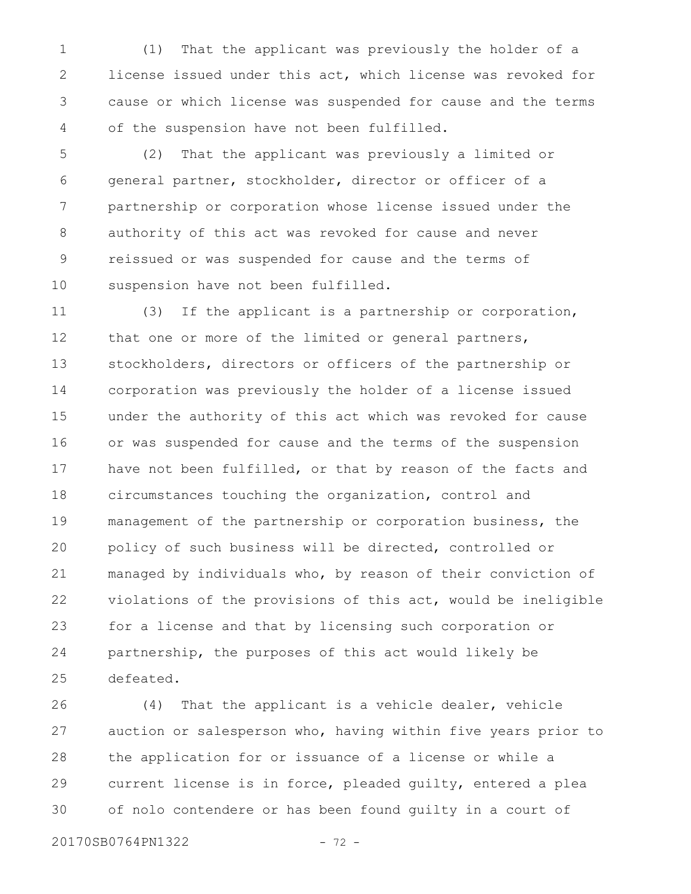(1) That the applicant was previously the holder of a license issued under this act, which license was revoked for cause or which license was suspended for cause and the terms of the suspension have not been fulfilled. 1 2 3 4

(2) That the applicant was previously a limited or general partner, stockholder, director or officer of a partnership or corporation whose license issued under the authority of this act was revoked for cause and never reissued or was suspended for cause and the terms of suspension have not been fulfilled. 5 6 7 8 9 10

(3) If the applicant is a partnership or corporation, that one or more of the limited or general partners, stockholders, directors or officers of the partnership or corporation was previously the holder of a license issued under the authority of this act which was revoked for cause or was suspended for cause and the terms of the suspension have not been fulfilled, or that by reason of the facts and circumstances touching the organization, control and management of the partnership or corporation business, the policy of such business will be directed, controlled or managed by individuals who, by reason of their conviction of violations of the provisions of this act, would be ineligible for a license and that by licensing such corporation or partnership, the purposes of this act would likely be defeated. 11 12 13 14 15 16 17 18 19 20 21 22 23 24 25

(4) That the applicant is a vehicle dealer, vehicle auction or salesperson who, having within five years prior to the application for or issuance of a license or while a current license is in force, pleaded guilty, entered a plea of nolo contendere or has been found guilty in a court of 26 27 28 29 30

20170SB0764PN1322 - 72 -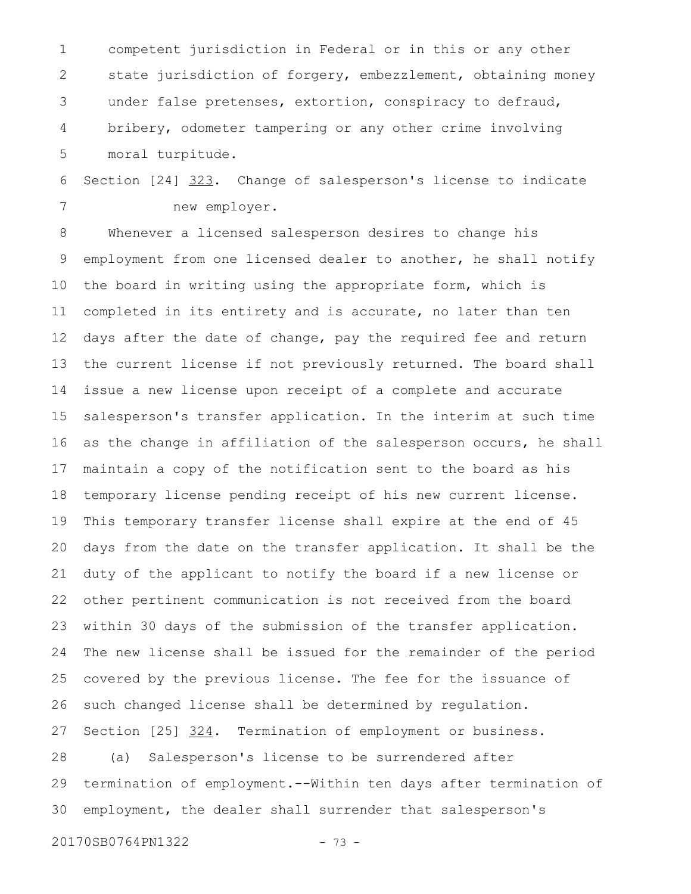competent jurisdiction in Federal or in this or any other state jurisdiction of forgery, embezzlement, obtaining money under false pretenses, extortion, conspiracy to defraud, bribery, odometer tampering or any other crime involving moral turpitude. 1 2 3 4 5

Section [24] 323. Change of salesperson's license to indicate new employer. 6 7

Whenever a licensed salesperson desires to change his employment from one licensed dealer to another, he shall notify the board in writing using the appropriate form, which is completed in its entirety and is accurate, no later than ten days after the date of change, pay the required fee and return the current license if not previously returned. The board shall issue a new license upon receipt of a complete and accurate salesperson's transfer application. In the interim at such time as the change in affiliation of the salesperson occurs, he shall maintain a copy of the notification sent to the board as his temporary license pending receipt of his new current license. This temporary transfer license shall expire at the end of 45 days from the date on the transfer application. It shall be the duty of the applicant to notify the board if a new license or other pertinent communication is not received from the board within 30 days of the submission of the transfer application. The new license shall be issued for the remainder of the period covered by the previous license. The fee for the issuance of such changed license shall be determined by regulation. Section [25] 324. Termination of employment or business. (a) Salesperson's license to be surrendered after termination of employment.--Within ten days after termination of employment, the dealer shall surrender that salesperson's 8 9 10 11 12 13 14 15 16 17 18 19 20 21 22 23 24 25 26 27 28 29 30

20170SB0764PN1322 - 73 -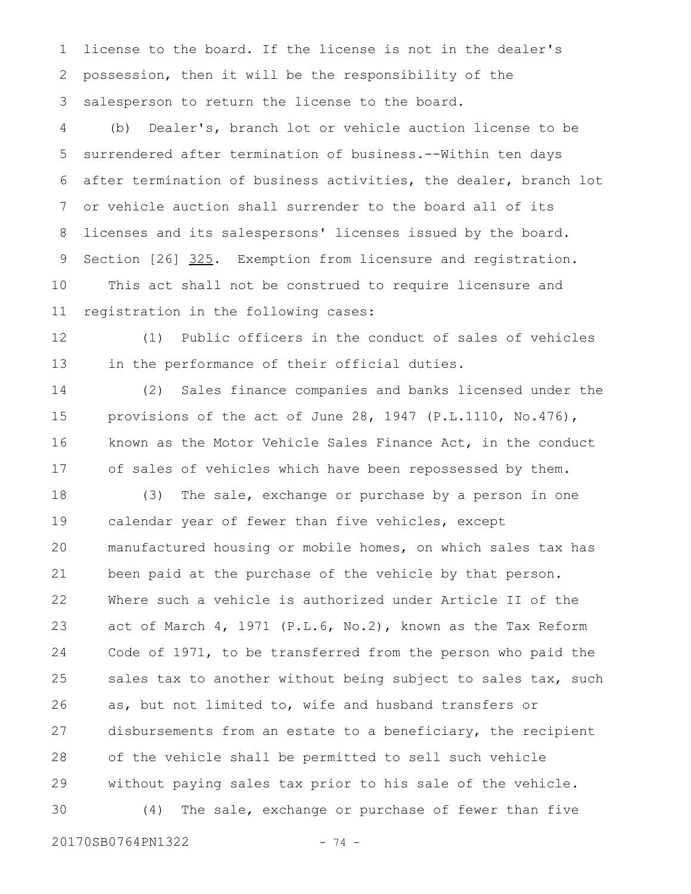license to the board. If the license is not in the dealer's possession, then it will be the responsibility of the salesperson to return the license to the board. 1 2 3

(b) Dealer's, branch lot or vehicle auction license to be surrendered after termination of business.--Within ten days after termination of business activities, the dealer, branch lot or vehicle auction shall surrender to the board all of its licenses and its salespersons' licenses issued by the board. Section [26] 325. Exemption from licensure and registration. This act shall not be construed to require licensure and registration in the following cases: 4 5 6 7 8 9 10 11

(1) Public officers in the conduct of sales of vehicles in the performance of their official duties. 12 13

(2) Sales finance companies and banks licensed under the provisions of the act of June 28, 1947 (P.L.1110, No.476), known as the Motor Vehicle Sales Finance Act, in the conduct of sales of vehicles which have been repossessed by them. 14 15 16 17

(3) The sale, exchange or purchase by a person in one calendar year of fewer than five vehicles, except manufactured housing or mobile homes, on which sales tax has been paid at the purchase of the vehicle by that person. Where such a vehicle is authorized under Article II of the act of March 4, 1971 (P.L.6, No.2), known as the Tax Reform Code of 1971, to be transferred from the person who paid the sales tax to another without being subject to sales tax, such as, but not limited to, wife and husband transfers or disbursements from an estate to a beneficiary, the recipient of the vehicle shall be permitted to sell such vehicle without paying sales tax prior to his sale of the vehicle. (4) The sale, exchange or purchase of fewer than five 18 19 20 21 22 23 24 25 26 27 28 29 30

20170SB0764PN1322 - 74 -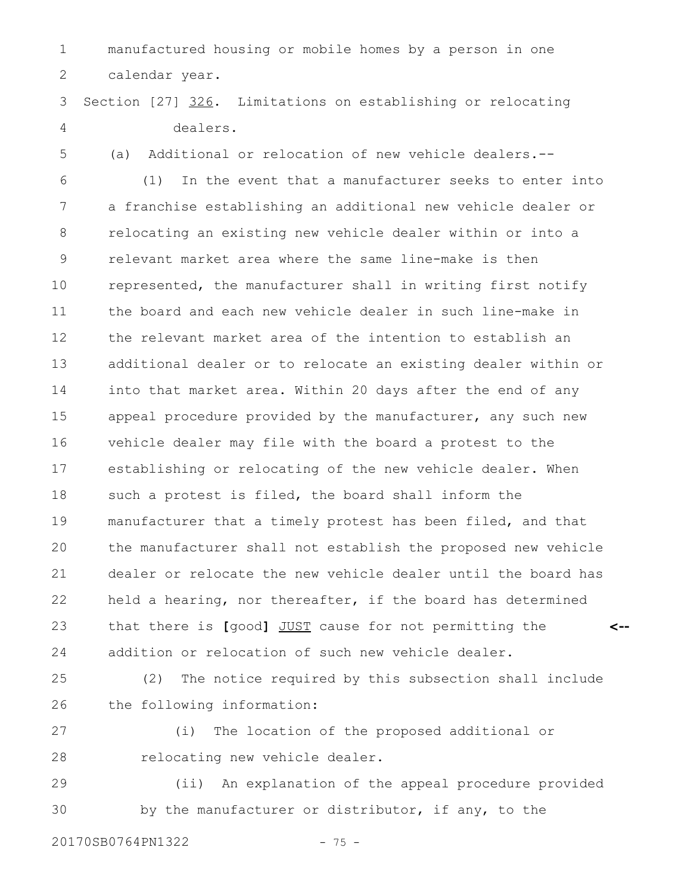manufactured housing or mobile homes by a person in one calendar year. 1 2

Section [27] 326. Limitations on establishing or relocating dealers. 3 4

5

(a) Additional or relocation of new vehicle dealers.--

(1) In the event that a manufacturer seeks to enter into a franchise establishing an additional new vehicle dealer or relocating an existing new vehicle dealer within or into a relevant market area where the same line-make is then represented, the manufacturer shall in writing first notify the board and each new vehicle dealer in such line-make in the relevant market area of the intention to establish an additional dealer or to relocate an existing dealer within or into that market area. Within 20 days after the end of any appeal procedure provided by the manufacturer, any such new vehicle dealer may file with the board a protest to the establishing or relocating of the new vehicle dealer. When such a protest is filed, the board shall inform the manufacturer that a timely protest has been filed, and that the manufacturer shall not establish the proposed new vehicle dealer or relocate the new vehicle dealer until the board has held a hearing, nor thereafter, if the board has determined that there is **[**good**]** JUST cause for not permitting the addition or relocation of such new vehicle dealer. **<--** 6 7 8 9 10 11 12 13 14 15 16 17 18 19 20 21 22 23 24

(2) The notice required by this subsection shall include the following information: 25 26

27 28

(i) The location of the proposed additional or relocating new vehicle dealer.

(ii) An explanation of the appeal procedure provided by the manufacturer or distributor, if any, to the 29 30

20170SB0764PN1322 - 75 -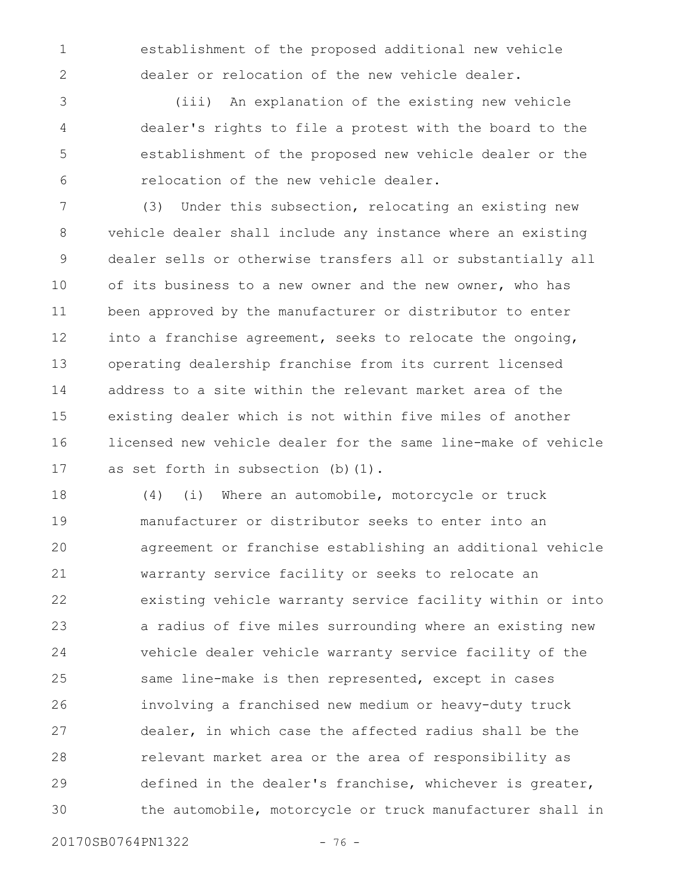establishment of the proposed additional new vehicle dealer or relocation of the new vehicle dealer.

(iii) An explanation of the existing new vehicle dealer's rights to file a protest with the board to the establishment of the proposed new vehicle dealer or the relocation of the new vehicle dealer. 3 4 5 6

(3) Under this subsection, relocating an existing new vehicle dealer shall include any instance where an existing dealer sells or otherwise transfers all or substantially all of its business to a new owner and the new owner, who has been approved by the manufacturer or distributor to enter into a franchise agreement, seeks to relocate the ongoing, operating dealership franchise from its current licensed address to a site within the relevant market area of the existing dealer which is not within five miles of another licensed new vehicle dealer for the same line-make of vehicle as set forth in subsection (b)(1). 7 8 9 10 11 12 13 14 15 16 17

(4) (i) Where an automobile, motorcycle or truck manufacturer or distributor seeks to enter into an agreement or franchise establishing an additional vehicle warranty service facility or seeks to relocate an existing vehicle warranty service facility within or into a radius of five miles surrounding where an existing new vehicle dealer vehicle warranty service facility of the same line-make is then represented, except in cases involving a franchised new medium or heavy-duty truck dealer, in which case the affected radius shall be the relevant market area or the area of responsibility as defined in the dealer's franchise, whichever is greater, the automobile, motorcycle or truck manufacturer shall in 18 19 20 21 22 23 24 25 26 27 28 29 30

20170SB0764PN1322 - 76 -

1

2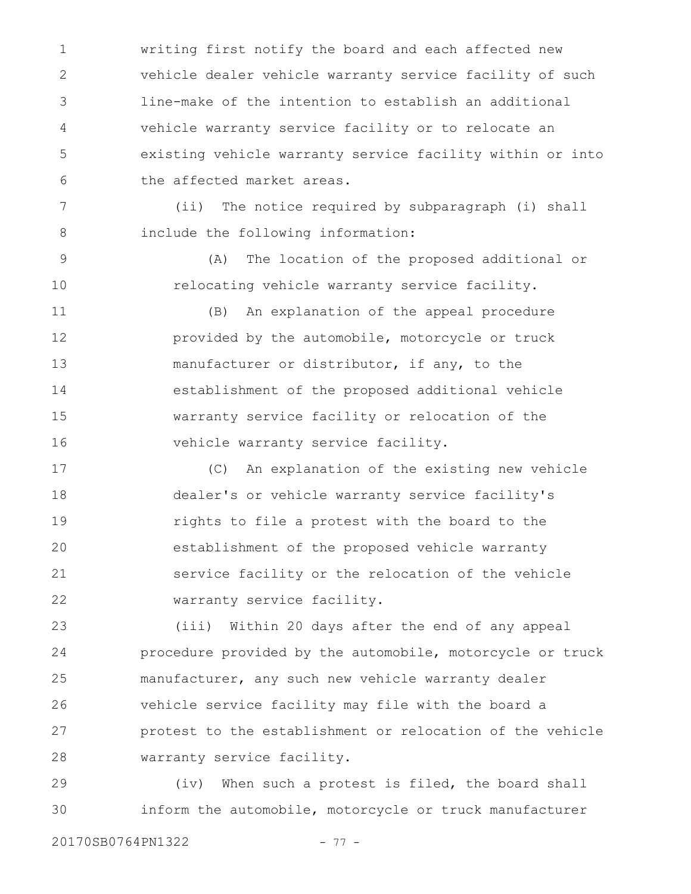writing first notify the board and each affected new vehicle dealer vehicle warranty service facility of such line-make of the intention to establish an additional vehicle warranty service facility or to relocate an existing vehicle warranty service facility within or into the affected market areas. 1 2 3 4 5 6

(ii) The notice required by subparagraph (i) shall include the following information: 7 8

> (A) The location of the proposed additional or relocating vehicle warranty service facility.

(B) An explanation of the appeal procedure provided by the automobile, motorcycle or truck manufacturer or distributor, if any, to the establishment of the proposed additional vehicle warranty service facility or relocation of the vehicle warranty service facility. 11 12 13 14 15 16

(C) An explanation of the existing new vehicle dealer's or vehicle warranty service facility's rights to file a protest with the board to the establishment of the proposed vehicle warranty service facility or the relocation of the vehicle warranty service facility. 17 18 19 20 21 22

(iii) Within 20 days after the end of any appeal procedure provided by the automobile, motorcycle or truck manufacturer, any such new vehicle warranty dealer vehicle service facility may file with the board a protest to the establishment or relocation of the vehicle warranty service facility. 23 24 25 26 27 28

(iv) When such a protest is filed, the board shall inform the automobile, motorcycle or truck manufacturer 29 30

9

10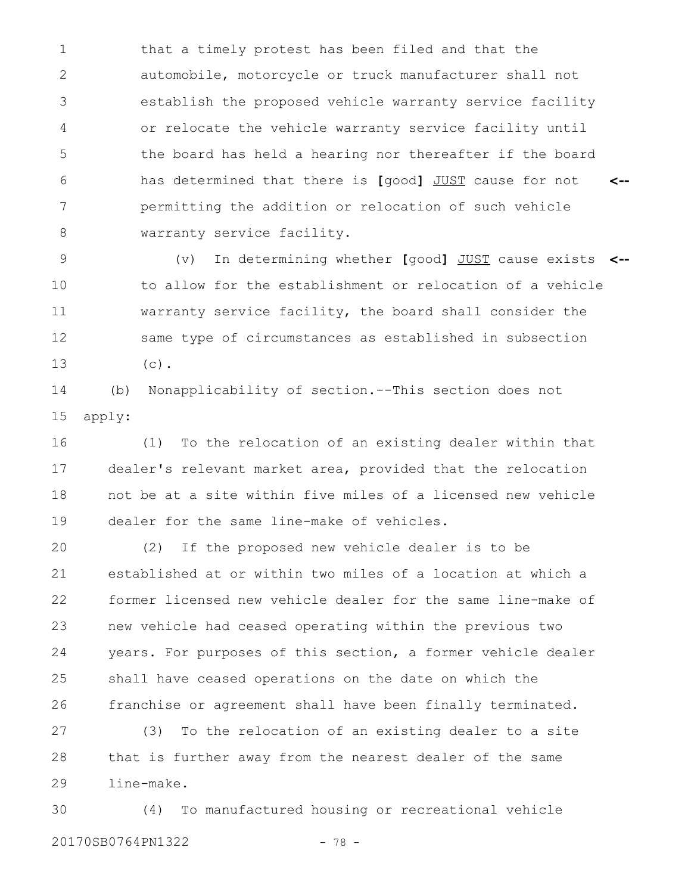that a timely protest has been filed and that the automobile, motorcycle or truck manufacturer shall not establish the proposed vehicle warranty service facility or relocate the vehicle warranty service facility until the board has held a hearing nor thereafter if the board has determined that there is **[**good**]** JUST cause for not permitting the addition or relocation of such vehicle warranty service facility. **<--** 1 2 3 4 5 6 7 8

(v) In determining whether **[**good**]** JUST cause exists **<-** to allow for the establishment or relocation of a vehicle warranty service facility, the board shall consider the same type of circumstances as established in subsection  $(c)$ . 9 10 11 12 13

(b) Nonapplicability of section.--This section does not apply: 14 15

(1) To the relocation of an existing dealer within that dealer's relevant market area, provided that the relocation not be at a site within five miles of a licensed new vehicle dealer for the same line-make of vehicles. 16 17 18 19

(2) If the proposed new vehicle dealer is to be established at or within two miles of a location at which a former licensed new vehicle dealer for the same line-make of new vehicle had ceased operating within the previous two years. For purposes of this section, a former vehicle dealer shall have ceased operations on the date on which the franchise or agreement shall have been finally terminated. 20 21 22 23 24 25 26

(3) To the relocation of an existing dealer to a site that is further away from the nearest dealer of the same line-make. 27 28 29

(4) To manufactured housing or recreational vehicle 20170SB0764PN1322 - 78 -30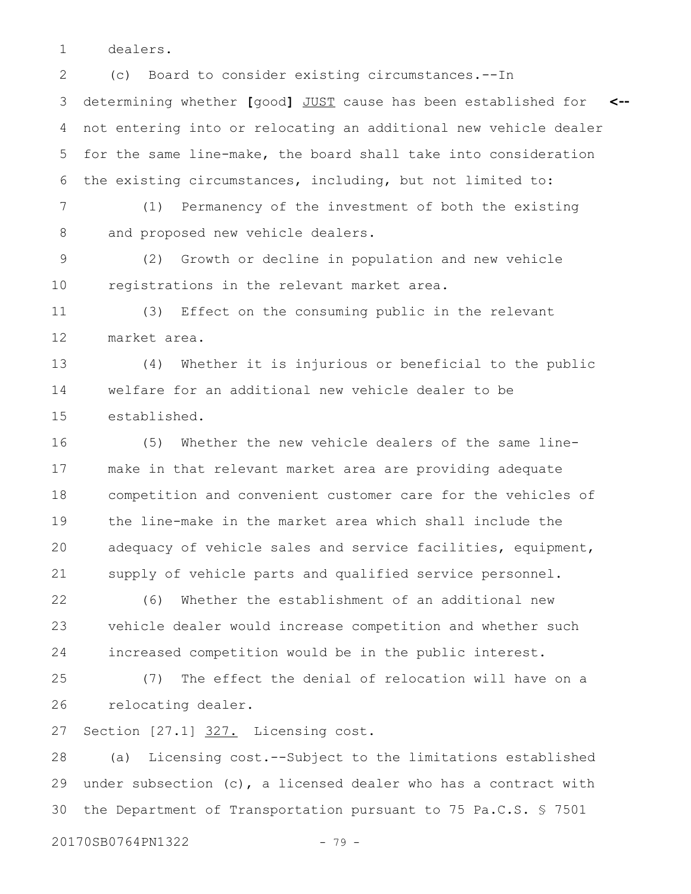dealers. 1

(c) Board to consider existing circumstances.--In determining whether **[**good**]** JUST cause has been established for not entering into or relocating an additional new vehicle dealer for the same line-make, the board shall take into consideration the existing circumstances, including, but not limited to: **<--** 2 3 4 5 6

(1) Permanency of the investment of both the existing and proposed new vehicle dealers. 7 8

(2) Growth or decline in population and new vehicle registrations in the relevant market area. 9 10

(3) Effect on the consuming public in the relevant market area. 11 12

(4) Whether it is injurious or beneficial to the public welfare for an additional new vehicle dealer to be established. 13 14 15

(5) Whether the new vehicle dealers of the same linemake in that relevant market area are providing adequate competition and convenient customer care for the vehicles of the line-make in the market area which shall include the adequacy of vehicle sales and service facilities, equipment, supply of vehicle parts and qualified service personnel. 16 17 18 19 20 21

(6) Whether the establishment of an additional new vehicle dealer would increase competition and whether such increased competition would be in the public interest. 22 23 24

(7) The effect the denial of relocation will have on a relocating dealer. 25 26

Section [27.1] 327. Licensing cost. 27

(a) Licensing cost.--Subject to the limitations established under subsection  $(c)$ , a licensed dealer who has a contract with the Department of Transportation pursuant to 75 Pa.C.S. § 7501 28 29 30

20170SB0764PN1322 - 79 -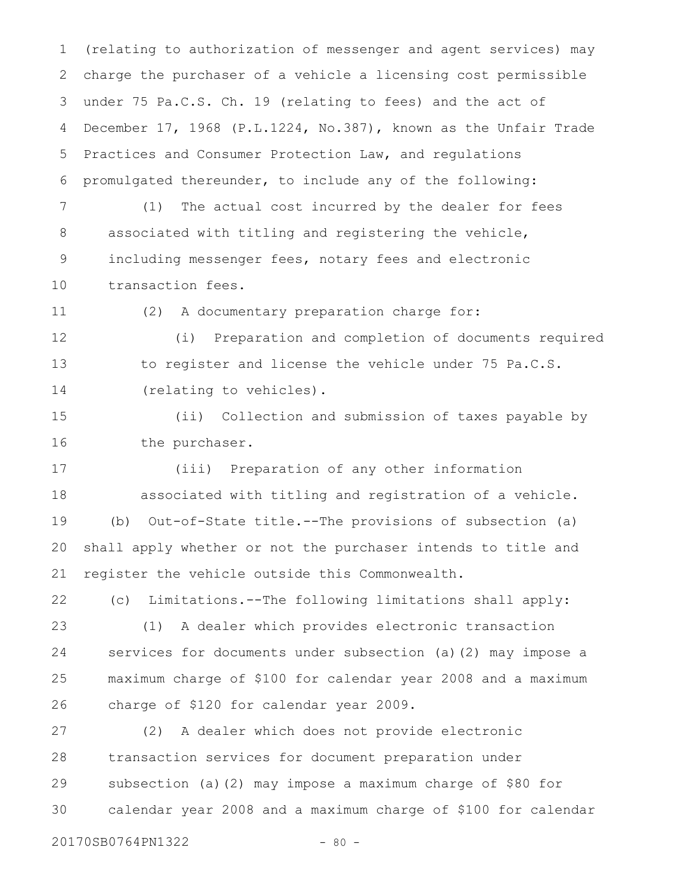(relating to authorization of messenger and agent services) may charge the purchaser of a vehicle a licensing cost permissible under 75 Pa.C.S. Ch. 19 (relating to fees) and the act of December 17, 1968 (P.L.1224, No.387), known as the Unfair Trade Practices and Consumer Protection Law, and regulations promulgated thereunder, to include any of the following: 1 2 3 4 5 6

(1) The actual cost incurred by the dealer for fees associated with titling and registering the vehicle, including messenger fees, notary fees and electronic transaction fees. 7 8 9 10

11

(2) A documentary preparation charge for:

(i) Preparation and completion of documents required to register and license the vehicle under 75 Pa.C.S. (relating to vehicles). 12 13 14

(ii) Collection and submission of taxes payable by the purchaser. 15 16

(iii) Preparation of any other information associated with titling and registration of a vehicle. (b) Out-of-State title.--The provisions of subsection (a) shall apply whether or not the purchaser intends to title and register the vehicle outside this Commonwealth. 17 18 19 20 21

(c) Limitations.--The following limitations shall apply: 22

(1) A dealer which provides electronic transaction services for documents under subsection (a)(2) may impose a maximum charge of \$100 for calendar year 2008 and a maximum charge of \$120 for calendar year 2009. 23 24 25 26

(2) A dealer which does not provide electronic transaction services for document preparation under subsection (a)(2) may impose a maximum charge of \$80 for calendar year 2008 and a maximum charge of \$100 for calendar 27 28 29 30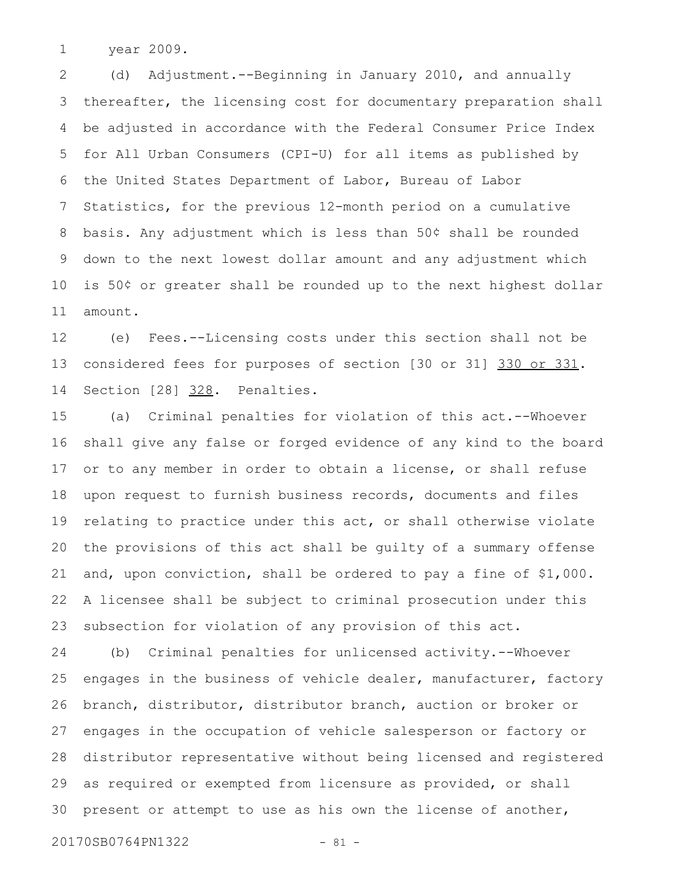year 2009. 1

(d) Adjustment.--Beginning in January 2010, and annually thereafter, the licensing cost for documentary preparation shall be adjusted in accordance with the Federal Consumer Price Index for All Urban Consumers (CPI-U) for all items as published by the United States Department of Labor, Bureau of Labor Statistics, for the previous 12-month period on a cumulative basis. Any adjustment which is less than 50¢ shall be rounded down to the next lowest dollar amount and any adjustment which is 50¢ or greater shall be rounded up to the next highest dollar amount. 2 3 4 5 6 7 8 9 10 11

(e) Fees.--Licensing costs under this section shall not be considered fees for purposes of section [30 or 31] 330 or 331. Section [28] 328. Penalties. 12 13 14

(a) Criminal penalties for violation of this act.--Whoever shall give any false or forged evidence of any kind to the board or to any member in order to obtain a license, or shall refuse upon request to furnish business records, documents and files relating to practice under this act, or shall otherwise violate the provisions of this act shall be guilty of a summary offense and, upon conviction, shall be ordered to pay a fine of \$1,000. A licensee shall be subject to criminal prosecution under this subsection for violation of any provision of this act. 15 16 17 18 19 20 21 22 23

(b) Criminal penalties for unlicensed activity.--Whoever engages in the business of vehicle dealer, manufacturer, factory branch, distributor, distributor branch, auction or broker or engages in the occupation of vehicle salesperson or factory or distributor representative without being licensed and registered as required or exempted from licensure as provided, or shall present or attempt to use as his own the license of another, 24 25 26 27 28 29 30

20170SB0764PN1322 - 81 -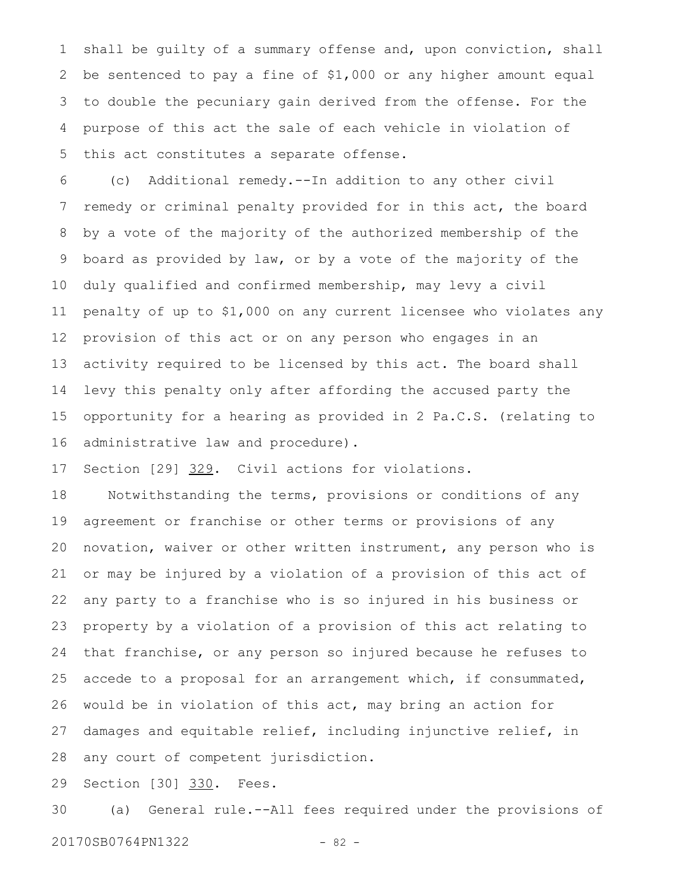shall be guilty of a summary offense and, upon conviction, shall be sentenced to pay a fine of \$1,000 or any higher amount equal to double the pecuniary gain derived from the offense. For the purpose of this act the sale of each vehicle in violation of this act constitutes a separate offense. 1 2 3 4 5

(c) Additional remedy.--In addition to any other civil remedy or criminal penalty provided for in this act, the board by a vote of the majority of the authorized membership of the board as provided by law, or by a vote of the majority of the duly qualified and confirmed membership, may levy a civil penalty of up to \$1,000 on any current licensee who violates any provision of this act or on any person who engages in an activity required to be licensed by this act. The board shall levy this penalty only after affording the accused party the opportunity for a hearing as provided in 2 Pa.C.S. (relating to administrative law and procedure). 6 7 8 9 10 11 12 13 14 15 16

Section [29] 329. Civil actions for violations. 17

Notwithstanding the terms, provisions or conditions of any agreement or franchise or other terms or provisions of any novation, waiver or other written instrument, any person who is or may be injured by a violation of a provision of this act of any party to a franchise who is so injured in his business or property by a violation of a provision of this act relating to that franchise, or any person so injured because he refuses to accede to a proposal for an arrangement which, if consummated, would be in violation of this act, may bring an action for damages and equitable relief, including injunctive relief, in any court of competent jurisdiction. 18 19 20 21 22 23 24 25 26 27 28

Section [30] 330. Fees. 29

(a) General rule.--All fees required under the provisions of 20170SB0764PN1322 - 82 -30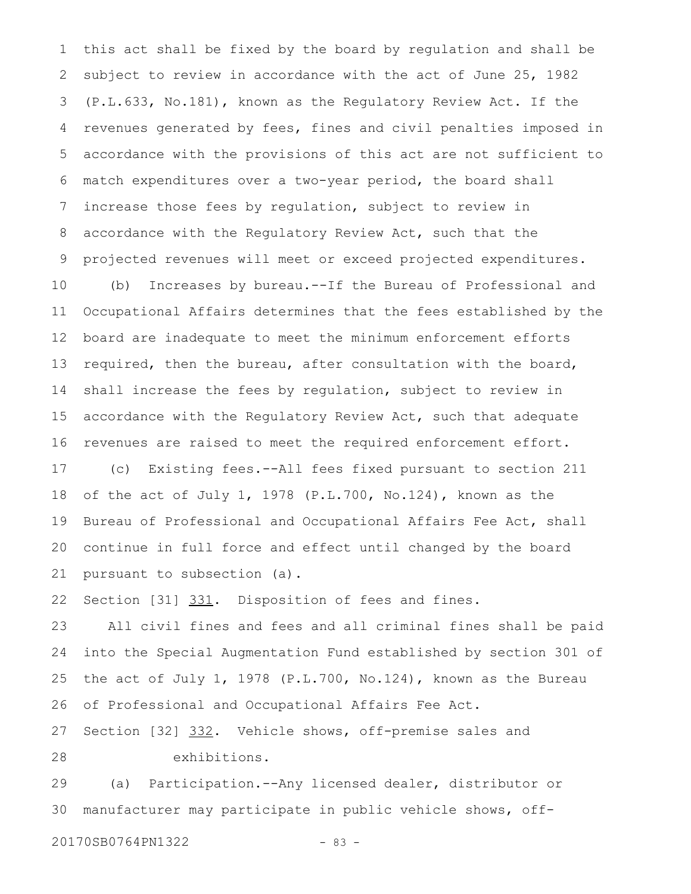this act shall be fixed by the board by regulation and shall be subject to review in accordance with the act of June 25, 1982 (P.L.633, No.181), known as the Regulatory Review Act. If the revenues generated by fees, fines and civil penalties imposed in accordance with the provisions of this act are not sufficient to match expenditures over a two-year period, the board shall increase those fees by regulation, subject to review in accordance with the Regulatory Review Act, such that the projected revenues will meet or exceed projected expenditures. 1 2 3 4 5 6 7 8 9

(b) Increases by bureau.--If the Bureau of Professional and Occupational Affairs determines that the fees established by the board are inadequate to meet the minimum enforcement efforts required, then the bureau, after consultation with the board, shall increase the fees by regulation, subject to review in accordance with the Regulatory Review Act, such that adequate revenues are raised to meet the required enforcement effort. 10 11 12 13 14 15 16

(c) Existing fees.--All fees fixed pursuant to section 211 of the act of July 1, 1978 (P.L.700, No.124), known as the Bureau of Professional and Occupational Affairs Fee Act, shall continue in full force and effect until changed by the board pursuant to subsection (a). 17 18 19 20 21

Section [31] 331. Disposition of fees and fines. 22

All civil fines and fees and all criminal fines shall be paid into the Special Augmentation Fund established by section 301 of the act of July 1, 1978 (P.L.700, No.124), known as the Bureau of Professional and Occupational Affairs Fee Act. 23 24 25 26

Section [32] 332. Vehicle shows, off-premise sales and exhibitions. 27 28

(a) Participation.--Any licensed dealer, distributor or manufacturer may participate in public vehicle shows, off-29 30

20170SB0764PN1322 - 83 -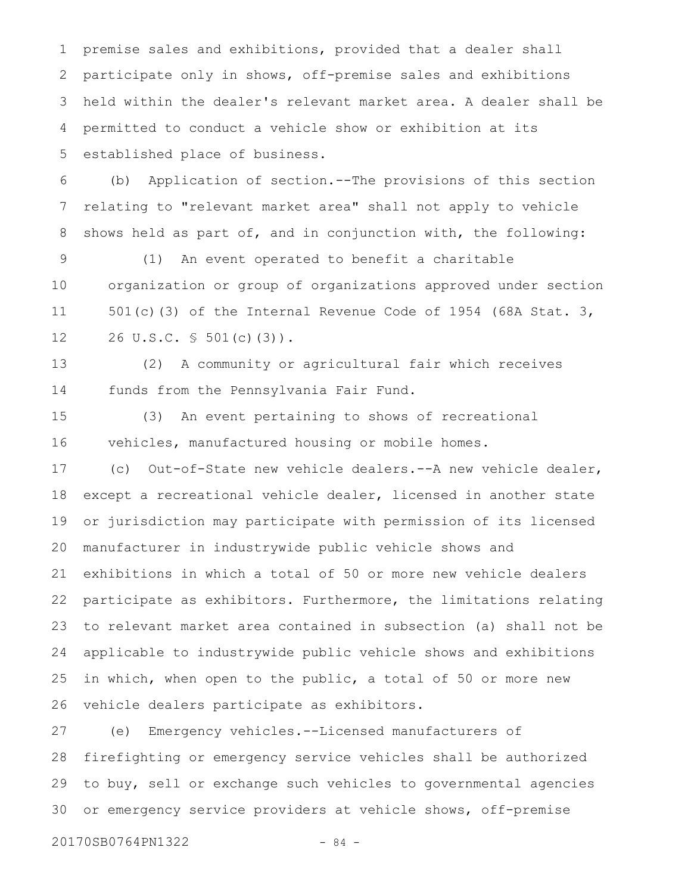premise sales and exhibitions, provided that a dealer shall participate only in shows, off-premise sales and exhibitions held within the dealer's relevant market area. A dealer shall be permitted to conduct a vehicle show or exhibition at its established place of business. 1 2 3 4 5

(b) Application of section.--The provisions of this section relating to "relevant market area" shall not apply to vehicle shows held as part of, and in conjunction with, the following: 6 7 8

(1) An event operated to benefit a charitable organization or group of organizations approved under section 501(c)(3) of the Internal Revenue Code of 1954 (68A Stat. 3, 26 U.S.C. § 501(c)(3)). 9 10 11 12

(2) A community or agricultural fair which receives funds from the Pennsylvania Fair Fund. 13 14

(3) An event pertaining to shows of recreational vehicles, manufactured housing or mobile homes. 15 16

(c) Out-of-State new vehicle dealers.--A new vehicle dealer, except a recreational vehicle dealer, licensed in another state or jurisdiction may participate with permission of its licensed manufacturer in industrywide public vehicle shows and exhibitions in which a total of 50 or more new vehicle dealers participate as exhibitors. Furthermore, the limitations relating to relevant market area contained in subsection (a) shall not be applicable to industrywide public vehicle shows and exhibitions in which, when open to the public, a total of 50 or more new vehicle dealers participate as exhibitors. 17 18 19 20 21 22 23 24 25 26

(e) Emergency vehicles.--Licensed manufacturers of firefighting or emergency service vehicles shall be authorized to buy, sell or exchange such vehicles to governmental agencies or emergency service providers at vehicle shows, off-premise 27 28 29 30

20170SB0764PN1322 - 84 -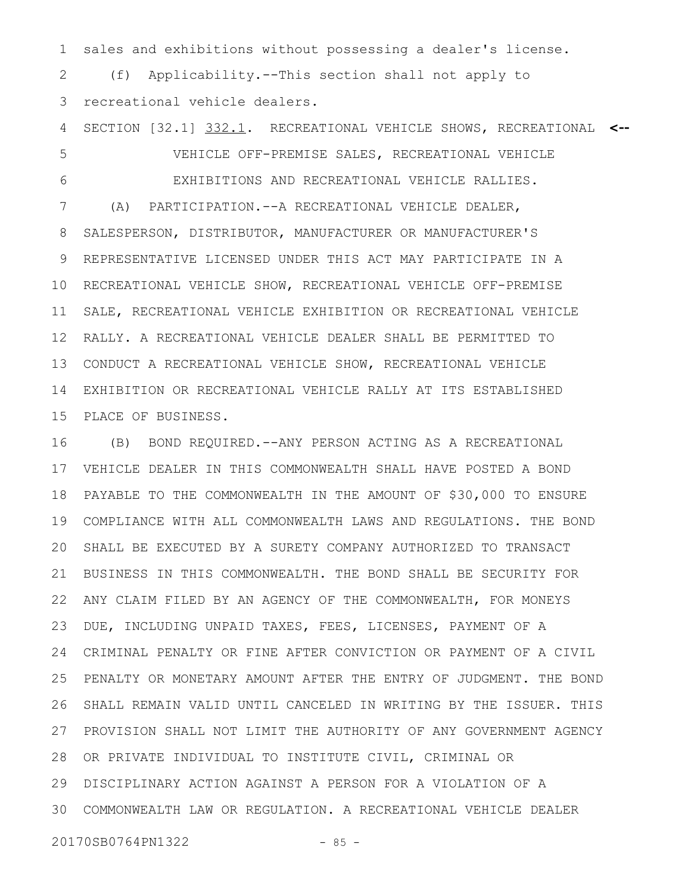sales and exhibitions without possessing a dealer's license. 1

(f) Applicability.--This section shall not apply to recreational vehicle dealers. 2 3

SECTION [32.1] 332.1. RECREATIONAL VEHICLE SHOWS, RECREATIONAL **<--** VEHICLE OFF-PREMISE SALES, RECREATIONAL VEHICLE EXHIBITIONS AND RECREATIONAL VEHICLE RALLIES. (A) PARTICIPATION.--A RECREATIONAL VEHICLE DEALER, SALESPERSON, DISTRIBUTOR, MANUFACTURER OR MANUFACTURER'S REPRESENTATIVE LICENSED UNDER THIS ACT MAY PARTICIPATE IN A RECREATIONAL VEHICLE SHOW, RECREATIONAL VEHICLE OFF-PREMISE SALE, RECREATIONAL VEHICLE EXHIBITION OR RECREATIONAL VEHICLE RALLY. A RECREATIONAL VEHICLE DEALER SHALL BE PERMITTED TO 13 CONDUCT A RECREATIONAL VEHICLE SHOW, RECREATIONAL VEHICLE EXHIBITION OR RECREATIONAL VEHICLE RALLY AT ITS ESTABLISHED PLACE OF BUSINESS. 4 5 6 7 8 9 10 11 12 14 15

(B) BOND REQUIRED.--ANY PERSON ACTING AS A RECREATIONAL VEHICLE DEALER IN THIS COMMONWEALTH SHALL HAVE POSTED A BOND PAYABLE TO THE COMMONWEALTH IN THE AMOUNT OF \$30,000 TO ENSURE COMPLIANCE WITH ALL COMMONWEALTH LAWS AND REGULATIONS. THE BOND SHALL BE EXECUTED BY A SURETY COMPANY AUTHORIZED TO TRANSACT 20 BUSINESS IN THIS COMMONWEALTH. THE BOND SHALL BE SECURITY FOR ANY CLAIM FILED BY AN AGENCY OF THE COMMONWEALTH, FOR MONEYS DUE, INCLUDING UNPAID TAXES, FEES, LICENSES, PAYMENT OF A CRIMINAL PENALTY OR FINE AFTER CONVICTION OR PAYMENT OF A CIVIL PENALTY OR MONETARY AMOUNT AFTER THE ENTRY OF JUDGMENT. THE BOND SHALL REMAIN VALID UNTIL CANCELED IN WRITING BY THE ISSUER. THIS 27 PROVISION SHALL NOT LIMIT THE AUTHORITY OF ANY GOVERNMENT AGENCY 28 OR PRIVATE INDIVIDUAL TO INSTITUTE CIVIL, CRIMINAL OR DISCIPLINARY ACTION AGAINST A PERSON FOR A VIOLATION OF A 29 COMMONWEALTH LAW OR REGULATION. A RECREATIONAL VEHICLE DEALER 3016 17 18 19 21 22 23 24 25 26

20170SB0764PN1322 - 85 -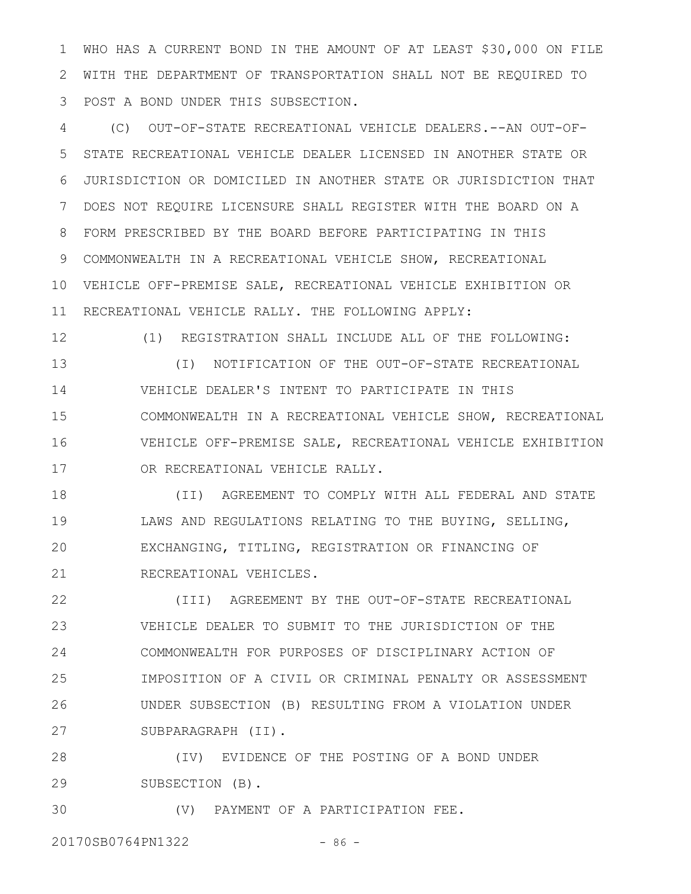WHO HAS A CURRENT BOND IN THE AMOUNT OF AT LEAST \$30,000 ON FILE WITH THE DEPARTMENT OF TRANSPORTATION SHALL NOT BE REQUIRED TO POST A BOND UNDER THIS SUBSECTION. 1 2 3

(C) OUT-OF-STATE RECREATIONAL VEHICLE DEALERS.--AN OUT-OF-STATE RECREATIONAL VEHICLE DEALER LICENSED IN ANOTHER STATE OR JURISDICTION OR DOMICILED IN ANOTHER STATE OR JURISDICTION THAT DOES NOT REQUIRE LICENSURE SHALL REGISTER WITH THE BOARD ON A FORM PRESCRIBED BY THE BOARD BEFORE PARTICIPATING IN THIS COMMONWEALTH IN A RECREATIONAL VEHICLE SHOW, RECREATIONAL VEHICLE OFF-PREMISE SALE, RECREATIONAL VEHICLE EXHIBITION OR 10 11 RECREATIONAL VEHICLE RALLY. THE FOLLOWING APPLY: 4 5 6 7 8 9

12

(1) REGISTRATION SHALL INCLUDE ALL OF THE FOLLOWING:

(I) NOTIFICATION OF THE OUT-OF-STATE RECREATIONAL VEHICLE DEALER'S INTENT TO PARTICIPATE IN THIS COMMONWEALTH IN A RECREATIONAL VEHICLE SHOW, RECREATIONAL VEHICLE OFF-PREMISE SALE, RECREATIONAL VEHICLE EXHIBITION OR RECREATIONAL VEHICLE RALLY. 13 14 15 16 17

(II) AGREEMENT TO COMPLY WITH ALL FEDERAL AND STATE LAWS AND REGULATIONS RELATING TO THE BUYING, SELLING, EXCHANGING, TITLING, REGISTRATION OR FINANCING OF RECREATIONAL VEHICLES. 18 19 20 21

(III) AGREEMENT BY THE OUT-OF-STATE RECREATIONAL VEHICLE DEALER TO SUBMIT TO THE JURISDICTION OF THE COMMONWEALTH FOR PURPOSES OF DISCIPLINARY ACTION OF IMPOSITION OF A CIVIL OR CRIMINAL PENALTY OR ASSESSMENT UNDER SUBSECTION (B) RESULTING FROM A VIOLATION UNDER SUBPARAGRAPH (II). 22 23 24 25 26 27

(IV) EVIDENCE OF THE POSTING OF A BOND UNDER SUBSECTION (B). 28 29

(V) PAYMENT OF A PARTICIPATION FEE. 30

20170SB0764PN1322 - 86 -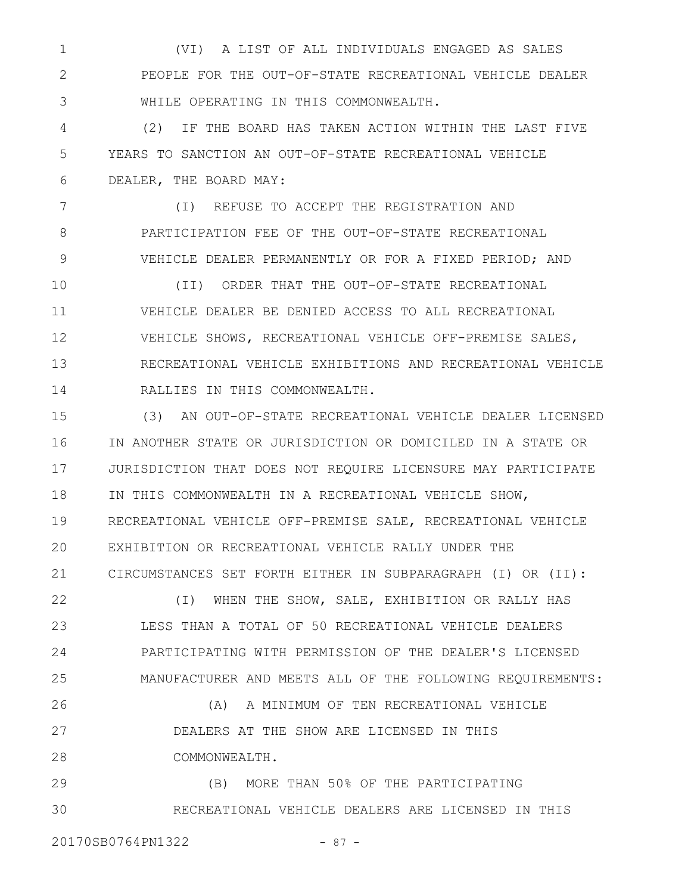(VI) A LIST OF ALL INDIVIDUALS ENGAGED AS SALES PEOPLE FOR THE OUT-OF-STATE RECREATIONAL VEHICLE DEALER WHILE OPERATING IN THIS COMMONWEALTH. 1 2 3

(2) IF THE BOARD HAS TAKEN ACTION WITHIN THE LAST FIVE YEARS TO SANCTION AN OUT-OF-STATE RECREATIONAL VEHICLE DEALER, THE BOARD MAY: 4 5 6

(I) REFUSE TO ACCEPT THE REGISTRATION AND PARTICIPATION FEE OF THE OUT-OF-STATE RECREATIONAL VEHICLE DEALER PERMANENTLY OR FOR A FIXED PERIOD; AND 7 8 9

(II) ORDER THAT THE OUT-OF-STATE RECREATIONAL VEHICLE DEALER BE DENIED ACCESS TO ALL RECREATIONAL VEHICLE SHOWS, RECREATIONAL VEHICLE OFF-PREMISE SALES, RECREATIONAL VEHICLE EXHIBITIONS AND RECREATIONAL VEHICLE RALLIES IN THIS COMMONWEALTH. 10 11 12 13 14

(3) AN OUT-OF-STATE RECREATIONAL VEHICLE DEALER LICENSED IN ANOTHER STATE OR JURISDICTION OR DOMICILED IN A STATE OR JURISDICTION THAT DOES NOT REQUIRE LICENSURE MAY PARTICIPATE IN THIS COMMONWEALTH IN A RECREATIONAL VEHICLE SHOW, RECREATIONAL VEHICLE OFF-PREMISE SALE, RECREATIONAL VEHICLE EXHIBITION OR RECREATIONAL VEHICLE RALLY UNDER THE CIRCUMSTANCES SET FORTH EITHER IN SUBPARAGRAPH (I) OR (II): 15 16 17 18 19 20 21

(I) WHEN THE SHOW, SALE, EXHIBITION OR RALLY HAS LESS THAN A TOTAL OF 50 RECREATIONAL VEHICLE DEALERS PARTICIPATING WITH PERMISSION OF THE DEALER'S LICENSED MANUFACTURER AND MEETS ALL OF THE FOLLOWING REQUIREMENTS: 22 23 24 25

(A) A MINIMUM OF TEN RECREATIONAL VEHICLE DEALERS AT THE SHOW ARE LICENSED IN THIS COMMONWEALTH. 26 27 28

(B) MORE THAN 50% OF THE PARTICIPATING RECREATIONAL VEHICLE DEALERS ARE LICENSED IN THIS 29 30

20170SB0764PN1322 - 87 -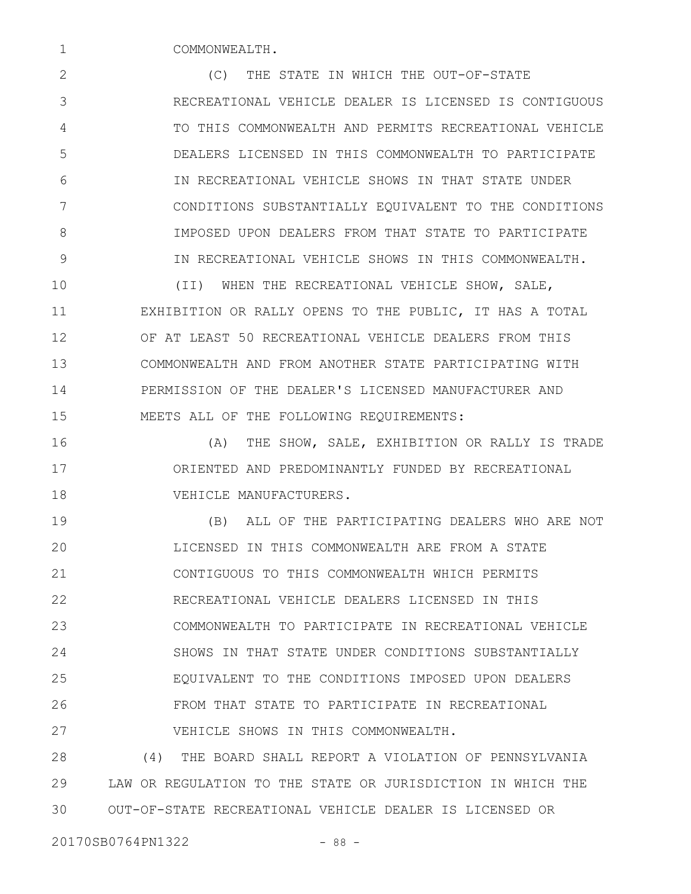COMMONWEALTH.

1

(C) THE STATE IN WHICH THE OUT-OF-STATE RECREATIONAL VEHICLE DEALER IS LICENSED IS CONTIGUOUS TO THIS COMMONWEALTH AND PERMITS RECREATIONAL VEHICLE DEALERS LICENSED IN THIS COMMONWEALTH TO PARTICIPATE IN RECREATIONAL VEHICLE SHOWS IN THAT STATE UNDER CONDITIONS SUBSTANTIALLY EQUIVALENT TO THE CONDITIONS IMPOSED UPON DEALERS FROM THAT STATE TO PARTICIPATE IN RECREATIONAL VEHICLE SHOWS IN THIS COMMONWEALTH. 2 3 4 5 6 7 8 9

(II) WHEN THE RECREATIONAL VEHICLE SHOW, SALE, EXHIBITION OR RALLY OPENS TO THE PUBLIC, IT HAS A TOTAL OF AT LEAST 50 RECREATIONAL VEHICLE DEALERS FROM THIS COMMONWEALTH AND FROM ANOTHER STATE PARTICIPATING WITH PERMISSION OF THE DEALER'S LICENSED MANUFACTURER AND MEETS ALL OF THE FOLLOWING REQUIREMENTS: 10 11 12 13 14 15

(A) THE SHOW, SALE, EXHIBITION OR RALLY IS TRADE ORIENTED AND PREDOMINANTLY FUNDED BY RECREATIONAL VEHICLE MANUFACTURERS. 16 17 18

(B) ALL OF THE PARTICIPATING DEALERS WHO ARE NOT LICENSED IN THIS COMMONWEALTH ARE FROM A STATE CONTIGUOUS TO THIS COMMONWEALTH WHICH PERMITS RECREATIONAL VEHICLE DEALERS LICENSED IN THIS COMMONWEALTH TO PARTICIPATE IN RECREATIONAL VEHICLE SHOWS IN THAT STATE UNDER CONDITIONS SUBSTANTIALLY EQUIVALENT TO THE CONDITIONS IMPOSED UPON DEALERS FROM THAT STATE TO PARTICIPATE IN RECREATIONAL VEHICLE SHOWS IN THIS COMMONWEALTH. 19 20 21 22 23 24 25 26 27

(4) THE BOARD SHALL REPORT A VIOLATION OF PENNSYLVANIA LAW OR REGULATION TO THE STATE OR JURISDICTION IN WHICH THE OUT-OF-STATE RECREATIONAL VEHICLE DEALER IS LICENSED OR 28 29 30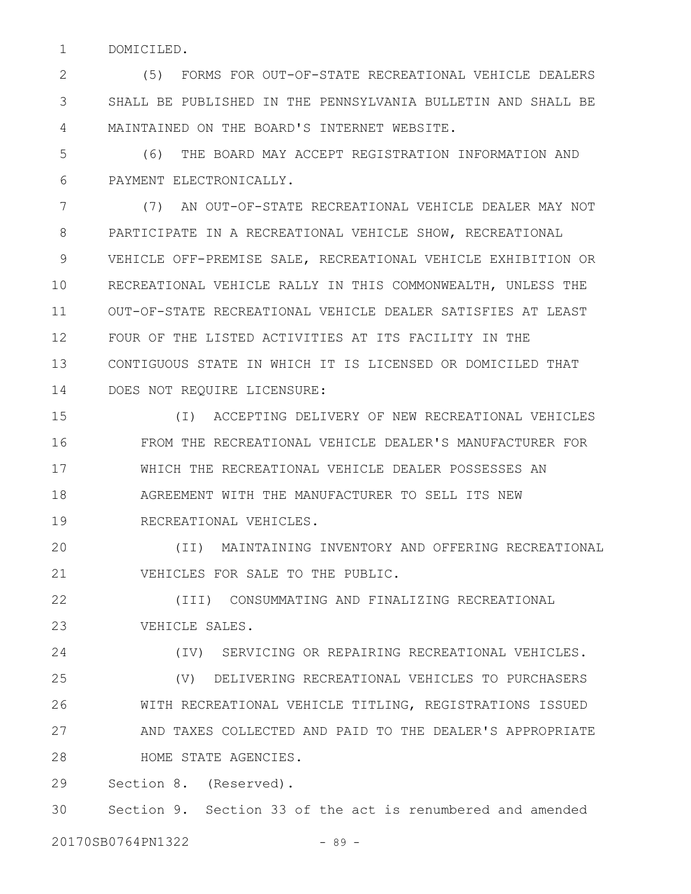DOMICILED. 1

(5) FORMS FOR OUT-OF-STATE RECREATIONAL VEHICLE DEALERS SHALL BE PUBLISHED IN THE PENNSYLVANIA BULLETIN AND SHALL BE MAINTAINED ON THE BOARD'S INTERNET WEBSITE. 2 3 4

(6) THE BOARD MAY ACCEPT REGISTRATION INFORMATION AND PAYMENT ELECTRONICALLY. 5 6

(7) AN OUT-OF-STATE RECREATIONAL VEHICLE DEALER MAY NOT PARTICIPATE IN A RECREATIONAL VEHICLE SHOW, RECREATIONAL VEHICLE OFF-PREMISE SALE, RECREATIONAL VEHICLE EXHIBITION OR RECREATIONAL VEHICLE RALLY IN THIS COMMONWEALTH, UNLESS THE OUT-OF-STATE RECREATIONAL VEHICLE DEALER SATISFIES AT LEAST FOUR OF THE LISTED ACTIVITIES AT ITS FACILITY IN THE CONTIGUOUS STATE IN WHICH IT IS LICENSED OR DOMICILED THAT DOES NOT REQUIRE LICENSURE: 7 8 9 10 11 12 13 14

(I) ACCEPTING DELIVERY OF NEW RECREATIONAL VEHICLES FROM THE RECREATIONAL VEHICLE DEALER'S MANUFACTURER FOR WHICH THE RECREATIONAL VEHICLE DEALER POSSESSES AN AGREEMENT WITH THE MANUFACTURER TO SELL ITS NEW RECREATIONAL VEHICLES. 15 16 17 18 19

(II) MAINTAINING INVENTORY AND OFFERING RECREATIONAL VEHICLES FOR SALE TO THE PUBLIC. 20 21

(III) CONSUMMATING AND FINALIZING RECREATIONAL VEHICLE SALES. 22 23

(IV) SERVICING OR REPAIRING RECREATIONAL VEHICLES. 24

(V) DELIVERING RECREATIONAL VEHICLES TO PURCHASERS WITH RECREATIONAL VEHICLE TITLING, REGISTRATIONS ISSUED AND TAXES COLLECTED AND PAID TO THE DEALER'S APPROPRIATE HOME STATE AGENCIES. 25 26 27 28

Section 8. (Reserved). 29

Section 9. Section 33 of the act is renumbered and amended 30

20170SB0764PN1322 - 89 -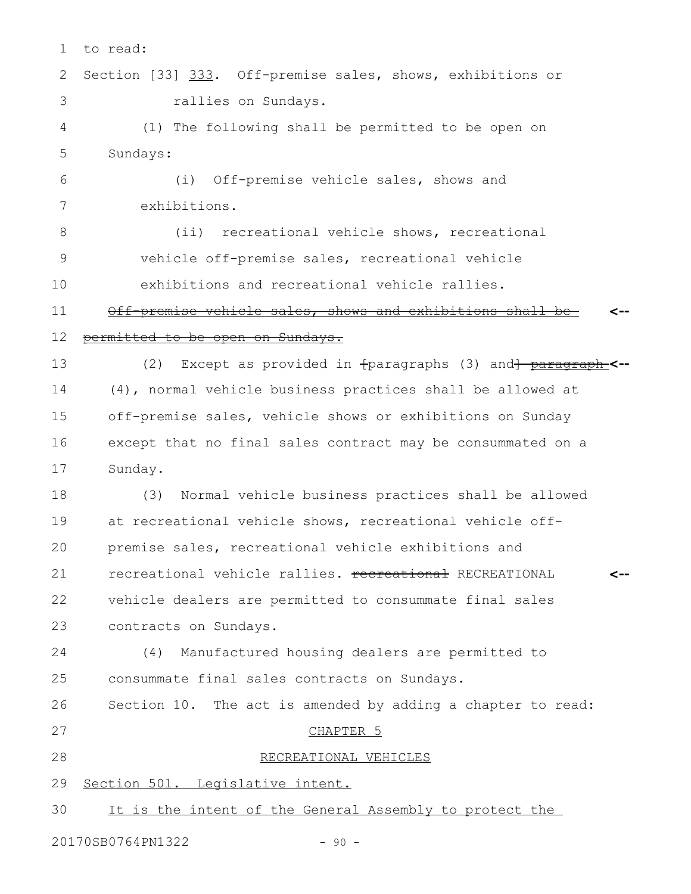| $\mathbf 1$ | to read:                                                       |
|-------------|----------------------------------------------------------------|
| 2           | Section [33] 333. Off-premise sales, shows, exhibitions or     |
| 3           | rallies on Sundays.                                            |
| 4           | (1) The following shall be permitted to be open on             |
| 5           | Sundays:                                                       |
| 6           | Off-premise vehicle sales, shows and<br>(i)                    |
| 7           | exhibitions.                                                   |
| 8           | (ii) recreational vehicle shows, recreational                  |
| $\mathsf 9$ | vehicle off-premise sales, recreational vehicle                |
| 10          | exhibitions and recreational vehicle rallies.                  |
| 11          | Off premise vehicle sales, shows and exhibitions shall         |
| 12          | <u>permitted to be open on Sundays.</u>                        |
| 13          | Except as provided in fparagraphs (3) and herearaph-<br>(2)    |
| 14          | (4), normal vehicle business practices shall be allowed at     |
| 15          | off-premise sales, vehicle shows or exhibitions on Sunday      |
| 16          | except that no final sales contract may be consummated on a    |
| 17          | Sunday.                                                        |
| 18          | Normal vehicle business practices shall be allowed<br>(3)      |
| 19          | at recreational vehicle shows, recreational vehicle off-       |
| 20          | premise sales, recreational vehicle exhibitions and            |
| 21          | recreational vehicle rallies. recreational RECREATIONAL<br>⊂-- |
| 22          | vehicle dealers are permitted to consummate final sales        |
| 23          | contracts on Sundays.                                          |
| 24          | Manufactured housing dealers are permitted to<br>(4)           |
| 25          | consummate final sales contracts on Sundays.                   |
| 26          | Section 10. The act is amended by adding a chapter to read:    |
| 27          | CHAPTER <sub>5</sub>                                           |
| 28          | RECREATIONAL VEHICLES                                          |
| 29          | Section 501. Legislative intent.                               |
| 30          | It is the intent of the General Assembly to protect the        |
|             |                                                                |

20170SB0764PN1322 - 90 -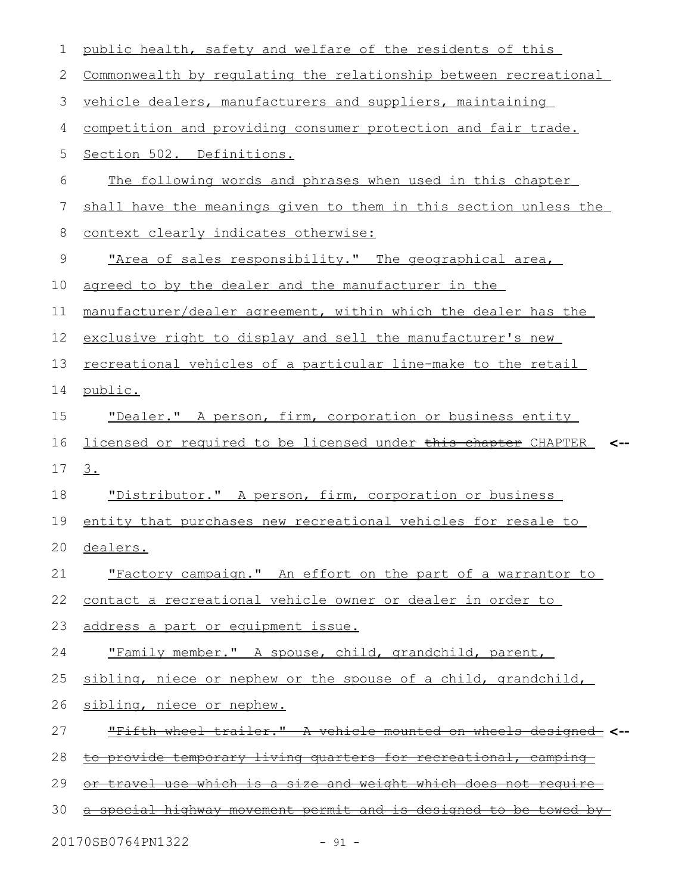| 1  | public health, safety and welfare of the residents of this              |
|----|-------------------------------------------------------------------------|
| 2  | Commonwealth by regulating the relationship between recreational        |
| 3  | vehicle dealers, manufacturers and suppliers, maintaining               |
| 4  | competition and providing consumer protection and fair trade.           |
| 5  | Section 502. Definitions.                                               |
| 6  | The following words and phrases when used in this chapter               |
| 7  | shall have the meanings given to them in this section unless the        |
| 8  | context clearly indicates otherwise:                                    |
| 9  | "Area of sales responsibility." The geographical area,                  |
| 10 | agreed to by the dealer and the manufacturer in the                     |
| 11 | manufacturer/dealer agreement, within which the dealer has the          |
| 12 | exclusive right to display and sell the manufacturer's new              |
| 13 | recreational vehicles of a particular line-make to the retail           |
| 14 | public.                                                                 |
| 15 | "Dealer." A person, firm, corporation or business entity                |
| 16 | licensed or required to be licensed under this chapter CHAPTER          |
| 17 | <u>3.</u>                                                               |
| 18 | "Distributor." A person, firm, corporation or business                  |
| 19 | entity that purchases new recreational vehicles for resale to           |
|    | 20 dealers.                                                             |
| 21 | "Factory campaign." An effort on the part of a warrantor to             |
| 22 | contact a recreational vehicle owner or dealer in order to              |
| 23 | address a part or equipment issue.                                      |
| 24 | "Family member." A spouse, child, grandchild, parent,                   |
| 25 | sibling, niece or nephew or the spouse of a child, grandchild,          |
| 26 | sibling, niece or nephew.                                               |
| 27 | "Fifth wheel trailer." A vehicle mounted on wheels designed             |
| 28 | to provide temporary living quarters for recreational, camping          |
| 29 | <u>or travel use which is a size and weight which does not require-</u> |
| 30 | a special highway movement permit and is designed to be towed by        |
|    |                                                                         |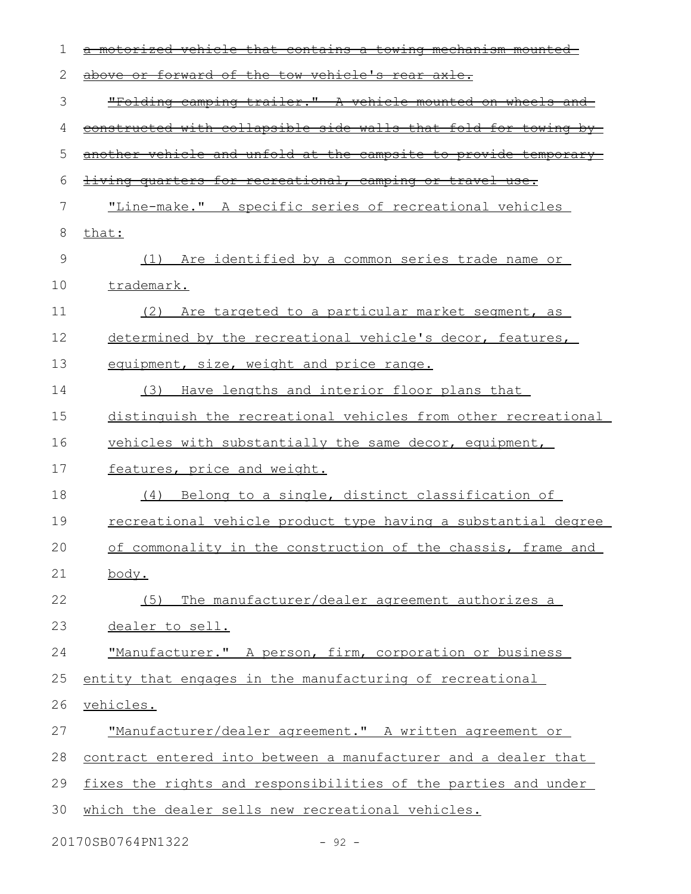| 1  | <del>mechanısm</del><br><del>contains</del><br>ਰੇ                                    |
|----|--------------------------------------------------------------------------------------|
| 2  | forward of the tow vehicle's rear axle.<br><del>above-</del><br>⊖£                   |
| 3  | "Folding camping trailer." A vehicle mounted on wheels and                           |
| 4  | constructed with collapsible side walls that fold for towing by-                     |
| 5  | another vehicle and unfold at the campsite to provide temporary                      |
| 6  | quarters for recreational, camping or travel<br><del>living</del><br>$\pm$ se $\div$ |
| 7  | "Line-make." A specific series of recreational vehicles                              |
| 8  | that:                                                                                |
| 9  | (1) Are identified by a common series trade name or                                  |
| 10 | trademark.                                                                           |
| 11 | Are targeted to a particular market segment, as<br>(2)                               |
| 12 | determined by the recreational vehicle's decor, features,                            |
| 13 | equipment, size, weight and price range.                                             |
| 14 | Have lengths and interior floor plans that<br>(3)                                    |
| 15 | distinguish the recreational vehicles from other recreational                        |
| 16 | vehicles with substantially the same decor, equipment,                               |
| 17 | features, price and weight.                                                          |
| 18 | Belong to a single, distinct classification of<br>(4)                                |
| 19 | recreational vehicle product type having a substantial degree                        |
| 20 | of commonality in the construction of the chassis, frame and                         |
| 21 | body.                                                                                |
| 22 | The manufacturer/dealer agreement authorizes a<br>(5)                                |
| 23 | dealer to sell.                                                                      |
| 24 | "Manufacturer." A person, firm, corporation or business                              |
| 25 | entity that engages in the manufacturing of recreational                             |
| 26 | vehicles.                                                                            |
| 27 | "Manufacturer/dealer agreement." A written agreement or                              |
| 28 | contract entered into between a manufacturer and a dealer that                       |
| 29 | fixes the rights and responsibilities of the parties and under                       |
| 30 | which the dealer sells new recreational vehicles.                                    |
|    | 20170SB0764PN1322<br>$-92 -$                                                         |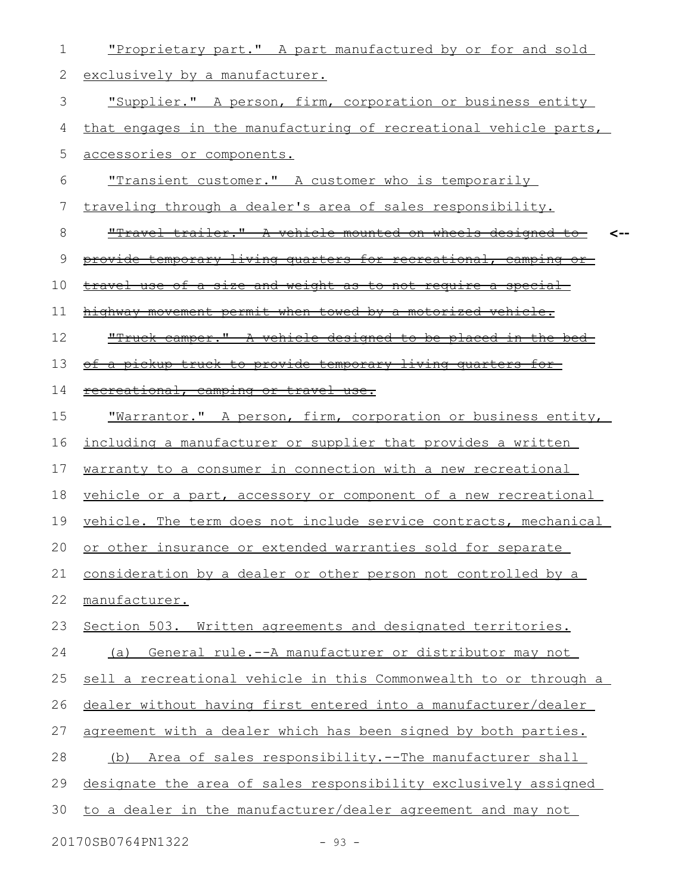| 1  | "Proprietary part." A part manufactured by or for and sold             |
|----|------------------------------------------------------------------------|
| 2  | exclusively by a manufacturer.                                         |
| 3  | "Supplier." A person, firm, corporation or business entity             |
| 4  | that engages in the manufacturing of recreational vehicle parts,       |
| 5  | accessories or components.                                             |
| 6  | "Transient customer." A customer who is temporarily                    |
| 7  | traveling through a dealer's area of sales responsibility.             |
| 8  | <u>"Travel trailer." A vehicle mounted on wheels designed to-</u>      |
| 9  | <u>provide temporary living quarters for recreational, camping or-</u> |
| 10 | <u>travel use of a size and weight as to not require a special-</u>    |
| 11 | highway movement permit when towed by a motorized vehicle.             |
| 12 | "Truck camper." A vehicle designed to be placed in the bed-            |
| 13 | of a pickup truck to provide temporary living quarters for             |
| 14 | recreational, camping or travel use.                                   |
| 15 | "Warrantor." A person, firm, corporation or business entity,           |
| 16 | including a manufacturer or supplier that provides a written           |
| 17 | warranty to a consumer in connection with a new recreational           |
| 18 | vehicle or a part, accessory or component of a new recreational        |
| 19 | vehicle. The term does not include service contracts, mechanical       |
| 20 | or other insurance or extended warranties sold for separate            |
| 21 | consideration by a dealer or other person not controlled by a          |
| 22 | manufacturer.                                                          |
| 23 | Section 503. Written agreements and designated territories.            |
| 24 | General rule.--A manufacturer or distributor may not<br>(a)            |
| 25 | sell a recreational vehicle in this Commonwealth to or through a       |
| 26 | dealer without having first entered into a manufacturer/dealer         |
| 27 | agreement with a dealer which has been signed by both parties.         |
| 28 | Area of sales responsibility.--The manufacturer shall<br>(b)           |
| 29 | designate the area of sales responsibility exclusively assigned        |
| 30 | to a dealer in the manufacturer/dealer agreement and may not           |
|    |                                                                        |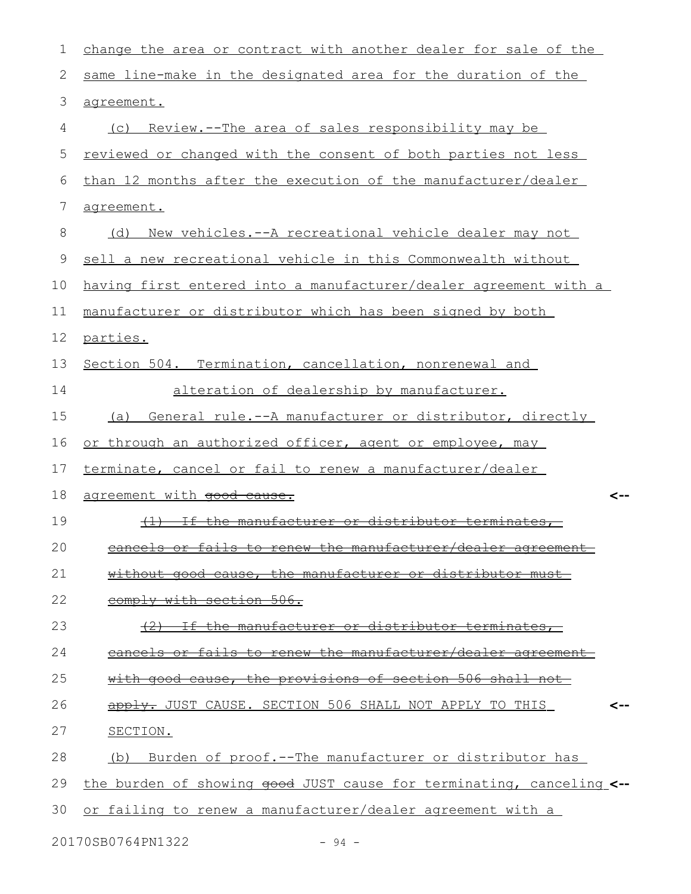| $\mathbf 1$   | change the area or contract with another dealer for sale of the      |
|---------------|----------------------------------------------------------------------|
| 2             | same line-make in the designated area for the duration of the        |
| $\mathcal{S}$ | agreement.                                                           |
| 4             | (c) Review.--The area of sales responsibility may be                 |
| 5             | reviewed or changed with the consent of both parties not less        |
| 6             | than 12 months after the execution of the manufacturer/dealer        |
| 7             | agreement.                                                           |
| 8             | (d) New vehicles.--A recreational vehicle dealer may not             |
| 9             | sell a new recreational vehicle in this Commonwealth without         |
| 10            | having first entered into a manufacturer/dealer agreement with a     |
| 11            | manufacturer or distributor which has been signed by both            |
| 12            | parties.                                                             |
| 13            | Section 504. Termination, cancellation, nonrenewal and               |
| 14            | alteration of dealership by manufacturer.                            |
| 15            | General rule.--A manufacturer or distributor, directly<br>(a)        |
| 16            | or through an authorized officer, agent or employee, may             |
| 17            | terminate, cancel or fail to renew a manufacturer/dealer             |
| 18            | agreement with good cause.<br><--                                    |
| 19            | If the manufacturer or distributor terminates,<br>$+1$               |
| 20            | $\blacksquare$                                                       |
| 21            | without good cause, the manufacturer or distributor must             |
| 22            | comply with section 506.                                             |
| 23            | the manufacturer or distributor terminates,                          |
| 24            | cancels or fails to renew the manufacturer/dealer agreement          |
| 25            | with good cause, the provisions of section 506 shall not             |
| 26            | apply. JUST CAUSE. SECTION 506 SHALL NOT APPLY TO THIS               |
| 27            | SECTION.                                                             |
| 28            | (b) Burden of proof.--The manufacturer or distributor has            |
| 29            | the burden of showing good JUST cause for terminating, canceling <-- |
| 30            | or failing to renew a manufacturer/dealer agreement with a           |

20170SB0764PN1322 - 94 -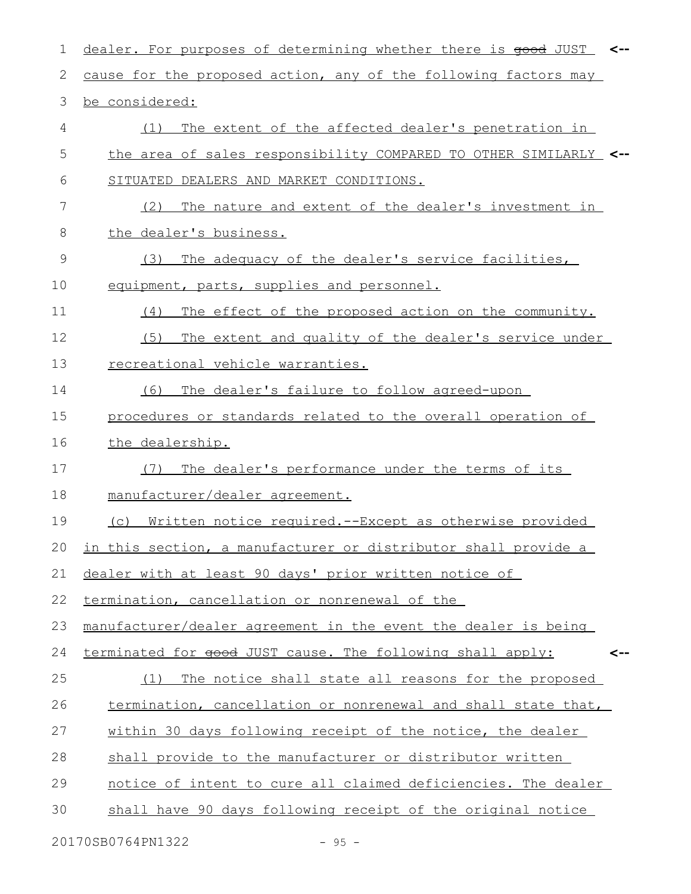| 1              | dealer. For purposes of determining whether there is good JUST <-- |
|----------------|--------------------------------------------------------------------|
| 2              | cause for the proposed action, any of the following factors may    |
| 3              | be considered:                                                     |
| 4              | The extent of the affected dealer's penetration in<br>(1)          |
| 5              | the area of sales responsibility COMPARED TO OTHER SIMILARLY <--   |
| 6              | SITUATED DEALERS AND MARKET CONDITIONS.                            |
| $\overline{7}$ | The nature and extent of the dealer's investment in<br>(2)         |
| 8              | the dealer's business.                                             |
| 9              | The adequacy of the dealer's service facilities,<br>(3)            |
| 10             | equipment, parts, supplies and personnel.                          |
| 11             | The effect of the proposed action on the community.<br>(4)         |
| 12             | The extent and quality of the dealer's service under<br>(5)        |
| 13             | recreational vehicle warranties.                                   |
| 14             | The dealer's failure to follow agreed-upon<br>(6)                  |
| 15             | procedures or standards related to the overall operation of        |
| 16             | the dealership.                                                    |
| 17             | The dealer's performance under the terms of its<br>(7)             |
| 18             | manufacturer/dealer agreement.                                     |
| 19             | Written notice required.--Except as otherwise provided<br>(C)      |
|                | 20 in this section, a manufacturer or distributor shall provide a  |
| 21             | dealer with at least 90 days' prior written notice of              |
| 22             | termination, cancellation or nonrenewal of the                     |
| 23             | manufacturer/dealer agreement in the event the dealer is being     |
| 24             | terminated for good JUST cause. The following shall apply:<br><--  |
| 25             | (1) The notice shall state all reasons for the proposed            |
| 26             | termination, cancellation or nonrenewal and shall state that,      |
| 27             | within 30 days following receipt of the notice, the dealer         |
| 28             | shall provide to the manufacturer or distributor written           |
| 29             | notice of intent to cure all claimed deficiencies. The dealer      |
| 30             | shall have 90 days following receipt of the original notice        |
|                |                                                                    |

20170SB0764PN1322 - 95 -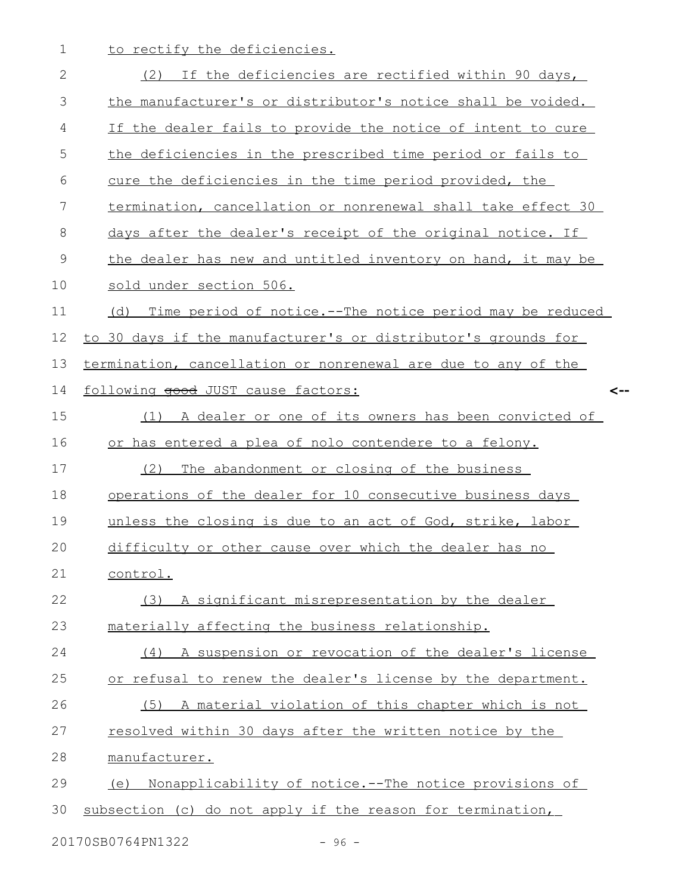1 to rectify the deficiencies.

| $\mathbf{2}$ | If the deficiencies are rectified within 90 days,<br>(2)      |
|--------------|---------------------------------------------------------------|
| 3            | the manufacturer's or distributor's notice shall be voided.   |
| 4            | If the dealer fails to provide the notice of intent to cure   |
| 5            | the deficiencies in the prescribed time period or fails to    |
| 6            | cure the deficiencies in the time period provided, the        |
| 7            | termination, cancellation or nonrenewal shall take effect 30  |
| 8            | days after the dealer's receipt of the original notice. If    |
| $\mathsf 9$  | the dealer has new and untitled inventory on hand, it may be  |
| 10           | sold under section 506.                                       |
| 11           | (d) Time period of notice.--The notice period may be reduced  |
| 12           | to 30 days if the manufacturer's or distributor's grounds for |
| 13           | termination, cancellation or nonrenewal are due to any of the |
| 14           | following good JUST cause factors:<br><--                     |
| 15           | A dealer or one of its owners has been convicted of<br>(1)    |
| 16           | or has entered a plea of nolo contendere to a felony.         |
| 17           | The abandonment or closing of the business<br>(2)             |
| 18           | operations of the dealer for 10 consecutive business days     |
| 19           | unless the closing is due to an act of God, strike, labor     |
| 20           | difficulty or other cause over which the dealer has no        |
| 21           | control.                                                      |
| 22           | (3) A significant misrepresentation by the dealer             |
| 23           | materially affecting the business relationship.               |
| 24           | (4) A suspension or revocation of the dealer's license        |
| 25           | or refusal to renew the dealer's license by the department.   |
| 26           | (5) A material violation of this chapter which is not         |
| 27           | resolved within 30 days after the written notice by the       |
| 28           | manufacturer.                                                 |
| 29           | (e) Nonapplicability of notice.--The notice provisions of     |
| 30           | subsection (c) do not apply if the reason for termination,    |
|              |                                                               |

20170SB0764PN1322 - 96 -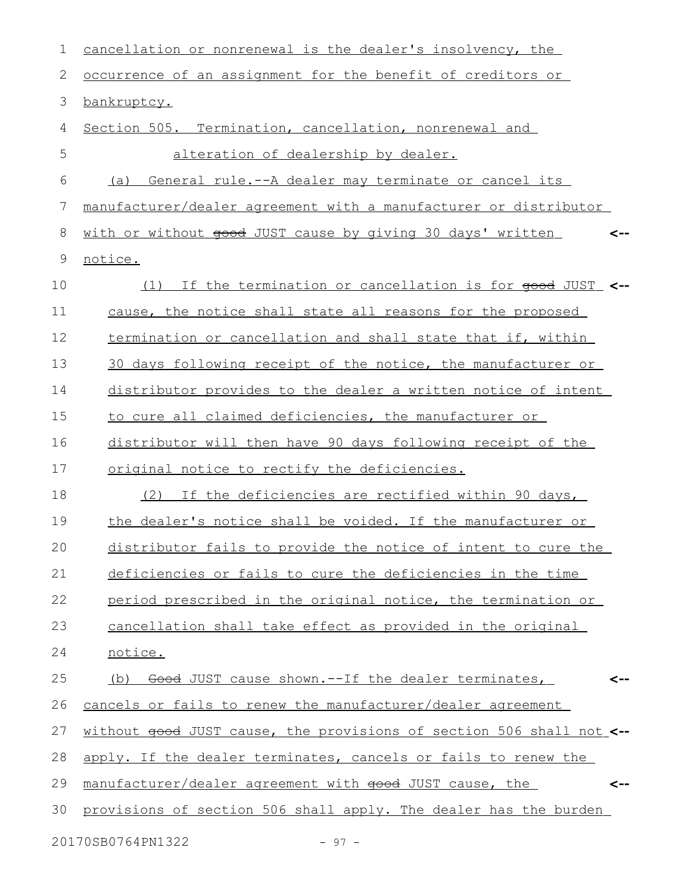| 1  | cancellation or nonrenewal is the dealer's insolvency, the           |
|----|----------------------------------------------------------------------|
| 2  | occurrence of an assignment for the benefit of creditors or          |
| 3  | bankruptcy.                                                          |
| 4  | Section 505. Termination, cancellation, nonrenewal and               |
| 5  | alteration of dealership by dealer.                                  |
| 6  | General rule.--A dealer may terminate or cancel its<br>(a)           |
| 7  | manufacturer/dealer agreement with a manufacturer or distributor     |
| 8  | with or without good JUST cause by giving 30 days' written<br><--    |
| 9  | notice.                                                              |
| 10 | If the termination or cancellation is for good JUST <--<br>(1)       |
| 11 | cause, the notice shall state all reasons for the proposed           |
| 12 | termination or cancellation and shall state that if, within          |
| 13 | 30 days following receipt of the notice, the manufacturer or         |
| 14 | distributor provides to the dealer a written notice of intent        |
| 15 | to cure all claimed deficiencies, the manufacturer or                |
| 16 | distributor will then have 90 days following receipt of the          |
| 17 | original notice to rectify the deficiencies.                         |
| 18 | (2) If the deficiencies are rectified within 90 days,                |
| 19 | the dealer's notice shall be voided. If the manufacturer or          |
| 20 | distributor fails to provide the notice of intent to cure the        |
| 21 | deficiencies or fails to cure the deficiencies in the time           |
| 22 | period prescribed in the original notice, the termination or         |
| 23 | cancellation shall take effect as provided in the original           |
| 24 | notice.                                                              |
| 25 | (b) Good JUST cause shown.--If the dealer terminates,                |
| 26 | cancels or fails to renew the manufacturer/dealer agreement          |
| 27 | without good JUST cause, the provisions of section 506 shall not <-- |
| 28 | apply. If the dealer terminates, cancels or fails to renew the       |
| 29 | manufacturer/dealer agreement with good JUST cause, the<br><--       |
| 30 | provisions of section 506 shall apply. The dealer has the burden     |
|    | 20170SB0764PN1322<br>$-97 -$                                         |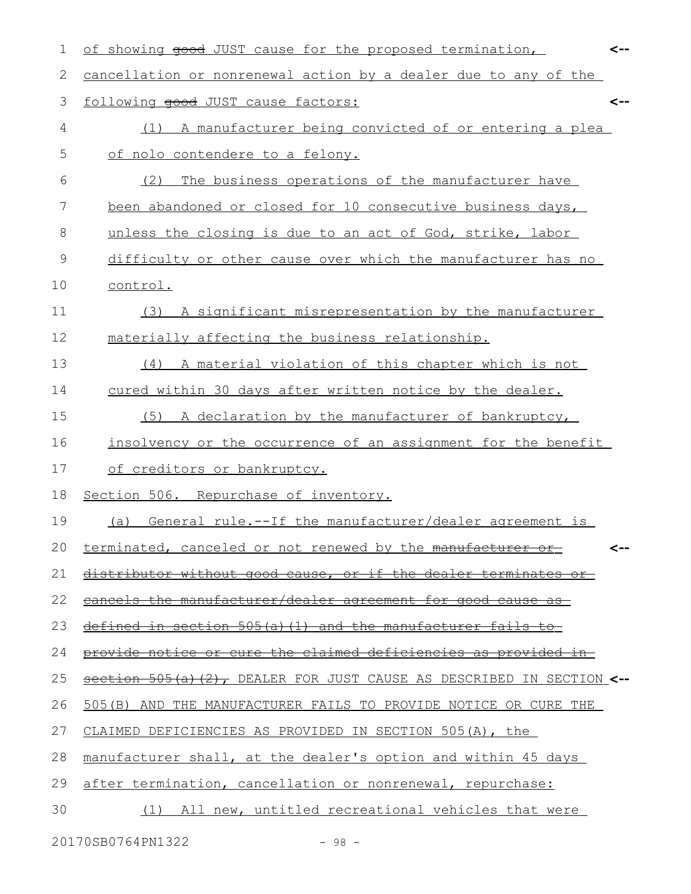| 1  | of showing good JUST cause for the proposed termination,                  | <-- |
|----|---------------------------------------------------------------------------|-----|
| 2  | cancellation or nonrenewal action by a dealer due to any of the           |     |
| 3  | following good JUST cause factors:                                        | <-- |
| 4  | A manufacturer being convicted of or entering a plea<br>(1)               |     |
| 5  | of nolo contendere to a felony.                                           |     |
| 6  | The business operations of the manufacturer have<br>(2)                   |     |
| 7  | been abandoned or closed for 10 consecutive business days,                |     |
| 8  | unless the closing is due to an act of God, strike, labor                 |     |
| 9  | difficulty or other cause over which the manufacturer has no              |     |
| 10 | control.                                                                  |     |
| 11 | A significant misrepresentation by the manufacturer<br>(3)                |     |
| 12 | materially affecting the business relationship.                           |     |
| 13 | A material violation of this chapter which is not<br>(4)                  |     |
| 14 | cured within 30 days after written notice by the dealer.                  |     |
| 15 | A declaration by the manufacturer of bankruptcy,<br>(5)                   |     |
| 16 | insolvency or the occurrence of an assignment for the benefit             |     |
| 17 | of creditors or bankruptcy.                                               |     |
| 18 | Section 506. Repurchase of inventory.                                     |     |
| 19 | General rule.--If the manufacturer/dealer agreement is<br>(a)             |     |
| 20 | terminated, canceled or not renewed by the manufacturer                   |     |
| 21 | distributor without good cause, or if the dealer terminates               |     |
| 22 | cancels the manufacturer/dealer agreement for good cause as               |     |
| 23 | defined in section $505(a)$ (1) and the manufacturer fails to             |     |
| 24 | provide notice or cure the claimed deficiencies as provided in-           |     |
| 25 | section 505(a)(2), DEALER FOR JUST CAUSE AS DESCRIBED IN SECTION $\lt$ -- |     |
| 26 | 505 (B) AND THE MANUFACTURER FAILS TO PROVIDE NOTICE OR CURE THE          |     |
| 27 | CLAIMED DEFICIENCIES AS PROVIDED IN SECTION 505(A), the                   |     |
| 28 | manufacturer shall, at the dealer's option and within 45 days             |     |
| 29 | after termination, cancellation or nonrenewal, repurchase:                |     |
| 30 | (1) All new, untitled recreational vehicles that were                     |     |
|    |                                                                           |     |

20170SB0764PN1322 - 98 -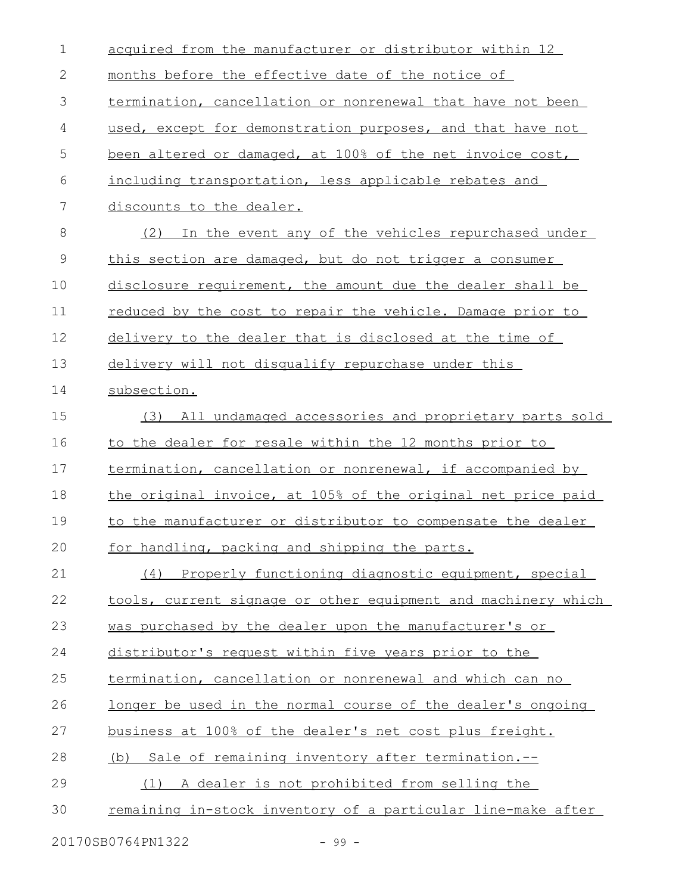| $\mathbf 1$  | acquired from the manufacturer or distributor within 12       |
|--------------|---------------------------------------------------------------|
| $\mathbf{2}$ | months before the effective date of the notice of             |
| 3            | termination, cancellation or nonrenewal that have not been    |
| 4            | used, except for demonstration purposes, and that have not    |
| 5            | been altered or damaged, at 100% of the net invoice cost,     |
| 6            | including transportation, less applicable rebates and         |
| 7            | discounts to the dealer.                                      |
| $\,8\,$      | (2) In the event any of the vehicles repurchased under        |
| $\mathsf 9$  | this section are damaged, but do not trigger a consumer       |
| 10           | disclosure requirement, the amount due the dealer shall be    |
| 11           | reduced by the cost to repair the vehicle. Damage prior to    |
| 12           | delivery to the dealer that is disclosed at the time of       |
| 13           | delivery will not disqualify repurchase under this            |
| 14           | subsection.                                                   |
| 15           | All undamaged accessories and proprietary parts sold<br>(3)   |
| 16           | to the dealer for resale within the 12 months prior to        |
| 17           | termination, cancellation or nonrenewal, if accompanied by    |
| 18           | the original invoice, at 105% of the original net price paid  |
| 19           | to the manufacturer or distributor to compensate the dealer   |
| 20           | for handling, packing and shipping the parts.                 |
| 21           | Properly functioning diagnostic equipment, special<br>(4)     |
| 22           | tools, current signage or other equipment and machinery which |
| 23           | was purchased by the dealer upon the manufacturer's or        |
| 24           | distributor's request within five years prior to the          |
| 25           | termination, cancellation or nonrenewal and which can no      |
| 26           | longer be used in the normal course of the dealer's ongoing   |
| 27           | business at 100% of the dealer's net cost plus freight.       |
| 28           | (b) Sale of remaining inventory after termination.-           |
| 29           | (1) A dealer is not prohibited from selling the               |
| 30           | remaining in-stock inventory of a particular line-make after  |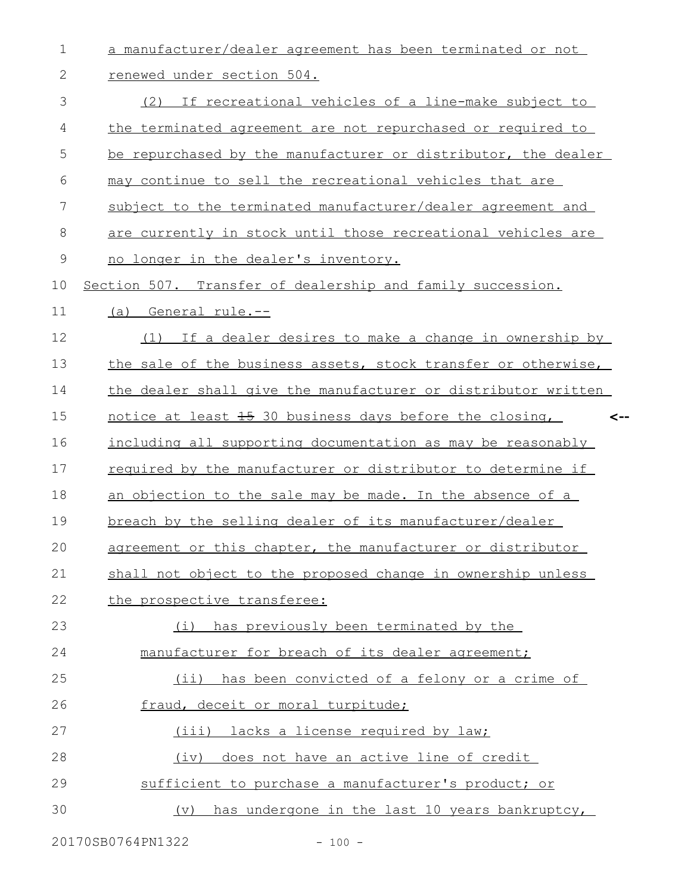| $\mathbf 1$   | a manufacturer/dealer agreement has been terminated or not     |
|---------------|----------------------------------------------------------------|
| $\mathbf{2}$  | renewed under section 504.                                     |
| 3             | (2) If recreational vehicles of a line-make subject to         |
| 4             | the terminated agreement are not repurchased or required to    |
| 5             | be repurchased by the manufacturer or distributor, the dealer  |
| 6             | may continue to sell the recreational vehicles that are        |
| 7             | subject to the terminated manufacturer/dealer agreement and    |
| 8             | are currently in stock until those recreational vehicles are   |
| $\mathcal{G}$ | no longer in the dealer's inventory.                           |
| 10            | Section 507. Transfer of dealership and family succession.     |
| 11            | (a) General rule.--                                            |
| 12            | (1) If a dealer desires to make a change in ownership by       |
| 13            | the sale of the business assets, stock transfer or otherwise,  |
| 14            | the dealer shall give the manufacturer or distributor written  |
| 15            | notice at least 15 30 business days before the closing,<br><−∙ |
| 16            | including all supporting documentation as may be reasonably    |
| 17            | required by the manufacturer or distributor to determine if    |
| 18            | an objection to the sale may be made. In the absence of a      |
| 19            | breach by the selling dealer of its manufacturer/dealer        |
| 20            | agreement or this chapter, the manufacturer or distributor     |
| 21            | shall not object to the proposed change in ownership unless    |
| 22            | the prospective transferee:                                    |
| 23            | has previously been terminated by the<br>(i)                   |
| 24            | manufacturer for breach of its dealer agreement;               |
| 25            | has been convicted of a felony or a crime of<br>$(i$ i)        |
| 26            | fraud, deceit or moral turpitude;                              |
| 27            | (iii) lacks a license required by law;                         |
| 28            | does not have an active line of credit<br>(iv)                 |
| 29            | sufficient to purchase a manufacturer's product; or            |
| 30            | (v) has undergone in the last 10 years bankruptcy,             |

20170SB0764PN1322 - 100 -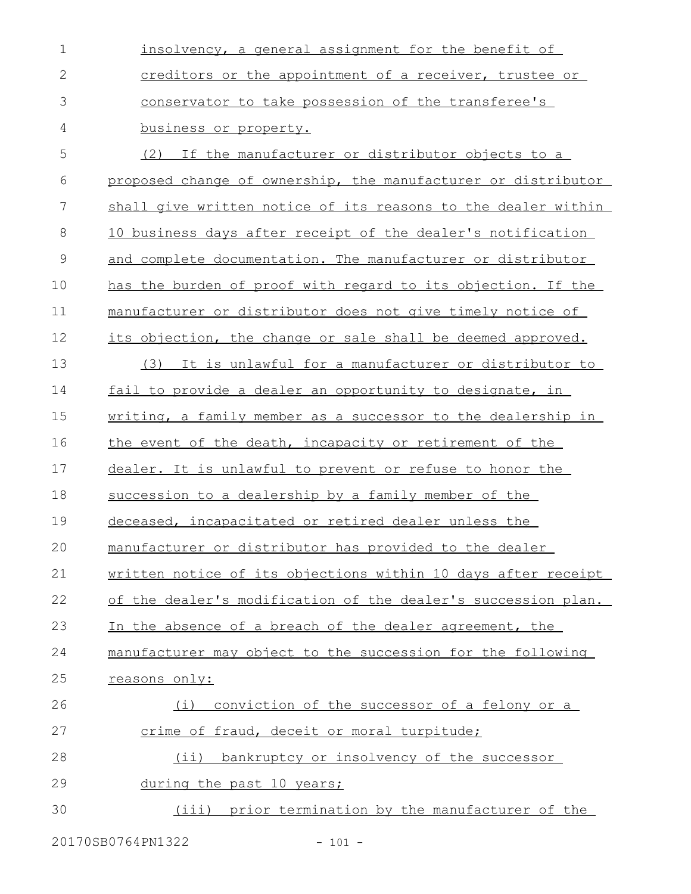| $\mathbf 1$  | insolvency, a general assignment for the benefit of           |
|--------------|---------------------------------------------------------------|
| $\mathbf{2}$ | creditors or the appointment of a receiver, trustee or        |
| 3            | conservator to take possession of the transferee's            |
| 4            | business or property.                                         |
| 5            | If the manufacturer or distributor objects to a<br>(2)        |
| 6            | proposed change of ownership, the manufacturer or distributor |
| 7            | shall give written notice of its reasons to the dealer within |
| 8            | 10 business days after receipt of the dealer's notification   |
| $\mathsf 9$  | and complete documentation. The manufacturer or distributor   |
| 10           | has the burden of proof with regard to its objection. If the  |
| 11           | manufacturer or distributor does not give timely notice of    |
| 12           | its objection, the change or sale shall be deemed approved.   |
| 13           | (3)<br>It is unlawful for a manufacturer or distributor to    |
| 14           | fail to provide a dealer an opportunity to designate, in      |
| 15           | writing, a family member as a successor to the dealership in  |
| 16           | the event of the death, incapacity or retirement of the       |
| 17           | dealer. It is unlawful to prevent or refuse to honor the      |
| 18           | succession to a dealership by a family member of the          |
| 19           | deceased, incapacitated or retired dealer unless the          |
| 20           | manufacturer or distributor has provided to the dealer        |
| 21           | written notice of its objections within 10 days after receipt |
| 22           | of the dealer's modification of the dealer's succession plan. |
| 23           | In the absence of a breach of the dealer agreement, the       |
| 24           | manufacturer may object to the succession for the following   |
| 25           | reasons only:                                                 |
| 26           | conviction of the successor of a felony or a<br>(i)           |
| 27           | crime of fraud, deceit or moral turpitude;                    |
| 28           | bankruptcy or insolvency of the successor<br>$(i$ i)          |
| 29           | during the past 10 years;                                     |
| 30           | (iii) prior termination by the manufacturer of the            |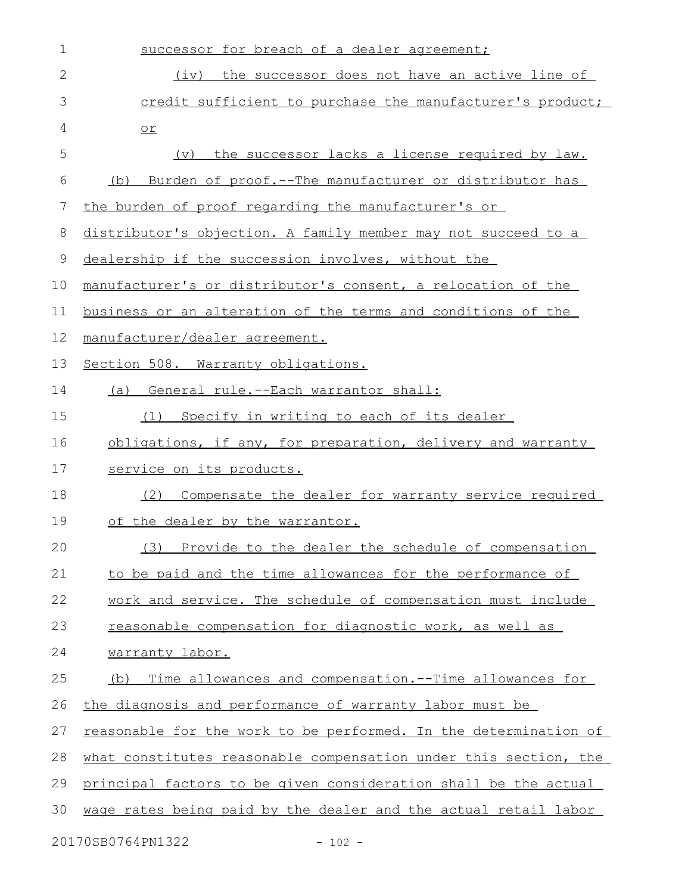| $\mathbf 1$  | successor for breach of a dealer agreement;                             |
|--------------|-------------------------------------------------------------------------|
| $\mathbf{2}$ | (iv) the successor does not have an active line of                      |
| 3            | credit sufficient to purchase the manufacturer's product;               |
| 4            | $or$                                                                    |
| 5            | the successor lacks a license required by law.<br>(v)                   |
| 6            | (b) Burden of proof.--The manufacturer or distributor has               |
| 7            | the burden of proof regarding the manufacturer's or                     |
| 8            | distributor's objection. A family member may not succeed to a           |
| 9            | dealership if the succession involves, without the                      |
| 10           | manufacturer's or distributor's consent, a relocation of the            |
| 11           | business or an alteration of the terms and conditions of the            |
| 12           | manufacturer/dealer agreement.                                          |
| 13           | Section 508. Warranty obligations.                                      |
| 14           | (a) General rule.--Each warrantor shall:                                |
| 15           | Specify in writing to each of its dealer<br>(1)                         |
| 16           | obligations, if any, for preparation, delivery and warranty             |
| 17           | service on its products.                                                |
| 18           | Compensate the dealer for warranty service required<br>(2)              |
| 19           | of the dealer by the warrantor.                                         |
| 20           | (3) Provide to the dealer the schedule of compensation                  |
| 21           | to be paid and the time allowances for the performance of               |
| 22           | work and service. The schedule of compensation must include             |
| 23           | reasonable compensation for diagnostic work, as well as                 |
| 24           | warranty labor.                                                         |
| 25           | Time allowances and compensation. -- Time allowances for<br>(b)         |
| 26           | the diagnosis and performance of warranty labor must be                 |
| 27           | <u>reasonable for the work to be performed. In the determination of</u> |
| 28           | what constitutes reasonable compensation under this section, the        |
| 29           | principal factors to be given consideration shall be the actual         |
| 30           | wage rates being paid by the dealer and the actual retail labor         |
|              | 20170SB0764PN1322<br>$-102 -$                                           |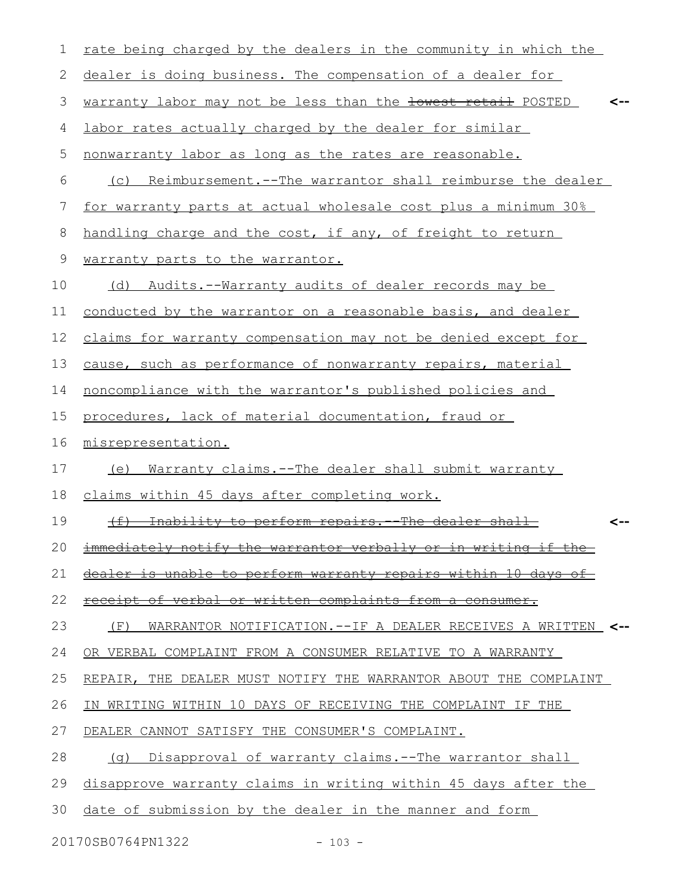| 1  | rate being charged by the dealers in the community in which the    |
|----|--------------------------------------------------------------------|
| 2  | dealer is doing business. The compensation of a dealer for         |
| 3  | warranty labor may not be less than the lowest retail POSTED       |
| 4  | labor rates actually charged by the dealer for similar             |
| 5  | nonwarranty labor as long as the rates are reasonable.             |
| 6  | (c) Reimbursement.--The warrantor shall reimburse the dealer       |
| 7  | for warranty parts at actual wholesale cost plus a minimum 30%     |
| 8  | handling charge and the cost, if any, of freight to return         |
| 9  | warranty parts to the warrantor.                                   |
| 10 | (d) Audits.--Warranty audits of dealer records may be              |
| 11 | conducted by the warrantor on a reasonable basis, and dealer       |
| 12 | claims for warranty compensation may not be denied except for      |
| 13 | cause, such as performance of nonwarranty repairs, material        |
| 14 | noncompliance with the warrantor's published policies and          |
| 15 | procedures, lack of material documentation, fraud or               |
| 16 | misrepresentation.                                                 |
| 17 | Warranty claims. -- The dealer shall submit warranty<br>(e)        |
| 18 | claims within 45 days after completing work.                       |
| 19 | (f) Inability to perform repairs. The dealer shall                 |
|    | 20 immediately notify the warrantor verbally or in writing if the  |
| 21 | dealer is unable to perform warranty repairs within 10 days of     |
| 22 | receipt of verbal or written complaints from a consumer.           |
| 23 | WARRANTOR NOTIFICATION.--IF A DEALER RECEIVES A WRITTEN <--<br>(F) |
| 24 | OR VERBAL COMPLAINT FROM A CONSUMER RELATIVE TO A WARRANTY         |
| 25 | REPAIR, THE DEALER MUST NOTIFY THE WARRANTOR ABOUT THE COMPLAINT   |
| 26 | IN WRITING WITHIN 10 DAYS OF RECEIVING THE COMPLAINT IF THE        |
| 27 | DEALER CANNOT SATISFY THE CONSUMER'S COMPLAINT.                    |
| 28 | (q) Disapproval of warranty claims.--The warrantor shall           |
| 29 | disapprove warranty claims in writing within 45 days after the     |
| 30 | date of submission by the dealer in the manner and form            |

20170SB0764PN1322 - 103 -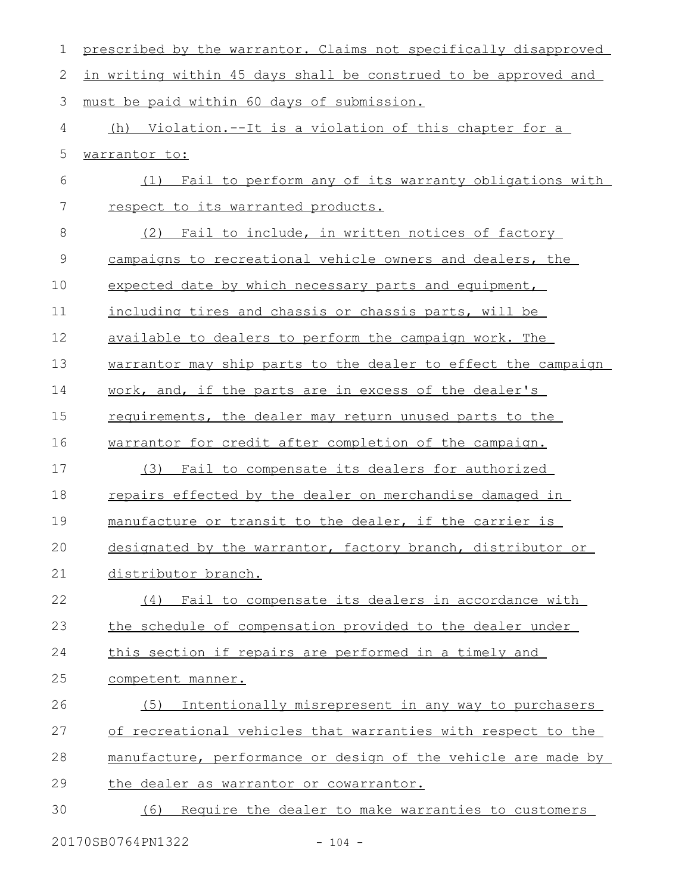| $\mathbf 1$    | prescribed by the warrantor. Claims not specifically disapproved |
|----------------|------------------------------------------------------------------|
| $\mathbf{2}$   | in writing within 45 days shall be construed to be approved and  |
| 3              | must be paid within 60 days of submission.                       |
| 4              | (h) Violation.--It is a violation of this chapter for a          |
| 5              | warrantor to:                                                    |
| 6              | Fail to perform any of its warranty obligations with<br>(1)      |
| $\overline{7}$ | respect to its warranted products.                               |
| $\,8\,$        | Fail to include, in written notices of factory<br>(2)            |
| $\mathsf 9$    | campaigns to recreational vehicle owners and dealers, the        |
| 10             | expected date by which necessary parts and equipment,            |
| 11             | including tires and chassis or chassis parts, will be            |
| 12             | available to dealers to perform the campaign work. The           |
| 13             | warrantor may ship parts to the dealer to effect the campaign    |
| 14             | work, and, if the parts are in excess of the dealer's            |
| 15             | requirements, the dealer may return unused parts to the          |
| 16             | warrantor for credit after completion of the campaign.           |
| 17             | Fail to compensate its dealers for authorized<br>(3)             |
| 18             | repairs effected by the dealer on merchandise damaged in         |
| 19             | manufacture or transit to the dealer, if the carrier is          |
| 20             | designated by the warrantor, factory branch, distributor or      |
| 21             | distributor branch.                                              |
| 22             | (4) Fail to compensate its dealers in accordance with            |
| 23             | the schedule of compensation provided to the dealer under        |
| 24             | this section if repairs are performed in a timely and            |
| 25             | competent manner.                                                |
| 26             | Intentionally misrepresent in any way to purchasers<br>(5)       |
| 27             | of recreational vehicles that warranties with respect to the     |
| 28             | manufacture, performance or design of the vehicle are made by    |
| 29             | the dealer as warrantor or cowarrantor.                          |
| 30             | Require the dealer to make warranties to customers<br>(6)        |
|                |                                                                  |

20170SB0764PN1322 - 104 -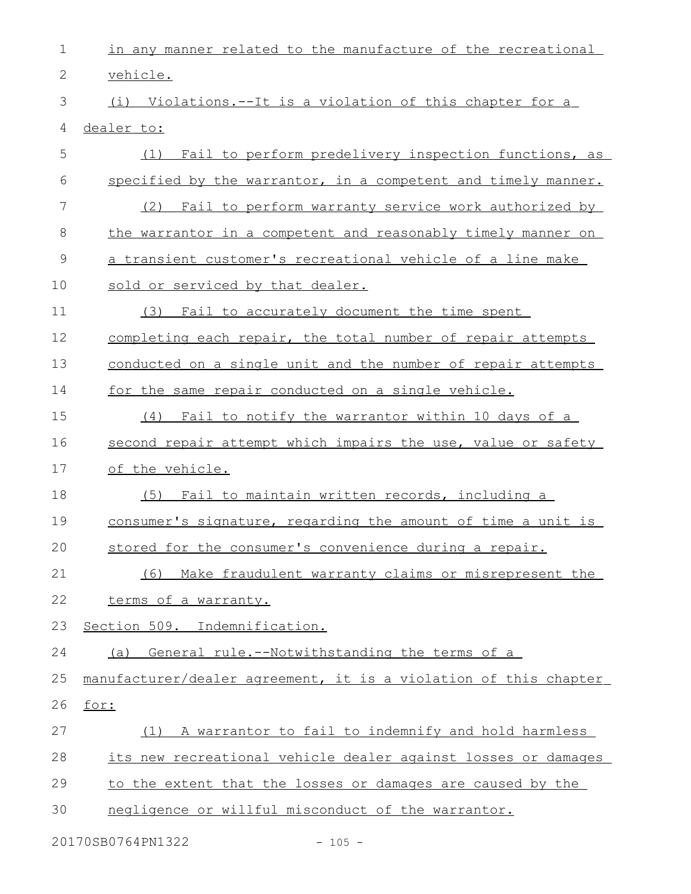| $\mathbf 1$ | in any manner related to the manufacture of the recreational     |
|-------------|------------------------------------------------------------------|
| 2           | vehicle.                                                         |
| 3           | (i) Violations.--It is a violation of this chapter for a         |
| 4           | dealer to:                                                       |
| 5           | Fail to perform predelivery inspection functions, as<br>(1)      |
| 6           | specified by the warrantor, in a competent and timely manner.    |
| 7           | (2) Fail to perform warranty service work authorized by          |
| 8           | the warrantor in a competent and reasonably timely manner on     |
| 9           | a transient customer's recreational vehicle of a line make       |
| 10          | sold or serviced by that dealer.                                 |
| 11          | (3) Fail to accurately document the time spent                   |
| 12          | completing each repair, the total number of repair attempts      |
| 13          | conducted on a single unit and the number of repair attempts     |
| 14          | for the same repair conducted on a single vehicle.               |
| 15          | (4) Fail to notify the warrantor within 10 days of a             |
| 16          | second repair attempt which impairs the use, value or safety     |
| 17          | of the vehicle.                                                  |
| 18          | Fail to maintain written records, including a<br>(5)             |
| 19          | consumer's signature, regarding the amount of time a unit is     |
| 20          | stored for the consumer's convenience during a repair.           |
| 21          | Make fraudulent warranty claims or misrepresent the<br>(6)       |
| 22          | terms of a warranty.                                             |
| 23          | Section 509. Indemnification.                                    |
| 24          | (a) General rule.--Notwithstanding the terms of a                |
| 25          | manufacturer/dealer agreement, it is a violation of this chapter |
| 26          | for:                                                             |
| 27          | A warrantor to fail to indemnify and hold harmless<br>(1)        |
| 28          | its new recreational vehicle dealer against losses or damages    |
| 29          | to the extent that the losses or damages are caused by the       |
| 30          | negligence or willful misconduct of the warrantor.               |
|             |                                                                  |

20170SB0764PN1322 - 105 -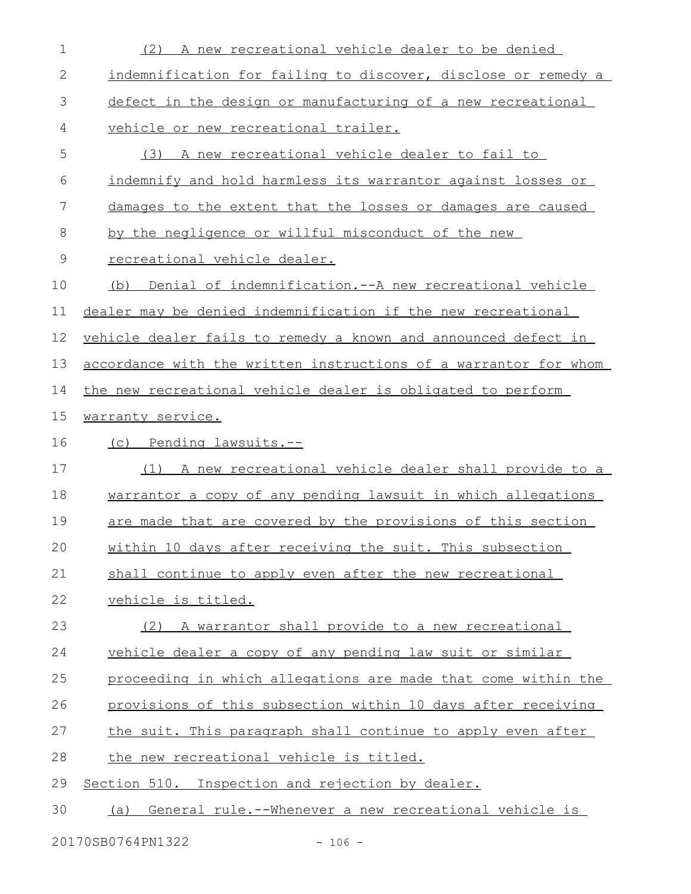| $\mathbf 1$   | (2) A new recreational vehicle dealer to be denied               |
|---------------|------------------------------------------------------------------|
| 2             | indemnification for failing to discover, disclose or remedy a    |
| 3             | defect in the design or manufacturing of a new recreational      |
| 4             | vehicle or new recreational trailer.                             |
| 5             | A new recreational vehicle dealer to fail to<br>(3)              |
| 6             | indemnify and hold harmless its warrantor against losses or      |
| 7             | damages to the extent that the losses or damages are caused      |
| 8             | by the negligence or willful misconduct of the new               |
| $\mathcal{G}$ | recreational vehicle dealer.                                     |
| 10            | (b) Denial of indemnification.--A new recreational vehicle       |
| 11            | dealer may be denied indemnification if the new recreational     |
| 12            | vehicle dealer fails to remedy a known and announced defect in   |
| 13            | accordance with the written instructions of a warrantor for whom |
| 14            | the new recreational vehicle dealer is obligated to perform      |
| 15            | warranty service.                                                |
|               |                                                                  |
| 16            | (c) Pending lawsuits.--                                          |
| 17            | A new recreational vehicle dealer shall provide to a<br>(1)      |
| 18            | warrantor a copy of any pending lawsuit in which allegations     |
| 19            | are made that are covered by the provisions of this section      |
| 20            | within 10 days after receiving the suit. This subsection         |
| 21            | shall continue to apply even after the new recreational          |
| 22            | vehicle is titled.                                               |
| 23            | (2) A warrantor shall provide to a new recreational              |
| 24            | vehicle dealer a copy of any pending law suit or similar         |
| 25            | proceeding in which allegations are made that come within the    |
| 26            | provisions of this subsection within 10 days after receiving     |
| 27            | the suit. This paragraph shall continue to apply even after      |
| 28            | the new recreational vehicle is titled.                          |
| 29            | Section 510. Inspection and rejection by dealer.                 |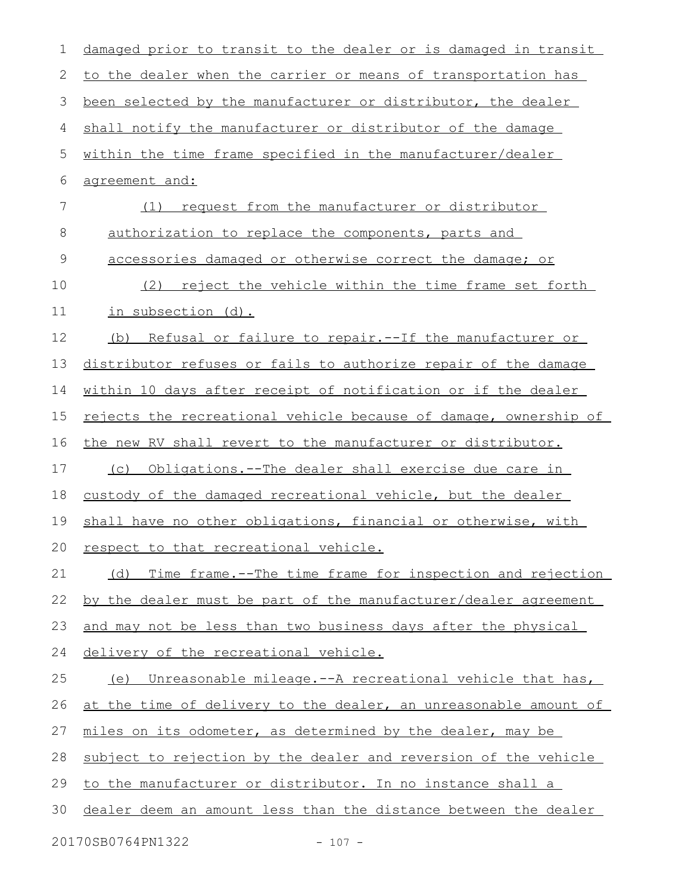| 1           | damaged prior to transit to the dealer or is damaged in transit  |
|-------------|------------------------------------------------------------------|
| 2           | to the dealer when the carrier or means of transportation has    |
| 3           | been selected by the manufacturer or distributor, the dealer     |
| 4           | shall notify the manufacturer or distributor of the damage       |
| 5           | within the time frame specified in the manufacturer/dealer       |
| 6           | agreement and:                                                   |
| 7           | request from the manufacturer or distributor<br>(1)              |
| 8           | authorization to replace the components, parts and               |
| $\mathsf 9$ | accessories damaged or otherwise correct the damage; or          |
| 10          | reject the vehicle within the time frame set forth<br>(2)        |
| 11          | in subsection (d).                                               |
| 12          | (b) Refusal or failure to repair.--If the manufacturer or        |
| 13          | distributor refuses or fails to authorize repair of the damage   |
| 14          | within 10 days after receipt of notification or if the dealer    |
| 15          | rejects the recreational vehicle because of damage, ownership of |
| 16          | the new RV shall revert to the manufacturer or distributor.      |
| 17          | Obligations.--The dealer shall exercise due care in<br>(C)       |
| 18          | custody of the damaged recreational vehicle, but the dealer      |
| 19          | shall have no other obligations, financial or otherwise, with    |
|             | 20 respect to that recreational vehicle.                         |
| 21          | (d) Time frame.--The time frame for inspection and rejection     |
| 22          | by the dealer must be part of the manufacturer/dealer agreement  |
| 23          | and may not be less than two business days after the physical    |
| 24          | delivery of the recreational vehicle.                            |
| 25          | (e) Unreasonable mileage.--A recreational vehicle that has,      |
| 26          | at the time of delivery to the dealer, an unreasonable amount of |
| 27          | miles on its odometer, as determined by the dealer, may be       |
| 28          | subject to rejection by the dealer and reversion of the vehicle  |
| 29          | to the manufacturer or distributor. In no instance shall a       |
| 30          | dealer deem an amount less than the distance between the dealer  |
|             | 20170SB0764PN1322<br>$-107 -$                                    |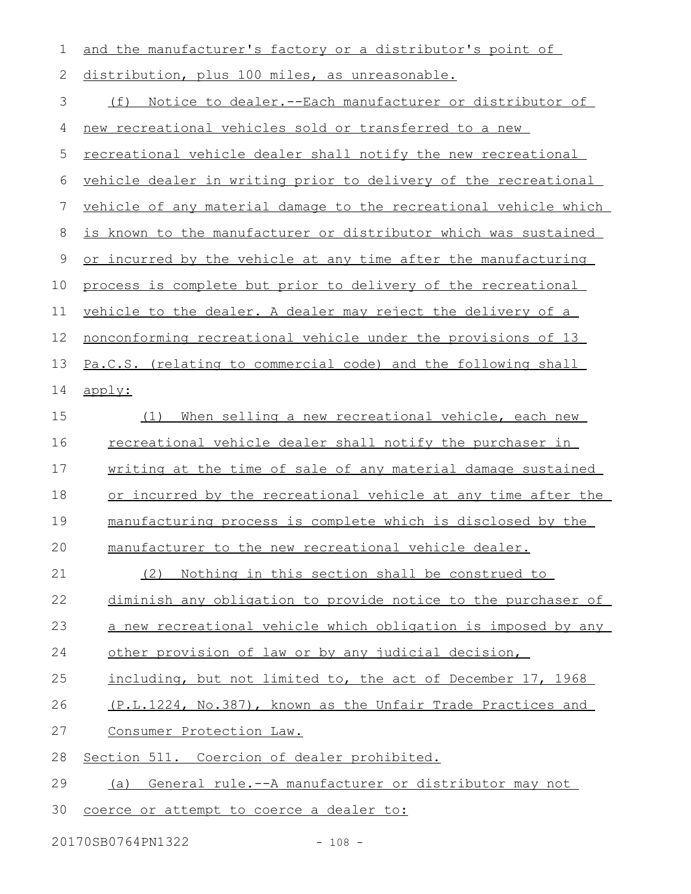| $\mathbf 1$  | and the manufacturer's factory or a distributor's point of           |
|--------------|----------------------------------------------------------------------|
| $\mathbf{2}$ | distribution, plus 100 miles, as unreasonable.                       |
| 3            | <u>Notice to dealer.--Each manufacturer or distributor of</u><br>(f) |
| 4            | new recreational vehicles sold or transferred to a new               |
| 5            | <u>recreational vehicle dealer shall notify the new recreational</u> |
| 6            | vehicle dealer in writing prior to delivery of the recreational      |
| 7            | vehicle of any material damage to the recreational vehicle which     |
| $8\,$        | is known to the manufacturer or distributor which was sustained      |
| $\mathsf 9$  | or incurred by the vehicle at any time after the manufacturing       |
| 10           | process is complete but prior to delivery of the recreational        |
| 11           | vehicle to the dealer. A dealer may reject the delivery of a         |
| 12           | nonconforming recreational vehicle under the provisions of 13        |
| 13           | Pa.C.S. (relating to commercial code) and the following shall        |
| 14           | apply:                                                               |
| 15           | When selling a new recreational vehicle, each new<br>(1)             |
| 16           | recreational vehicle dealer shall notify the purchaser in            |
| 17           | writing at the time of sale of any material damage sustained         |
| 18           | or incurred by the recreational vehicle at any time after the        |
| 19           | manufacturing process is complete which is disclosed by the          |
| 20           | manufacturer to the new recreational vehicle dealer.                 |
| 21           | Nothing in this section shall be construed to<br>(2)                 |
| 22           | diminish any obligation to provide notice to the purchaser of        |
| 23           | a new recreational vehicle which obligation is imposed by any        |
| 24           | other provision of law or by any judicial decision,                  |
| 25           | including, but not limited to, the act of December 17, 1968          |
| 26           | (P.L.1224, No.387), known as the Unfair Trade Practices and          |
| 27           | Consumer Protection Law.                                             |
| 28           | Section 511. Coercion of dealer prohibited.                          |
| 29           | General rule.--A manufacturer or distributor may not<br>(a)          |
| 30           | coerce or attempt to coerce a dealer to:                             |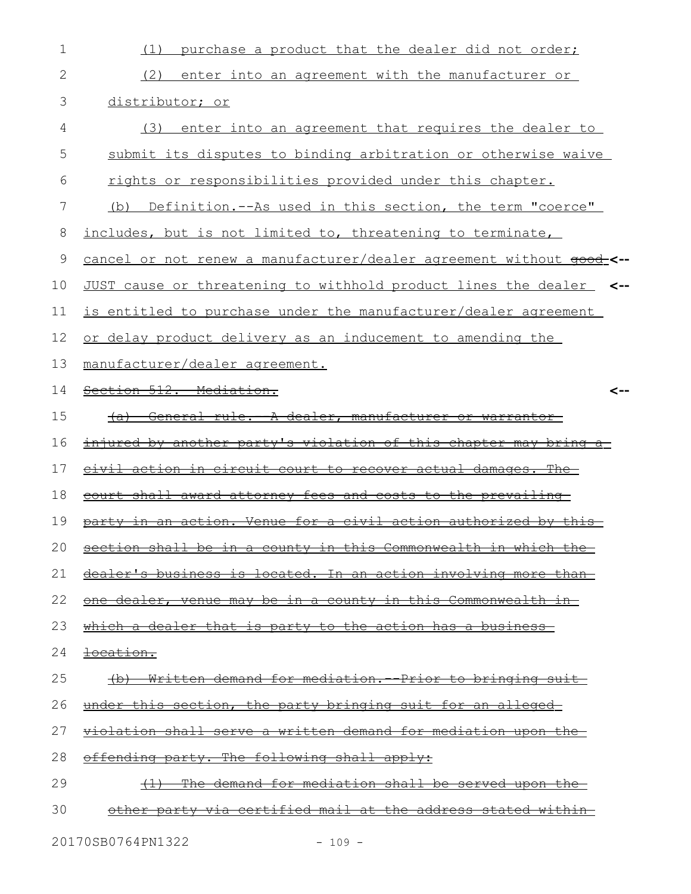| 1  | purchase a product that the dealer did not order;<br>(1)                |
|----|-------------------------------------------------------------------------|
| 2  | (2)<br>enter into an agreement with the manufacturer or                 |
| 3  | distributor; or                                                         |
| 4  | enter into an agreement that requires the dealer to<br>(3)              |
| 5  | submit its disputes to binding arbitration or otherwise waive           |
| 6  | rights or responsibilities provided under this chapter.                 |
| 7  | Definition.--As used in this section, the term "coerce"<br>(b)          |
| 8  | includes, but is not limited to, threatening to terminate,              |
| 9  | <u>cancel or not renew a manufacturer/dealer agreement without good</u> |
| 10 | JUST cause or threatening to withhold product lines the dealer <--      |
| 11 | is entitled to purchase under the manufacturer/dealer agreement         |
| 12 | or delay product delivery as an inducement to amending the              |
| 13 | manufacturer/dealer agreement.                                          |
| 14 | Section 512. Mediation.<br><--                                          |
| 15 | <u>General rule. A dealer, manufacturer or warrantor</u><br>$+a$        |
| 16 | <u>injured by another party's violation of this chapter may bring a</u> |
| 17 | <u>civil action in circuit court to recover actual damages. The</u>     |
| 18 | court shall award attorney fees and costs to the prevailing             |
| 19 | party in an action. Venue for a civil action authorized by this         |
|    | 20 section shall be in a county in this Commonwealth in which the       |
| 21 | dealer's business is located. In an action involving more than          |
| 22 | one dealer, venue may be in a county in this Commonwealth in            |
| 23 | which a dealer that is party to the action has a business-              |
| 24 | <del>location.</del>                                                    |
| 25 | (b) Written demand for mediation. - Prior to bringing suit              |
| 26 | <u>under this section, the party bringing suit for an alleged-</u>      |
| 27 | violation shall serve a written demand for mediation upon the           |
| 28 | offending party. The following shall apply:                             |
| 29 | The demand for mediation shall be served upon the<br>$+1$               |
| 30 | other party via certified mail at the address stated within             |
|    |                                                                         |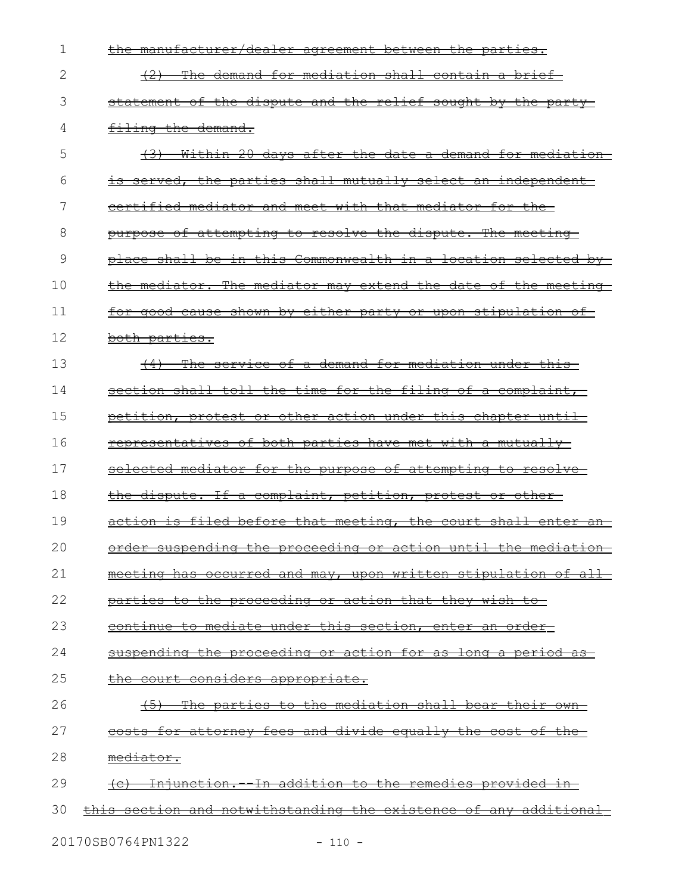| 1  | the manufacturer/dealer agreement between the parties.                      |
|----|-----------------------------------------------------------------------------|
| 2  | The demand for mediation shall contain a brief<br><del>(2)</del>            |
| 3  | statement of the dispute and the relief sought by the party-                |
| 4  | filing the demand.                                                          |
| 5  | (3) Within 20 days after the date a demand for mediation                    |
| 6  | is served, the parties shall mutually select an independent                 |
| 7  | certified mediator and meet with that mediator for the-                     |
| 8  | purpose of attempting to resolve the dispute. The meeting-                  |
| 9  | place shall be in this Commonwealth in a location selected by-              |
| 10 | the mediator. The mediator may extend the date of the meeting               |
| 11 | for good cause shown by either party or upon stipulation of                 |
| 12 | <del>both parties.</del>                                                    |
| 13 | (4) The service of a demand for mediation under this                        |
| 14 | section shall toll the time for the filing of a complaint,                  |
| 15 | petition, protest or other action under this chapter until-                 |
| 16 | representatives of both parties have met with a mutually-                   |
| 17 | selected mediator for the purpose of attempting to resolve-                 |
| 18 | the dispute. If a complaint, petition, protest or other                     |
| 19 | action is filed before that meeting, the court shall enter an               |
| 20 | order suspending the proceeding or action until the mediation               |
| 21 | meeting has occurred and may, upon written stipulation of all-              |
| 22 | parties to the proceeding or action that they wish to-                      |
| 23 | continue to mediate under this section, enter an order-                     |
| 24 | suspending the proceeding or action for as long a period as-                |
| 25 | the court considers appropriate.                                            |
| 26 | <u>The parties to the mediation shall bear their own-</u><br><del>(5)</del> |
| 27 | costs for attorney fees and divide equally the cost of the-                 |
| 28 | mediator.                                                                   |
| 29 | (c) Injunction. In addition to the remedies provided in-                    |
| 30 | <u>this section and notwithstanding the existence of any additional-</u>    |
|    |                                                                             |

20170SB0764PN1322 - 110 -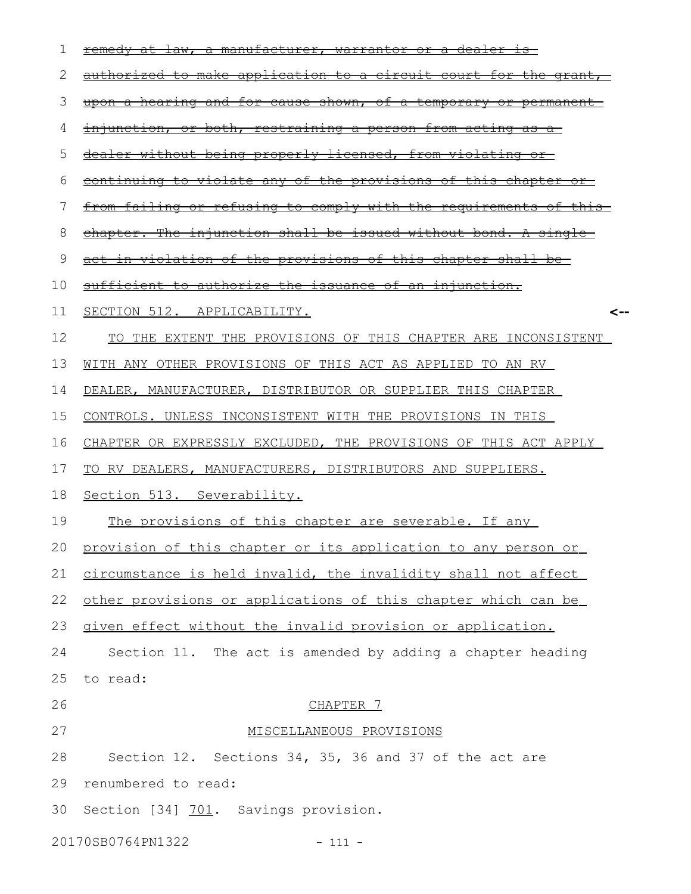| ı  | <del>dealer</del><br><del>law.</del><br>-manufacturer,<br><del>antor</del><br>− <del>Oř</del><br>ਕਿ<br>₩ai |
|----|------------------------------------------------------------------------------------------------------------|
| 2  | <u>authorized to make application to a circuit court for the grant</u>                                     |
| 3  | <u>upon a hearing and for cause shown, of a temporary or permanent-</u>                                    |
| 4  | <u>injunction, or both, restraining a person from acting as a</u>                                          |
| 5  | dealer without being properly licensed, from violating or                                                  |
| 6  | of the provisions of this chapter<br><del>violate any</del><br><del>continuing to</del>                    |
| 7  | <u>from failing or refusing to comply with the requirements of this</u>                                    |
| 8  | chapter. The injunction shall be issued without bond. A single-                                            |
| 9  | <u>in violation of the provisions of this chapter shall be-</u>                                            |
| 10 | sufficient to authorize the issuance of an injunction.                                                     |
| 11 | SECTION 512. APPLICABILITY.<br><--                                                                         |
| 12 | TO THE EXTENT THE PROVISIONS OF THIS CHAPTER ARE INCONSISTENT                                              |
| 13 | WITH ANY OTHER PROVISIONS OF THIS ACT AS APPLIED TO AN RV                                                  |
| 14 | DEALER, MANUFACTURER, DISTRIBUTOR OR SUPPLIER THIS CHAPTER                                                 |
| 15 | CONTROLS. UNLESS INCONSISTENT WITH THE PROVISIONS IN THIS                                                  |
| 16 | CHAPTER OR EXPRESSLY EXCLUDED, THE PROVISIONS OF THIS ACT APPLY                                            |
| 17 | TO RV DEALERS, MANUFACTURERS, DISTRIBUTORS AND SUPPLIERS.                                                  |
| 18 | Section 513. Severability.                                                                                 |
| 19 | The provisions of this chapter are severable. If any                                                       |
| 20 | provision of this chapter or its application to any person or                                              |
| 21 | circumstance is held invalid, the invalidity shall not affect                                              |
| 22 | other provisions or applications of this chapter which can be                                              |
| 23 | given effect without the invalid provision or application.                                                 |
| 24 | Section 11. The act is amended by adding a chapter heading                                                 |
| 25 | to read:                                                                                                   |
| 26 | CHAPTER 7                                                                                                  |
| 27 | MISCELLANEOUS PROVISIONS                                                                                   |
| 28 | Section 12. Sections 34, 35, 36 and 37 of the act are                                                      |
| 29 | renumbered to read:                                                                                        |
| 30 | Section [34] 701. Savings provision.                                                                       |
|    | 20170SB0764PN1322<br>$-111 -$                                                                              |